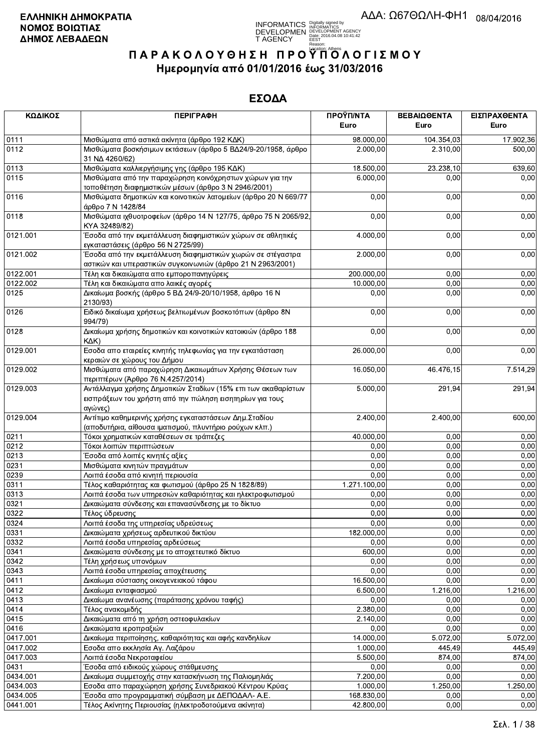

| ΚΩΔΙΚΟΣ      | <b>ПЕРІГРАФН</b>                                                                                                                         | ΠΡΟΫΠ/ΝΤΑ             | ΒΕΒΑΙΩΘΕΝΤΑ      | ΕΙΣΠΡΑΧΘΕΝΤΑ     |
|--------------|------------------------------------------------------------------------------------------------------------------------------------------|-----------------------|------------------|------------------|
|              |                                                                                                                                          | Euro                  | Euro             | Euro             |
| 0111         | Μισθώματα από αστικά ακίνητα (άρθρο 192 ΚΔΚ)                                                                                             | 98.000,00             | 104.354,03       | 17.902,36        |
| 0112         | Μισθώματα βοσκήσιμων εκτάσεων (άρθρο 5 ΒΔ24/9-20/1958, άρθρο<br>31 NA 4260/62)                                                           | 2.000,00              | 2.310,00         | 500,00           |
| 0113         | Μισθώματα καλλιεργήσιμης γης (άρθρο 195 ΚΔΚ)                                                                                             | 18.500,00             | 23.238,10        | 639,60           |
| 0115         | Μισθώματα από την παραχώρηση κοινόχρηστων χώρων για την<br>τοποθέτηση διαφημιστικών μέσων (άρθρο 3 Ν 2946/2001)                          | 6.000,00              | 0,00             | 0,00             |
| 0116         | Μισθώματα δημοτικών και κοινοτικών λατομείων (άρθρο 20 Ν 669/77<br>άρθρο 7 Ν 1428/84                                                     | 0,00                  | 0,00             | 0,00             |
| 0118         | Μισθώματα ιχθυοτροφείων (άρθρο 14 Ν 127/75, άρθρο 75 Ν 2065/92,<br>KYA 32489/82)                                                         | 0,00                  | 0,00             | 0,00             |
| 0121.001     | Έσοδα από την εκμετάλλευση διαφημιστικών χώρων σε αθλητικές<br>εγκαταστάσεις (άρθρο 56 Ν 2725/99)                                        | 4.000,00              | 0,00             | 0,00             |
| 0121.002     | Έσοδα από την εκμετάλλ <mark>ευση διαφημιστικών χωρών σε στέγαστρα</mark><br>αστικών και υπεραστικών συγκοινωνιών (άρθρο 21 Ν 2963/2001) | 2.000,00              | 0,00             | 0,00             |
| 0122.001     | Τέλη και δικαιώματα απο εμποροπανηγύρεις                                                                                                 | 200.000,00            | 0,00             | 0,00             |
| 0122.002     | Τέλη και δικαιώματα απο λαικές αγορές                                                                                                    | 10.000,00             | 0,00             | 0,00             |
| 0125         | Δικαίωμα βοσκής (άρθρο 5 ΒΔ 24/9-20/10/1958, άρθρο 16 Ν<br>2130/93)                                                                      | 0,00                  | 0,00             | 0,00             |
| 0126         | Ειδικό δικαίωμα χρήσεως βελτιωμένων βοσκοτόπων (άρθρο 8Ν<br>994/79)                                                                      | 0,00                  | 0,00             | 0,00             |
| 0128         | Δικαίωμα χρήσης δημοτικών και κοινοτικών κατοικιών (άρθρο 188<br>KAK)                                                                    | 0,00                  | 0,00             | 0,00             |
| 0129.001     | Εσοδα απο εταιρείες κινητής τηλεφωνίας για την εγκατάσταση<br>κεραιών σε χώρους του Δήμου                                                | 26.000,00             | 0,00             | 0,00             |
| 0129.002     | Μισθώματα από παραχώρηση Δικαιωμάτων Χρήσης Θέσεων των<br>περιπτέρων (Άρθρο 76 Ν.4257/2014)                                              | 16.050,00             | 46.476,15        | 7.514,29         |
| 0129.003     | Αντάλλαγμα χρήσης Δημοτικών Σταδίων (15% επι των ακαθαρίστων<br>εισπράξεων του χρήστη από την πώληση εισητηρίων για τους<br>αγώνες)      | 5.000,00              | 291,94           | 291,94           |
| 0129.004     | Αντίτιμο καθημερινής χρήσης εγκαταστάσεων Δημ. Σταδίου<br>(αποδυτήρια, αίθουσα ιματισμού, πλυντήριο ρούχων κλπ.)                         | 2.400,00              | 2.400,00         | 600,00           |
| 0211         | Τόκοι χρηματικών καταθέσεων σε τράπεζες                                                                                                  | 40.000,00             | 0,00             | 0,00             |
| 0212         | Τόκοι λοιπών περιπτώσεων                                                                                                                 | 0,00                  | 0,00             | 0,00             |
| 0213         | Έσοδα από λοιπές κινητές αξίες                                                                                                           | 0,00                  | 0,00             | 0,00             |
| 0231         | Μισθώματα κινητών πραγμάτων                                                                                                              | 0,00                  | 0,00             | 0,00             |
| 0239         | Λοιπά έσοδα από κινητή περιουσία                                                                                                         | 0,00                  | 0,00             | 0,00             |
| 0311         | Τέλος καθαριότητας και φωτισμού (άρθρο 25 Ν 1828/89)                                                                                     | 1.271.100,00          | 0,00             | 0,00             |
| 0313         | Λοιπά έσοδα των υπηρεσιών καθαριότητας και ηλεκτροφωτισμού                                                                               | 0,00                  | 0,00             | 0,00             |
| 0321         | Δικαιώματα σύνδεσης και επανασύνδεσης με το δίκτυο                                                                                       | 0,00                  | 0,00             | 0,00             |
| 0322         | Τέλος ύδρευσης                                                                                                                           | 0,00                  | 0,00             | 0,00             |
| 0324         | Λοιπά έσοδα της υπηρεσίας υδρεύσεως                                                                                                      | 0,00                  | 0,00             | 0,00             |
| 0331         | Δικαιώματα χρήσεως αρδευτικού δικτύου                                                                                                    | 182.000,00            | 0,00             | 0,00             |
| 0332         | Λοιπά έσοδα υπηρεσίας αρδεύσεως                                                                                                          | 0,00                  | 0,00             | 0,00             |
| 0341         | Δικαιώματα σύνδεσης με το αποχετευτικό δίκτυο                                                                                            | 600,00                | 0,00             | 0,00             |
| 0342         | Τέλη χρήσεως υπονόμων                                                                                                                    | 0,00                  | 0,00             | 0,00             |
| 0343         | Λοιπά έσοδα υπηρεσίας αποχέτευσης                                                                                                        | 0,00                  | 0,00             | 0,00             |
| 0411<br>0412 | Δικαίωμα σύστασης οικογενειακού τάφου<br>Δικαίωμα ενταφιασμού                                                                            | 16.500,00<br>6.500,00 | 0,00<br>1.216,00 | 0,00<br>1.216,00 |
| 0413         |                                                                                                                                          | 0,00                  | 0,00             | 0,00             |
| 0414         | Δικαίωμα ανανέωσης (παράτασης χρόνου ταφής)                                                                                              | 2.380,00              |                  |                  |
|              | Τέλος ανακομιδής                                                                                                                         |                       | 0,00             | 0,00             |
| 0415<br>0416 | Δικαιώματα από τη χρήση οστεοφυλακίων                                                                                                    | 2.140,00              | 0,00<br>0,00     | 0,00             |
|              | Δικαιώματα ιεροπραξιών                                                                                                                   | 0,00                  |                  | 0,00             |
| 0417.001     | Δικαίωμα περιποίησης, καθαριότητας και αφής κανδηλίων                                                                                    | 14.000,00             | 5.072,00         | 5.072,00         |
| 0417.002     | Εσοδα απο εκκλησία Αγ. Λαζάρου                                                                                                           | 1.000,00              | 445,49           | 445,49           |
| 0417.003     | Λοιπά έσοδα Νεκροταφείου                                                                                                                 | 5.500,00              | 874,00           | 874,00           |
| 0431         | Έσοδα από ειδικούς χώρους στάθμευσης                                                                                                     | 0,00                  | 0,00             | 0,00             |
| 0434.001     | Δικαίωμα συμμετοχής στην κατασκήνωση της Παλιομηλιάς                                                                                     | 7.200,00              | 0,00             | 0,00             |
| 0434.003     | Εσοδα απο παραχώρηση χρήσης Συνεδριακού Κέντρου Κρύας                                                                                    | 1.000,00              | 1.250,00         | 1.250,00         |
| 0434.005     | Έσοδα απο προγραμματική σύμβαση με ΔΕΠΟΔΑΛ- Α.Ε.                                                                                         | 168.830,00            | 0,00             | 0,00             |
| 0441.001     | Τέλος Ακίνητης Περιουσίας (ηλεκτροδοτούμενα ακίνητα)                                                                                     | 42.800,00             | 0,00             | 0,00             |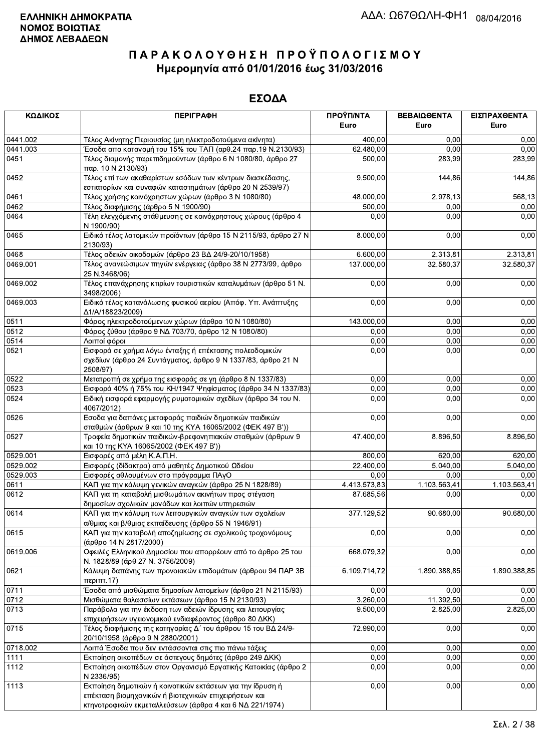| ΚΩΔΙΚΟΣ  | <b>ПЕРІГРАФН</b>                                                                                                                                                              | ΠΡΟΫΠ/ΝΤΑ<br>Euro | ΒΕΒΑΙΩΘΕΝΤΑ<br>Euro | ΕΙΣΠΡΑΧΘΕΝΤΑ<br>Euro |
|----------|-------------------------------------------------------------------------------------------------------------------------------------------------------------------------------|-------------------|---------------------|----------------------|
| 0441.002 | Τέλος Ακίνητης Περιουσίας (μη ηλεκτροδοτούμενα ακίνητα)                                                                                                                       | 400,00            | 0,00                | 0,00                 |
| 0441.003 | Έσοδα απο κατανομή του 15% του ΤΑΠ (αρθ.24 παρ.19 Ν.2130/93)                                                                                                                  | 62.480,00         | 0,00                | 0,00                 |
| 0451     | Τέλος διαμονής παρεπιδημούντων (άρθρο 6 Ν 1080/80, άρθρο 27<br>παρ. 10 Ν 2130/93)                                                                                             | 500,00            | 283,99              | 283,99               |
| 0452     | Τέλος επί των ακαθαρίστων εσόδων των κέντρων διασκέδασης,<br>εστιατορίων και συναφών καταστημάτων (άρθρο 20 Ν 2539/97)                                                        | 9.500,00          | 144,86              | 144,86               |
| 0461     | Τέλος χρήσης κοινόχρηστων χώρων (άρθρο 3 Ν 1080/80)                                                                                                                           | 48.000,00         | 2.978,13            | 568,13               |
| 0462     | Τέλος διαφήμισης (άρθρο 5 Ν 1900/90)                                                                                                                                          | 500,00            | 0,00                | 0,00                 |
| 0464     | Τέλη ελεγχόμενης στάθμευσης σε κοινόχρηστους χώρους (άρθρο 4<br>N 1900/90)                                                                                                    | 0,00              | 0,00                | 0,00                 |
| 0465     | Ειδικό τέλος λατομικών προϊόντων (άρθρο 15 Ν 2115/93, άρθρο 27 Ν<br>2130/93)                                                                                                  | 8.000,00          | 0,00                | 0,00                 |
| 0468     | Τέλος αδειών οικοδομών (άρθρο 23 ΒΔ 24/9-20/10/1958)                                                                                                                          | 6.600,00          | 2.313,81            | 2.313,81             |
| 0469.001 | Τέλος ανανεώσιμων πηγών ενέργειας (άρθρο 38 Ν 2773/99, άρθρο<br>25 N.3468/06)                                                                                                 | 137.000,00        | 32.580,37           | 32.580,37            |
| 0469.002 | Τέλος επανάχρησης κτιρίων τουριστικών καταλυμάτων (άρθρο 51 Ν.<br>3498/2006)                                                                                                  | 0,00              | 0,00                | 0,00                 |
| 0469.003 | Ειδικό τέλος κατανάλωσης φυσικού αερίου (Απόφ. Υπ. Ανάπτυξης<br>Δ1/A/18823/2009)                                                                                              | 0,00              | 0,00                | 0,00                 |
| 0511     | Φόρος ηλεκτροδοτούμενων χώρων (άρθρο 10 Ν 1080/80)                                                                                                                            | 143.000,00        | 0,00                | 0,00                 |
| 0512     | Φόρος ζύθου (άρθρο 9 ΝΔ 703/70, άρθρο 12 Ν 1080/80)                                                                                                                           | 0,00              | 0,00                | 0,00                 |
| 0514     | Λοιποί φόροι                                                                                                                                                                  | 0,00              | 0,00                | 0,00                 |
| 0521     | Εισφορά σε χρήμα λόγω ένταξης ή επέκτασης πολεοδομικών<br>σχεδίων (άρθρο 24 Συντάγματος, άρθρο 9 Ν 1337/83, άρθρο 21 Ν<br>2508/97)                                            | 0,00              | 0,00                | 0,00                 |
| 0522     | Μετατροπή σε χρήμα της εισφοράς σε γη (άρθρο 8 Ν 1337/83)                                                                                                                     | 0,00              | 0,00                | 0,00                 |
| 0523     | Εισφορά 40% ή 75% του ΚΗ/1947 Ψηφίσματος (άρθρο 34 Ν 1337/83)                                                                                                                 | 0,00              | 0,00                | 0,00                 |
| 0524     | Ειδική εισφορά εφαρμογής ρυμοτομικών σχεδίων (άρθρο 34 του Ν.<br>4067/2012)                                                                                                   | 0,00              | 0,00                | 0,00                 |
| 0526     | Εσοδα για δαπάνες μεταφοράς παιδιών δημοτικών παιδικών<br>σταθμών (άρθρων 9 και 10 της ΚΥΑ 16065/2002 (ΦΕΚ 497 Β'))                                                           | 0,00              | 0,00                | 0,00                 |
| 0527     | Τροφεία δημοτικών παιδικών-βρεφονηπιακών σταθμών (άρθρων 9<br>και 10 της ΚΥΑ 16065/2002 (ΦΕΚ 497 Β'))                                                                         | 47.400,00         | 8.896,50            | 8.896,50             |
| 0529.001 | Εισφορές από μέλη Κ.Α.Π.Η.                                                                                                                                                    | 800,00            | 620,00              | 620,00               |
| 0529.002 | Εισφορές (δίδακτρα) από μαθητές Δημοτικού Ωδείου                                                                                                                              | 22.400,00         | 5.040,00            | 5.040,00             |
| 0529.003 | Εισφορές αθλουμένων στο πρόγραμμα ΠΑγΟ                                                                                                                                        | 0,00              | 0.00                | 0,00                 |
| 0611     | ΚΑΠ για την κάλυψη γενικών αναγκών (άρθρο 25 Ν 1828/89)                                                                                                                       | 4.413.573,83      | 1.103.563,41        | 1.103.563,41         |
| 0612     | ΚΑΠ για τη καταβολή μισθωμάτων ακινήτων προς στέγαση<br>δημοσίων σχολικών μονάδων και λοιπών υπηρεσιών                                                                        | 87.685.56         | 0,00                | 0,00                 |
| 0614     | ΚΑΠ για την κάλυψη των λειτουργικών αναγκών των σχολείων<br>α/θμιας και β/θμιας εκπαίδευσης (άρθρο 55 Ν 1946/91)                                                              | 377.129,52        | 90.680.00           | 90.680,00            |
| 0615     | ΚΑΠ για την καταβολή αποζημίωσης σε σχολικούς τροχονόμους<br>(άρθρο 14 Ν 2817/2000)                                                                                           | 0,00              | 0,00                | 0,00                 |
| 0619.006 | Οφειλές Ελληνικού Δημοσίου που απορρέουν από το άρθρο 25 του<br>Ν. 1828/89 (άρθ 27 Ν. 3756/2009)                                                                              | 668.079,32        | 0,00                | 0,00                 |
| 0621     | Κάλυψη δαπάνης των προνοιακών επιδομάτων (άρθρου 94 ΠΑΡ 3Β<br>περιπτ.17)                                                                                                      | 6.109.714,72      | 1.890.388,85        | 1.890.388,85         |
| 0711     | Έσοδα από μισθώματα δημοσίων λατομείων (άρθρο 21 Ν 2115/93)                                                                                                                   | 0,00              | 0,00                | 0,00                 |
| 0712     | Μισθώματα θαλασσίων εκτάσεων (άρθρο 15 Ν 2130/93)                                                                                                                             | 3.260,00          | 11.392,50           | 0.00                 |
| 0713     | Παράβολα για την έκδοση των αδειών ίδρυσης και λειτουργίας<br>επιχειρήσεων υγειονομικού ενδιαφέροντος (άρθρο 80 ΔΚΚ)                                                          | 9.500,00          | 2.825,00            | 2.825,00             |
| 0715     | Τέλος διαφήμισης της κατηγορίας Δ΄ του άρθρου 15 του ΒΔ 24/9-<br>20/10/1958 (άρθρο 9 Ν 2880/2001)                                                                             | 72.990,00         | 0,00                | 0,00                 |
| 0718.002 | Λοιπά Έσοδα που δεν εντάσσονται στις πιο πάνω τάξεις                                                                                                                          | 0,00              | 0,00                | 0,00                 |
| 1111     | Εκποίηση οικοπέδων σε άστεγους δημότες (άρθρο 249 ΔΚΚ)                                                                                                                        | 0,00              | 0,00                | 0,00                 |
| 1112     | Εκποίηση οικοπέδων στον Οργανισμό Εργατικής Κατοικίας (άρθρο 2<br>N 2336/95)                                                                                                  | 0,00              | 0,00                | 0,00                 |
| 1113     | Εκποίηση δημοτικών ή κοινοτικών εκτάσεων για την ίδρυση ή<br>επέκταση βιομηχανικών ή βιοτεχνικών επιχειρήσεων και<br>κτηνοτροφικών εκμεταλλεύσεων (άρθρα 4 και 6 ΝΔ 221/1974) | 0,00              | 0,00                | 0,00                 |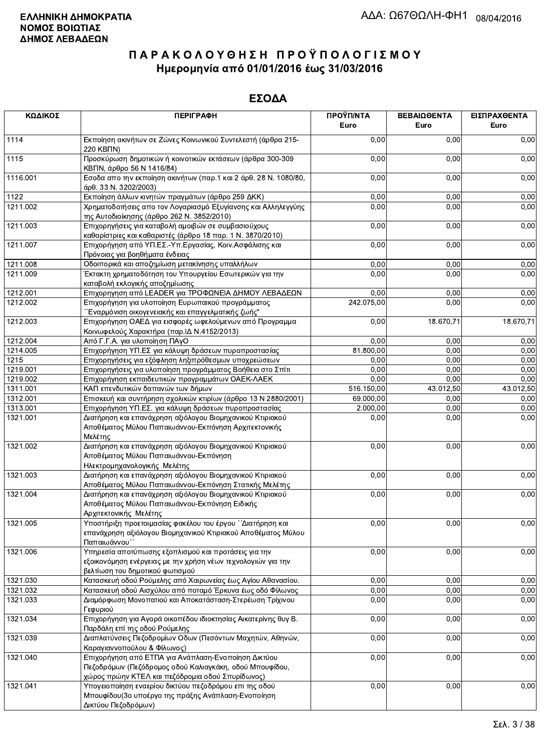| ΚΩΔΙΚΟΣ  | <b>ПЕРІГРАФН</b>                                                                                                                                                   | ΠΡΟΫΠ/ΝΤΑ<br>Euro | ΒΕΒΑΙΩΘΕΝΤΑ<br>Euro | ΕΙΣΠΡΑΧΘΕΝΤΑ<br>Euro |
|----------|--------------------------------------------------------------------------------------------------------------------------------------------------------------------|-------------------|---------------------|----------------------|
| 1114     | Εκποίηση ακινήτων σε Ζώνες Κοινωνικού Συντελεστή (άρθρα 215-<br>220 KBNN)                                                                                          | 0,00              | 0,00                | 0,00                 |
| 1115     | Προσκύρωση δημοτικών ή κοινοτικών εκτάσεων (άρθρα 300-309<br>ΚΒΠΝ, άρθρο 56 Ν 1416/84)                                                                             | 0,00              | 0,00                | 0,00                 |
| 1116.001 | Εσοδα απο την εκποίηση ακινήτων (παρ.1 και 2 άρθ. 28 Ν. 1080/80,<br>άρθ. 33 Ν. 3202/2003)                                                                          | 0,00              | 0,00                | 0,00                 |
| 1122     | Εκποίηση άλλων κινητών πραγμάτων (άρθρο 259 ΔΚΚ)                                                                                                                   | 0,00              | 0,00                | 0,00                 |
| 1211.002 | Χρηματοδοτήσεις απο τον Λογαριασμό Εξυγίανσης και Αλληλεγγύης                                                                                                      | 0,00              | 0,00                | 0,00                 |
| 1211.003 | της Αυτοδιοίκησης (άρθρο 262 Ν. 3852/2010)<br>Επιχορηγήσεις για καταβολή αμοιβών σε συμβασιούχους                                                                  | 0,00              | 0,00                | 0,00                 |
| 1211.007 | καθαρίστριες και καθαριστές (άρθρο 18 παρ. 1 Ν. 3870/2010)<br>Επιχορήγηση από ΥΠ.ΕΣ.-Υπ.Εργασίας, Κοιν.Ασφάλισης και                                               | 0,00              | 0,00                | 0,00                 |
|          | Πρόνοιας για βοηθήματα ένδειας                                                                                                                                     |                   |                     |                      |
| 1211.008 | Οδοιπορικά και αποζημίωση μετακίνησης υπαλλήλων                                                                                                                    | 0,00              | 0,00                | 0,00                 |
| 1211.009 | Έκτακτη χρηματοδότηση του Υπουργείου Εσωτερικών για την<br>καταβολή εκλογικής αποζημίωσης                                                                          | 0,00              | 0,00                | 0,00                 |
| 1212.001 | Επιχορηγηση από LEADER για ΤΡΟΦΩΝΕΙΑ ΔΗΜΟΥ ΛΕΒΑΔΕΩΝ                                                                                                                | 0,00              | 0,00                | 0,00                 |
| 1212.002 | Επιχορήγηση για υλοποίηση Ευρωπαικού προγράμματος<br>Έναρμόνιση οικογενειακής και επαγγελματικής ζωής"                                                             | 242.075,00        | 0,00                | 0,00                 |
| 1212.003 | Επιχορήγηση ΟΑΕΔ για εισφορές ωφελούμενων από Προγραμμα<br>Κοινωφελούς Χαρακτήρα (παρ. ΙΔ Ν.4152/2013)                                                             | 0,00              | 18.670,71           | 18.670,71            |
| 1212.004 | Από Γ.Γ.Α. για υλοποίηση ΠΑγΟ                                                                                                                                      | 0,00              | 0,00                | 0,00                 |
| 1214.005 | Επιχορήγηση ΥΠ.ΕΣ για κάλυψη δράσεων πυροπροστασίας                                                                                                                | 81.800,00         | 0,00                | 0,00                 |
| 1215     | Επιχορηγήσεις για εξόφληση ληξιπρόθεσμων υποχρεώσεων                                                                                                               | 0,00              | 0,00                | 0,00                 |
| 1219.001 | Επιχορηγήσεις για υλοποίηση προγράμματος Βοήθεια στο Σπίτι                                                                                                         | 0,00              | 0,00                | 0,00                 |
| 1219.002 | Επιχορήγηση εκπαιδευτικών προγραμμάτων ΟΑΕΚ-ΛΑΕΚ                                                                                                                   | 0,00              | 0,00                | 0,00                 |
| 1311.001 | ΚΑΠ επενδυτικών δαπανών των δήμων                                                                                                                                  | 516.150,00        | 43.012,50           | 43.012,50            |
| 1312.001 | Επισκευή και συντήρηση σχολικών κτιρίων (άρθρο 13 Ν 2880/2001)                                                                                                     | 69.000,00         | 0,00                | 0,00                 |
| 1313.001 | Επιχορήγηση ΥΠ.ΕΣ. για κάλυψη δράσεων πυροπροστασίας                                                                                                               | 2.000,00          | 0,00                | 0,00                 |
| 1321.001 | Διατήρηση και επανάχρηση αξιόλογου Βιομηχανικού Κτιριακού<br>Αποθέματος Μύλου Παπαιωάννου-Εκπόνηση Αρχιτεκτονικής<br>Μελέτης                                       | 0,00              | 0,00                | 0,00                 |
| 1321.002 | Διατήρηση και επανάχρηση αξιόλογου Βιομηχανικού Κτιριακού<br>Αποθέματος Μύλου Παπαιωάννου-Εκπόνηση<br>Ηλεκτρομηχανολογικής Μελέτης                                 | 0,00              | 0,00                | 0,00                 |
| 1321.003 | Διατήρηση και επανάχρηση αξιόλογου Βιομηχανικού Κτιριακού<br>Αποθέματος Μύλου Παπαιωάννου-Εκπόνηση Στατικής Μελέτης                                                | 0,00              | 0,00                | 0,00                 |
| 1321.004 | Διατήρηση και επανάχρηση αξιόλογου Βιομηχανικού Κτιριακού<br>Αποθέματος Μύλου Παπαιωάννου-Εκπόνηση Ειδικής<br>Αρχιτεκτονικής Μελέτης                               | 0,00              | 0,00                | 0,00                 |
| 1321.005 | Υποστήριξη προετοιμασίας φακέλου του έργου ΄΄Διατήρηση και<br>επανάχρηση αξιόλογου Βιομηχανικού Κτιριακού Αποθέματος Μύλου<br>Παπαιωάννου'                         | 0,00              | 0,00                | 0,00                 |
| 1321.006 | Υπηρεσία αποτύπωσης εξοπλισμού και προτάσεις για την<br>εξοικονόμηση ενέργειας με την χρήση νέων τεχνολογιών για την<br>βελτίωση του δημοτικού φωτισμού            | 0,00              | 0,00                | 0,00                 |
| 1321.030 | Κατασκευή οδού Ρούμελης από Χαιρωνείας έως Αγίου Αθανασίου.                                                                                                        | 0,00              | 0,00                | 0,00                 |
| 1321.032 | Κατασκευή οδού Αισχύλου από ποταμό Έρκυνα έως οδό Φίλωνος                                                                                                          | 0,00              | 0,00                | 0,00                 |
| 1321.033 | Διαμόρφωση Μονοπατιού και Αποκατάσταση-Στερέωση Τρίχινου<br>Γεφυριού                                                                                               | 0,00              | 0,00                | 0,00                 |
| 1321.034 | Επιχορήγηση για Αγορά οικοπέδου ιδιοκτησίας Αικατερίνης θυγ Β.<br>Παρδάλη επί της οδού Ρούμελης                                                                    | 0,00              | 0,00                | 0,00                 |
| 1321.039 | Διαπλατύνσεις Πεζοδρομίων Οδων (Πεσόντων Μαχητών, Αθηνών,<br>Καραγιαννοπούλου & Φίλωνος)                                                                           | 0,00              | 0,00                | 0,00                 |
| 1321.040 | Επιχορήγηση από ΕΤΠΑ για Ανάπλαση-Ενοποίηση Δικτύου<br>Πεζοδρόμων (Πεζόδρομος οδού Καλιαγκάκη, οδού Μπουφίδου,<br>χώρος πρώην ΚΤΕΛ και πεζόδρομια οδού Σπυρίδωνος) | 0,00              | 0,00                | 0,00                 |
| 1321.041 | Υπογειοποίηση εναερίου δικτύου πεζοδρόμου επι της οδού<br>Μπουφίδου (3ο υποέργο της πράξης Ανάπλαση-Ενοποίηση<br>Δικτύου Πεζοδρόμων)                               | 0,00              | 0,00                | 0,00                 |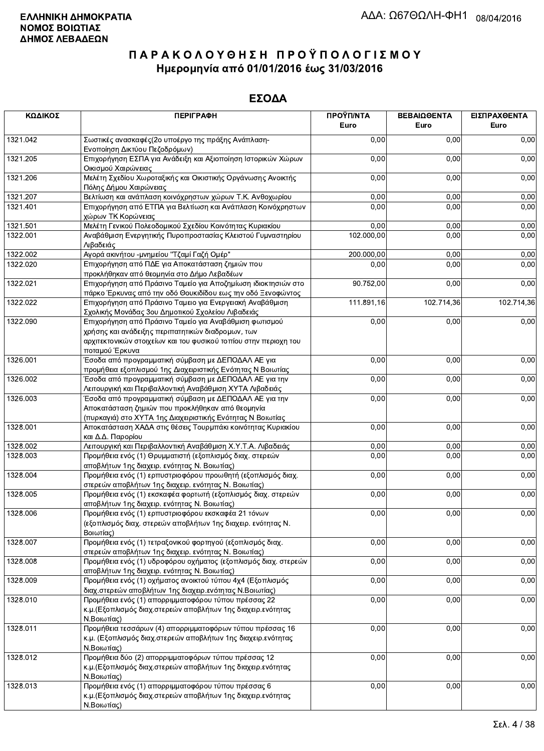| ΚΩΔΙΚΟΣ  | <b>ПЕРІГРАФН</b>                                                                                                                                                        | ΠΡΟΫΠ/ΝΤΑ<br>Euro | ΒΕΒΑΙΩΘΕΝΤΑ<br>Euro | ΕΙΣΠΡΑΧΘΕΝΤΑ<br>Euro |
|----------|-------------------------------------------------------------------------------------------------------------------------------------------------------------------------|-------------------|---------------------|----------------------|
| 1321.042 | Σωστικές ανασκαφές (2ο υποέργο της πράξης Ανάπλαση-<br>Ενοποίηση Δικτύου Πεζοδρόμων)                                                                                    | 0,00              | 0,00                | 0,00                 |
| 1321.205 | Επιχορήγηση ΕΣΠΑ για Ανάδειξη και Αξιοποίηση Ιστορικών Χώρων<br>Οικισμού Χαιρώνειας                                                                                     | 0,00              | 0,00                | 0,00                 |
| 1321.206 | Μελέτη Σχεδίου Χωροταξικής και Οικιστικής Οργάνωσης Ανοικτής<br>Πόλης Δήμου Χαιρώνειας                                                                                  | 0,00              | 0,00                | 0,00                 |
| 1321.207 | Βελτίωση και ανάπλαση κοινόχρηστων χώρων Τ.Κ. Ανθοχωρίου                                                                                                                | 0,00              | 0,00                | 0,00                 |
| 1321.401 | Επιχορήγηση από ΕΤΠΑ για Βελτίωση και Ανάπλαση Κοινόχρηστων<br>χώρων ΤΚ Κορώνειας                                                                                       | 0,00              | 0,00                | 0,00                 |
| 1321.501 | Μελέτη Γενικού Πολεοδομικού Σχεδίου Κοινότητας Κυριακίου                                                                                                                | 0,00              | 0,00                | 0,00                 |
| 1322.001 | Αναβάθμιση Ενεργητικής Πυροπροστασίας Κλειστού Γυμναστηρίου<br>Λιβαδειάς                                                                                                | 102.000,00        | 0,00                | 0,00                 |
| 1322.002 | Αγορά ακινήτου - μνημείου "Τζαμί Γαζή Ομέρ"                                                                                                                             | 200.000,00        | 0,00                | 0,00                 |
| 1322.020 | Επιχορήγηση από ΠΔΕ για Αποκατάσταση ζημιών που<br>προκλήθηκαν από θεομηνία στο Δήμο Λεβαδέων                                                                           | 0,00              | 0,00                | 0,00                 |
| 1322.021 | Επιχορήγηση από Πράσινο Ταμείο για Αποζημίωση ιδιοκτησιών στο<br>πάρκο Έρκυνας από την οδό Θουκιδίδου εως την οδό Ξενοφώντος                                            | 90.752,00         | 0,00                | 0,00                 |
| 1322.022 | Επιχορήγηση από Πράσινο Ταμειο για Ενεργειακή Αναβάθμιση<br>Σχολικής Μονάδας 3ου Δημοτικού Σχολείου Λιβαδειάς                                                           | 111.891,16        | 102.714,36          | 102.714,36           |
| 1322.090 | Επιχορήγηση από Πράσινο Ταμείο για Αναβάθμιση φωτισμού                                                                                                                  | 0,00              | 0,00                | 0,00                 |
|          | χρήσης και ανάδειξης περιπατητικών διαδρομων, των<br>αρχιτεκτονικών στοιχείων και του φυσικού τοπίου στην περιοχη του                                                   |                   |                     |                      |
|          | ποταμού Έρκυνα                                                                                                                                                          |                   |                     |                      |
| 1326.001 | Έσοδα από προγραμματική σύμβαση με ΔΕΠΟΔΑΛ ΑΕ για<br>προμήθεια εξοπλισμού 1ης Διαχειριστικής Ενότητας Ν Βοιωτίας                                                        | 0,00              | 0,00                | 0,00                 |
| 1326.002 | Έσοδα από προγραμματική σύμβαση με ΔΕΠΟΔΑΛ ΑΕ για την<br>Λειτουργική και Περιβαλλοντική Αναβάθμιση ΧΥΤΑ Λιβαδειάς                                                       | 0,00              | 0,00                | 0,00                 |
| 1326.003 | Έσοδα από προγραμματική σύμβαση με ΔΕΠΟΔΑΛ ΑΕ για την<br>Αποκατάσταση ζημιών που προκλήθηκαν από θεομηνία<br>(πυρκαγιά) στο ΧΥΤΑ 1ης Διαχειριστικής Ενότητας Ν Βοιωτίας | 0,00              | 0,00                | 0,00                 |
| 1328.001 | Αποκατάσταση ΧΑΔΑ στις θέσεις Τουρμπάκι κοινότητας Κυριακίου<br>και Δ.Δ. Παρορίου                                                                                       | 0,00              | 0,00                | 0,00                 |
| 1328.002 | Λειτουργική και Περιβαλλοντική Αναβάθμιση Χ.Υ.Τ.Α. Λιβαδειάς                                                                                                            | 0,00              | 0,00                | 0,00                 |
| 1328.003 | Προμήθεια ενός (1) Θρυμματιστή (εξοπλισμός διαχ. στερεών<br>αποβλήτων 1ης διαχειρ. ενότητας Ν. Βοιωτίας)                                                                | 0,00              | 0,00                | 0,00                 |
| 1328.004 | Προμήθεια ενός (1) ερπυστριοφόρου προωθητή (εξοπλισμός διαχ.<br>στερεών αποβλήτων 1ης διαχειρ. ενότητας Ν. Βοιωτίας)                                                    | 0,00              | 0,00                | 0,00                 |
| 1328.005 | Προμήθεια ενός (1) εκσκαφέα φορτωτή (εξοπλισμός διαχ. στερεών<br>αποβλήτων 1ης διαχειρ. ενότητας Ν. Βοιωτίας)                                                           | 0,00              | 0,00                | 0,00                 |
| 1328.006 | Προμήθεια ενός (1) ερπυστριοφόρου εκσκαφέα 21 τόνων<br>(εξοπλισμός διαχ. στερεών αποβλήτων 1ης διαχειρ. ενότητας Ν.<br>Βοιωτίας)                                        | 0,00              | 0,00                | 0,00                 |
| 1328.007 | Προμήθεια ενός (1) τετραξονικού φορτηγού (εξοπλισμός διαχ.<br>στερεών αποβλήτων 1ης διαχειρ. ενότητας Ν. Βοιωτίας)                                                      | 0,00              | 0,00                | 0,00                 |
| 1328.008 | Προμήθεια ενός (1) υδροφόρου οχήματος (εξοπλισμός διαχ. στερεών<br>αποβλήτων 1ης διαχειρ. ενότητας Ν. Βοιωτίας)                                                         | 0,00              | 0,00                | 0,00                 |
| 1328.009 | Προμήθεια ενός (1) οχήματος ανοικτού τύπου 4χ4 (Εξοπλισμός<br>διαχ.στερεών αποβλήτων 1ης διαχειρ.ενότητας Ν.Βοιωτίας)                                                   | 0,00              | 0,00                | 0,00                 |
| 1328.010 | Προμήθεια ενός (1) απορριμματοφόρου τύπου πρέσσας 22<br>κ.μ. (Εξοπλισμός διαχ.στερεών αποβλήτων 1ης διαχειρ.ενότητας                                                    | 0,00              | 0,00                | 0,00                 |
| 1328.011 | Ν.Βοιωτίας)<br>Προμήθεια τεσσάρων (4) απορριμματοφόρων τύπου πρέσσας 16<br>κ.μ. (Εξοπλισμός διαχ.στερεών αποβλήτων 1ης διαχειρ.ενότητας                                 | 0,00              | 0,00                | 0,00                 |
| 1328.012 | Ν.Βοιωτίας)<br>Προμήθεια δύο (2) απορριμματοφόρων τύπου πρέσσας 12<br>κ.μ. (Εξοπλισμός διαχ. στερεών αποβλήτων 1ης διαχειρ. ενότητας                                    | 0,00              | 0,00                | 0,00                 |
| 1328.013 | Ν.Βοιωτίας)<br>Προμήθεια ενός (1) απορριμματοφόρου τύπου πρέσσας 6<br>κ.μ. (Εξοπλισμός διαχ. στερεών αποβλήτων 1ης διαχειρ. ενότητας<br>Ν.Βοιωτίας)                     | 0,00              | 0,00                | 0,00                 |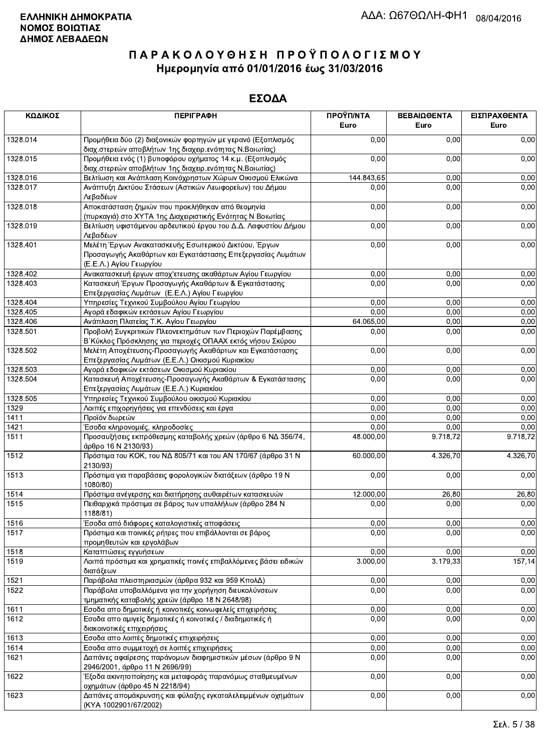| ΚΩΔΙΚΟΣ      | <b>ПЕРІГРАФН</b>                                                                                                                              | ΠΡΟΫΠ/ΝΤΑ<br>Euro | ΒΕΒΑΙΩΘΕΝΤΑ<br>Euro | ΕΙΣΠΡΑΧΘΕΝΤΑ<br>Euro |
|--------------|-----------------------------------------------------------------------------------------------------------------------------------------------|-------------------|---------------------|----------------------|
| 1328.014     | Προμήθεια δύο (2) διαξονικών φορτηγών με γερανό (Εξοπλισμός<br>διαχ.στερεών αποβλήτων 1ης διαχειρ.ενότητας Ν.Βοιωτίας)                        | 0.00              | 0,00                | 0,00                 |
| 1328.015     | Προμήθεια ενός (1) βυτιοφόρου οχήματος 14 κ.μ. (Εξοπλισμός<br>διαχ.στερεών αποβλήτων 1ης διαχειρ.ενότητας Ν.Βοιωτίας)                         | 0,00              | 0,00                | 0,00                 |
| 1328.016     | Βελτίωση και Ανάπλαση Κοινόχρηστων Χώρων Οικισμού Ελικώνα                                                                                     | 144.843,65        | 0,00                | 0,00                 |
| 1328.017     | Ανάπτυξη Δικτύου Στάσεων (Αστικών Λεωφορείων) του Δήμου<br>Λεβαδέων                                                                           | 0,00              | 0,00                | 0,00                 |
| 1328.018     | Αποκατάσταση ζημιών που προκλήθηκαν από θεομηνία<br>(πυρκαγιά) στο ΧΥΤΑ 1ης Διαχειριστικής Ενότητας Ν Βοιωτίας                                | 0,00              | 0,00                | 0,00                 |
| 1328.019     | Βελτίωση υφιστάμενου αρδευτικού έργου του Δ.Δ. Λαφυστίου Δήμου<br>Λεβαδέων                                                                    | 0,00              | 0,00                | 0,00                 |
| 1328.401     | Μελέτη Έργων Ανακατασκευής Εσωτερικού Δικτύου, Έργων<br>Προσαγωγής Ακαθάρτων και Εγκατάστασης Επεξεργασίας Λυμάτων<br>(Ε.Ε.Λ.) Αγίου Γεωργίου | 0,00              | 0,00                | 0,00                 |
| 1328.402     | Ανακατασκευή έργων αποχ'ετευσης ακαθάρτων Αγίου Γεωργίου                                                                                      | 0,00              | 0,00                | 0,00                 |
| 1328.403     | Κατασκευή Έργων Προσαγωγής Ακαθάρτων & Εγκατάστασης<br>Επεξεργασίας Λυμάτων (Ε.Ε.Λ.) Αγίου Γεωργίου                                           | 0,00              | 0,00                | 0,00                 |
| 1328.404     | Υπηρεσίες Τεχνικού Συμβούλου Αγίου Γεωργίου                                                                                                   | 0,00              | 0,00                | 0,00                 |
| 1328.405     | Αγορά εδαφικών εκτάσεων Αγίου Γεωργίου                                                                                                        | 0,00              | 0,00                | 0,00                 |
| 1328.406     | Ανάπλαση Πλατείας Τ.Κ. Αγίου Γεωργίου                                                                                                         | 64.065,00         | 0,00                | 0,00                 |
| 1328.501     | Προβολή Συγκριτικών Πλεονεκτημάτων των Περιοχών Παρέμβασης<br>Β΄ Κύκλος Πρόσκλησης για περιοχές ΟΠΑΑΧ εκτός νήσου Σκύρου                      | 0,00              | 0,00                | 0,00                 |
| 1328.502     | Μελέτη Αποχέτευσης-Προσαγωγής Ακαθάρτων και Εγκατάστασης<br>Επεξεργασίας Λυμάτων (Ε.Ε.Λ.) Οικισμού Κυριακίου                                  | 0,00              | 0,00                | 0,00                 |
| 1328.503     | Αγορά εδαφικών εκτάσεων Οικισμού Κυριακίου                                                                                                    | 0,00              | 0,00                | 0,00                 |
| 1328.504     | Κατασκευή Αποχέτευσης-Προσαγωγής Ακαθάρτων & Εγκατάστασης                                                                                     | 0,00              | 0,00                | 0,00                 |
|              | Επεξεργασίας Λυμάτων (Ε.Ε.Λ.) Κυριακίου                                                                                                       |                   |                     |                      |
| 1328.505     | Υπηρεσίες Τεχνικού Συμβούλου οικισμού Κυριακίου                                                                                               | 0,00<br>0,00      | 0,00                | 0,00                 |
| 1329<br>1411 | Λοιπές επιχορηγήσεις για επενδύσεις και έργα<br>Προϊόν δωρεών                                                                                 | 0,00              | 0,00<br>0,00        | 0,00<br>0,00         |
| 1421         |                                                                                                                                               | 0,00              | 0,00                | 0,00                 |
| 1511         | Έσοδα κληρονομιές, κληροδοσίες<br>Προσαυξήσεις εκπρόθεσμης καταβολής χρεών (άρθρο 6 ΝΔ 356/74,                                                | 48.000,00         | 9.718, 72           | 9.718,72             |
| 1512         | άρθρο 16 Ν 2130/93)<br>Πρόστιμα του ΚΟΚ, του ΝΔ 805/71 και του ΑΝ 170/67 (άρθρο 31 Ν<br>2130/93)                                              | 60.000,00         | 4.326,70            | 4.326,70             |
| 1513         | Πρόστιμα για παραβάσεις φορολογικών διατάξεων (άρθρο 19 Ν<br>1080/80)                                                                         | 0,00              | 0,00                | 0,00                 |
| 1514         | Πρόστιμα ανέγερσης και διατήρησης αυθαιρέτων κατασκευών                                                                                       | 12.000,00         | 26,80               | 26,80                |
| 1515         | Πειθαρχικά πρόστιμα σε βάρος των υπαλλήλων (άρθρο 284 Ν<br>1188/81)                                                                           | 0,00              | 0,00                | 0,00                 |
| 1516         | Έσοδα από διάφορες καταλογιστικές αποφάσεις                                                                                                   | 0,00              | 0,00                | 0,00                 |
| 1517         | Πρόστιμα και ποινικές ρήτρες που επιβάλλονται σε βάρος<br>προμηθευτών και εργολάβων                                                           | 0,00              | 0,00                | 0,00                 |
| 1518         | Καταπτώσεις εγγυήσεων                                                                                                                         | 0,00              | 0,00                | 0,00                 |
| 1519         | Λοιπά πρόστιμα και χρηματικές ποινές επιβαλλόμενες βάσει ειδικών<br>διατάξεων                                                                 | 3.000,00          | 3.179,33            | 157,14               |
| 1521         | Παράβολα πλειστηριασμών (άρθρα 932 και 959 ΚπολΔ)                                                                                             | 0,00              | 0,00                | 0,00                 |
| 1522         | Παράβολα υποβαλλόμενα για την χορήγηση διευκολύνσεων                                                                                          | 0,00              | 0,00                | 0,00                 |
|              | τμηματικής καταβολής χρεών (άρθρο 18 Ν 2648/98)                                                                                               |                   |                     |                      |
| 1611         | Εσοδα απο δημοτικές ή κοινοτικές κοινωφελείς επιχειρήσεις                                                                                     | 0,00              | 0,00                | 0,00                 |
| 1612         | Εσοδα απο αμιγείς δημοτικές ή κοινοτικές / διαδημοτικές ή<br>διακοινοτικές επιχειρήσεις                                                       | 0,00              | 0,00                | 0,00                 |
| 1613         | Εσοδα απο λοιπές δημοτικές επιχειρήσεις                                                                                                       | 0,00              | 0,00                | 0,00                 |
| 1614         | Εσοδα απο συμμετοχή σε λοιπές επιχειρήσεις                                                                                                    | 0,00              | 0,00                | 0,00                 |
| 1621         | Δαπάνες αφαίρεσης παράνομων διαφημιστικών μέσων (άρθρο 9 Ν<br>2946/2001, άρθρο 11 Ν 2696/99)                                                  | 0,00              | 0,00                | 0,00                 |
| 1622         | Έξοδα ακινητοποίησης και μεταφοράς παρανόμως σταθμευμένων<br>οχημάτων (άρθρο 45 Ν 2218/94)                                                    | 0,00              | 0,00                | 0,00                 |
| 1623         | Δαπάνες απομάκρυνσης και φύλαξης εγκαταλελειμμένων οχημάτων<br>(KYA 1002901/67/2002)                                                          | 0,00              | 0,00                | 0,00                 |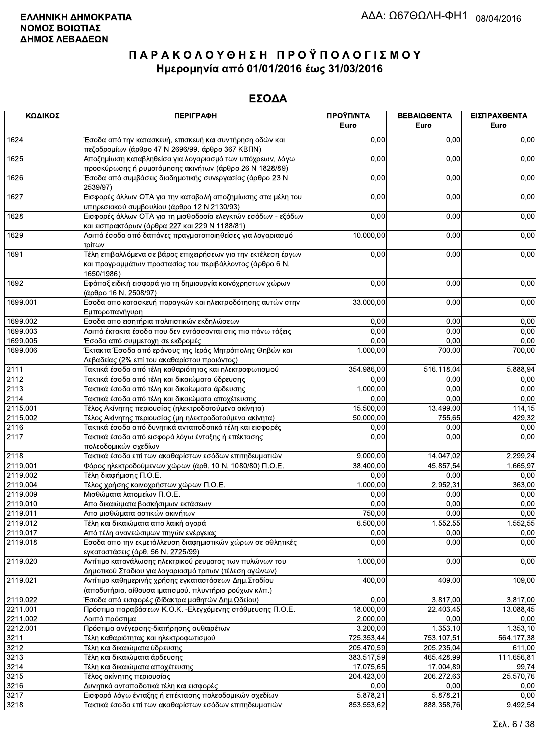| ΚΩΔΙΚΟΣ  | <b>ПЕРІГРАФН</b>                                                                                                                          | ΠΡΟΫΠ/ΝΤΑ<br>Euro | ΒΕΒΑΙΩΘΕΝΤΑ<br>Euro | ΕΙΣΠΡΑΧΘΕΝΤΑ<br>Euro |
|----------|-------------------------------------------------------------------------------------------------------------------------------------------|-------------------|---------------------|----------------------|
| 1624     | Έσοδα από την κατασκευή, επισκευή και συντήρηση οδών και<br>πεζοδρομίων (άρθρο 47 Ν 2696/99, άρθρο 367 ΚΒΠΝ)                              | 0,00              | 0,00                | 0,00                 |
| 1625     | Αποζημίωση καταβληθείσα για λογαριασμό των υπόχρεων, λόγω                                                                                 | 0,00              | 0,00                | 0,00                 |
| 1626     | προσκύρωσης ή ρυμοτόμησης ακινήτων (άρθρο 26 Ν 1828/89)<br>Έσοδα από συμβάσεις διαδημοτικής συνεργασίας (άρθρο 23 Ν<br>2539/97)           | 0,00              | 0,00                | 0,00                 |
| 1627     | Εισφορές άλλων ΟΤΑ για την καταβολή αποζημίωσης στα μέλη του<br>υπηρεσιακού συμβουλίου (άρθρο 12 Ν 2130/93)                               | 0,00              | 0,00                | 0,00                 |
| 1628     | Εισφορές άλλων ΟΤΑ για τη μισθοδοσία ελεγκτών εσόδων - εξόδων<br>και εισπρακτόρων (άρθρα 227 και 229 Ν 1188/81)                           | 0,00              | 0,00                | 0,00                 |
| 1629     | Λοιπά έσοδα από δαπάνες πραγματοποιηθείσες για λογαριασμό<br>τρίτων                                                                       | 10.000,00         | 0,00                | 0,00                 |
| 1691     | Τέλη επιβαλλόμενα σε βάρος επιχειρήσεων για την εκτέλεση έργων<br>και προγραμμάτων προστασίας του περιβάλλοντος (άρθρο 6 Ν.<br>1650/1986) | 0,00              | 0,00                | 0,00                 |
| 1692     | Εφάπαξ ειδική εισφορά για τη δημιουργία κοινόχρηστων χώρων<br>(άρθρο 16 Ν. 2508/97)                                                       | 0,00              | 0,00                | 0,00                 |
| 1699.001 | Εσοδα απο κατασκευή παραγκών και ηλεκτροδότησης αυτών στην<br>Εμποροπανήγυρη                                                              | 33.000,00         | 0,00                | 0,00                 |
| 1699.002 | Εσοδα απο εισητήρια πολιτιστικών εκδηλώσεων                                                                                               | 0,00              | 0,00                | 0,00                 |
| 1699.003 | Λοιπά έκτακτα έσοδα που δεν εντάσσονται στις πιο πάνω τάξεις                                                                              | 0,00              | 0,00                | 0,00                 |
| 1699.005 | Έσοδα από συμμετοχη σε εκδρομές                                                                                                           | 0,00              | 0,00                | 0,00                 |
| 1699.006 | Έκτακτα Έσοδα από εράνους της Ιεράς Μητρόπολης Θηβών και<br>Λεβαδείας (2% επί του ακαθαρίστου προιόντος)                                  | 1.000,00          | 700,00              | 700,00               |
| 2111     | Τακτικά έσοδα από τέλη καθαριότητας και ηλεκτροφωτισμού                                                                                   | 354.986,00        | 516.118,04          | 5.888,94             |
| 2112     | Τακτικά έσοδα από τέλη και δικαιώματα ύδρευσης                                                                                            | 0,00              | 0,00                | 0,00                 |
| 2113     | Τακτικά έσοδα από τέλη και δικαίωματα άρδευσης                                                                                            | 1.000,00          | 0,00                | 0,00                 |
| 2114     | Τακτικά έσοδα από τέλη και δικαιώματα αποχέτευσης                                                                                         | 0,00              | 0.00                | 0,00                 |
| 2115.001 | Τέλος Ακίνητης περιουσίας (ηλεκτροδοτούμενα ακίνητα)                                                                                      | 15.500,00         | 13.499,00           | 114,15               |
| 2115.002 | Τέλος Ακίνητης περιουσίας (μη ηλεκτροδοτούμενα ακίνητα)                                                                                   | 50.000,00         | 755,65              | 429,32               |
| 2116     | Τακτικά έσοδα από δυνητικά ανταποδοτικά τέλη και εισφορές                                                                                 | 0,00              | 0,00                | 0,00                 |
| 2117     | Τακτικά έσοδα από εισφορά λόγω ένταξης ή επέκτασης<br>πολεοδομικών σχεδίων                                                                | 0,00              | 0,00                | 0,00                 |
| 2118     | Τακτικά έσοδα επί των ακαθαρίστων εσόδων επιτηδευματιών                                                                                   | 9.000,00          | 14.047,02           | 2.299,24             |
| 2119.001 | Φόρος ηλεκτροδούμενων χώρων (άρθ. 10 Ν. 1080/80) Π.Ο.Ε.                                                                                   | 38.400,00         | 45.857,54           | 1.665,97             |
| 2119.002 | Τέλη διαφήμισης Π.Ο.Ε.                                                                                                                    | 0,00              | 0,00                | 0,00                 |
| 2119.004 | Τέλος χρήσης κοινοχρήστων χώρων Π.Ο.Ε.                                                                                                    | 1.000,00          | 2.952,31            | 363,00               |
| 2119.009 | Μισθώματα λατομείων Π.Ο.Ε.                                                                                                                | 0,00              | 0,00                | 0,00                 |
| 2119.010 | Απο δικαιώματα βοσκήσιμων εκτάσεων                                                                                                        | 0,00              | 0,00                | 0,00                 |
| 2119.011 | Απο μισθώματα αστικών ακινήτων                                                                                                            | 750,00            | 0,00                | 0,00                 |
| 2119.012 | Τέλη και δικαιώματα απο λαική αγορά                                                                                                       | 6.500,00          | 1.552,55            | 1.552,55             |
| 2119.017 | Από τέλη ανανεώσιμων πηγών ενέργειας                                                                                                      | 0,00              | 0,00                | 0,00                 |
| 2119.018 | Εσοδα απο την εκμετάλλευση διαφημιστικών χώρων σε αθλητικές<br>εγκαταστάσεις (άρθ. 56 Ν. 2725/99)                                         | 0,00              | 0,00                | 0,00                 |
| 2119.020 | Αντίτιμο κατανάλωσης ηλεκτρικού ρευματος των πυλώνων του<br>Δημοτικού Σταδιου για λογαριασμό τριτων (τέλεση αγώνων)                       | 1.000,00          | 0,00                | 0,00                 |
| 2119.021 | Αντίτιμο καθημερινής χρήσης εγκαταστάσεων Δημ.Σταδίου<br>(αποδυτήρια, αίθουσα ιματισμού, πλυντήριο ρούχων κλπ.)                           | 400,00            | 409.00              | 109,00               |
| 2119.022 | Έσοδα από εισφορές (δίδακτρα μαθητών Δημ.Ωδείου)                                                                                          | 0,00              | 3.817,00            | 3.817,00             |
| 2211.001 | Πρόστιμα παραβάσεων Κ.Ο.Κ. - Ελεγχόμενης στάθμευσης Π.Ο.Ε.                                                                                | 18.000,00         | 22.403,45           | 13.088,45            |
| 2211.002 | Λοιπά πρόστιμα                                                                                                                            | 2.000,00          | 0,00                | 0,00                 |
| 2212.001 | Πρόστιμα ανέγερσης-διατήρησης αυθαιρέτων                                                                                                  | 3.200,00          | 1.353, 10           | 1.353,10             |
| 3211     | Τέλη καθαριότητας και ηλεκτροφωτισμού                                                                                                     | 725.353,44        | 753.107,51          | 564.177,38           |
| 3212     | Τέλη και δικαιώματα ύδρευσης                                                                                                              | 205.470,59        | 205.235,04          | 611,00               |
| 3213     | Τέλη και δικαιώματα άρδευσης                                                                                                              | 383.517,59        | 465.428,99          | 111.656,81           |
| 3214     | Τέλη και δικαιώματα αποχέτευσης                                                                                                           | 17.075,65         | 17.004,89           | 99,74                |
| 3215     | Τέλος ακίνητης περιουσίας                                                                                                                 | 204.423,00        | 206.272,63          | 25.570,76            |
| 3216     | Δυνητικά ανταποδοτικά τέλη και εισφορές                                                                                                   | 0,00              | 0,00                | 0,00                 |
| 3217     | Εισφορά λόγω ένταξης ή επέκτασης πολεοδομικών σχεδίων                                                                                     | 5.878,21          | 5.878,21            | 0,00                 |
| 3218     | Τακτικά έσοδα επί των ακαθαρίστων εσόδων επιτηδευματιών                                                                                   | 853.553.62        | 888.358.76          | 9.492.54             |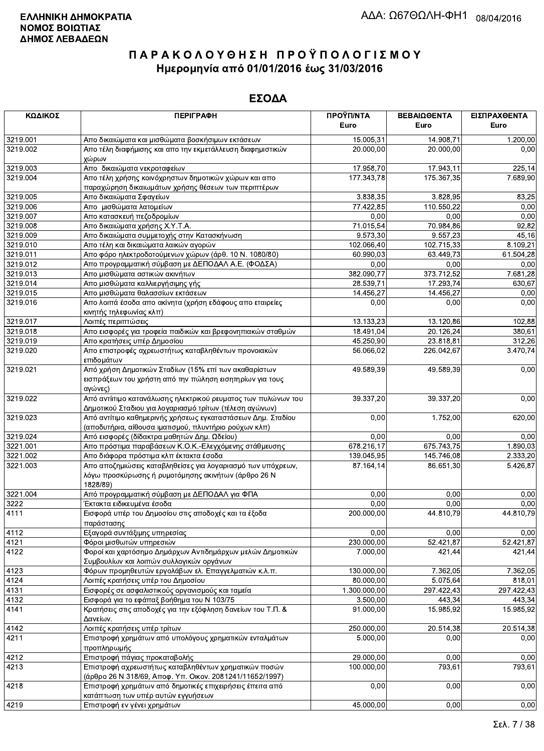| ΚΩΔΙΚΟΣ  | <b>ПЕРІГРАФН</b>                                                                                                               | ΠΡΟΫΠ/ΝΤΑ<br>Euro | ΒΕΒΑΙΩΘΕΝΤΑ | ΕΙΣΠΡΑΧΘΕΝΤΑ<br>Euro |
|----------|--------------------------------------------------------------------------------------------------------------------------------|-------------------|-------------|----------------------|
|          |                                                                                                                                |                   | Euro        |                      |
| 3219.001 | Απο δικαιώματα και μισθώματα βοσκήσιμων εκτάσεων                                                                               | 15.005,31         | 14.908,71   | 1.200,00             |
| 3219.002 | Απο τέλη διαφήμισης και απο την εκμετάλλευση διαφημιστικών<br>χώρων                                                            | 20.000,00         | 20.000,00   | 0,00                 |
| 3219.003 | Απο δικαιώματα νεκροταφείων                                                                                                    | 17.958,70         | 17.943,11   | 225,14               |
| 3219.004 | Απο τέλη χρήσης κοινόχρηστων δημοτικών χώρων και απο<br>παραχώρηση δικαιωμάτων χρήσης θέσεων των περιπτέρων                    | 177.343,78        | 175.367,35  | 7.689,90             |
| 3219.005 | Απο δικαιώματα Σφαγείων                                                                                                        | 3.838,35          | 3.828,95    | 83,25                |
| 3219.006 | Απο μισθώματα λατομείων                                                                                                        | 77.422,85         | 110.550,22  | 0,00                 |
| 3219.007 | Απο κατασκευή πεζοδρομίων                                                                                                      | 0,00              | 0,00        | 0,00                 |
| 3219.008 | Απο δικαιώματα χρήσης Χ.Υ.Τ.Α.                                                                                                 | 71.015,54         | 70.984,86   | 92,82                |
| 3219.009 | Απο δικαιώματα συμμετοχής στην Κατασκήνωση                                                                                     | 9.573,30          | 9.557,23    | 45,16                |
| 3219.010 | Απο τέλη και δικαιώματα λαικών αγορών                                                                                          | 102.066,40        | 102.715,33  | 8.109,21             |
| 3219.011 | Απο φόρο ηλεκτροδοτούμενων χώρων (άρθ. 10 Ν. 1080/80)                                                                          | 60.990,03         | 63.449,73   | 61.504,28            |
| 3219.012 | Απο προγραμματική σύμβαση με ΔΕΠΟΔΑΛ Α.Ε. (ΦΟΔΣΑ)                                                                              | 0,00              | 0,00        | 0,00                 |
| 3219.013 | Απο μισθώματα αστικών ακινήτων                                                                                                 | 382.090,77        | 373.712,52  | 7.681,28             |
| 3219.014 | Απο μισθώματα καλλιεργήσιμης γής                                                                                               | 28.539,71         | 17.293,74   | 630,67               |
| 3219.015 | Απο μισθώματα θαλασσίων εκτάσεων                                                                                               | 14.456,27         | 14.456,27   | 0,00                 |
| 3219.016 | Απο λοιπά έσοδα απο ακίνητα (χρήση εδάφους απο εταιρείες<br>κινητής τηλεφωνίας κλπ)                                            | 0,00              | 0,00        | 0,00                 |
| 3219.017 | Λοιπές περιπτώσεις                                                                                                             | 13.133,23         | 13.120,86   | 102,88               |
| 3219.018 | Απο εισφορές για τροφεία παιδικών και βρεφονηπιακών σταθμών                                                                    | 18.491,04         | 20.126,24   | 380,61               |
| 3219.019 | Απο κρατήσεις υπέρ Δημοσίου                                                                                                    | 45.250,90         | 23.818,81   | 312,26               |
| 3219.020 | Απο επιστροφές αχρεωστήτως καταβληθέντων προνοιακών<br>επιδομάτων                                                              | 56.066,02         | 226.042,67  | 3.470,74             |
| 3219.021 | Από χρήση Δημοτικών Σταδίων (15% επί των ακαθαρίστων<br>εισπράξεων του χρήστη από την πώληση εισητηρίων για τους<br>αγώνες)    | 49.589,39         | 49.589,39   | 0,00                 |
| 3219.022 | Από αντίιτιμο κατανάλωσης ηλεκτρικού ρευματος των πυλώνων του<br>Δημοτικού Σταδιου για λογαριασμό τρίτων (τέλεση αγώνων)       | 39.337,20         | 39.337,20   | 0,00                 |
| 3219.023 | Από αντίτιμο καθημερινής χρήσεως εγκαταστάσεων Δημ. Σταδίου<br>(αποδυτήρια, αίθουσα ιματισμού, πλυντήριο ρούχων κλπ)           | 0,00              | 1.752,00    | 620,00               |
| 3219.024 | Από εισφορές (δίδακτρα μαθητών Δημ. Ωδείου)                                                                                    | 0,00              | 0,00        | 0,00                 |
| 3221.001 | Απο πρόστιμα παραβάσεων Κ.Ο.Κ.-Ελεγχόμενης στάθμευσης                                                                          | 678.216,17        | 675.743,75  | 1.890,03             |
| 3221.002 | Απο διάφορα πρόστιμα κλπ έκτακτα έσοδα                                                                                         | 139.045,95        | 145.746,08  | 2.333,20             |
| 3221.003 | Απο αποζημιώσεις καταβληθείσες για λογαριασμό των υπόχρεων,<br>λόγω προσκύρωσης ή ρυμοτόμησης ακινήτων (άρθρο 26 Ν<br>1828/89) | 87.164,14         | 86.651,30   | 5.426,87             |
| 3221.004 | Από προγραμματική σύμβαση με ΔΕΠΟΔΑΛ για ΦΠΑ                                                                                   | 0,00              | 0,00        | 0,00                 |
| 3222     | Έκτακτα ειδικευμένα έσοδα                                                                                                      | 0,00              | 0,00        | 0,00                 |
| 4111     | Εισφορά υπέρ του Δημοσίου στις αποδοχές και τα έξοδα<br>παράστασης                                                             | 200.000,00        | 44.810,79   | 44.810,79            |
| 4112     | Εξαγορά συντάξιμης υπηρεσίας                                                                                                   | 0,00              | 0,00        | 0,00                 |
| 4121     | Φόροι μισθωτών υπηρεσιών                                                                                                       | 230.000,00        | 52.421,87   | 52.421,87            |
| 4122     | Φοροί και χαρτόσημο Δημάρχων Αντιδημάρχων μελών Δημοτικών<br>Συμβουλίων και λοιπών συλλογικών οργάνων                          | 7.000,00          | 421,44      | 421.44               |
| 4123     | Φόρων προμηθευτών εργολάβων ελ. Επαγγελματιών κ.λ.π.                                                                           | 130.000,00        | 7.362.05    | 7.362,05             |
| 4124     | Λοιπές κρατήσεις υπέρ του Δημοσίου                                                                                             | 80.000,00         | 5.075,64    | 818,01               |
| 4131     | Εισφορές σε ασφαλιστικούς οργανισμούς και ταμεία                                                                               | 1.300.000,00      | 297.422,43  | 297.422,43           |
| 4132     | Εισφορά για το εφάπαξ βοήθημα του Ν 103/75                                                                                     | 3.500,00          | 443,34      | 443,34               |
| 4141     | Κρατήσεις στις αποδοχές για την εξόφληση δανείων του Τ.Π. &<br>Δανείων.                                                        | 91.000,00         | 15.985,92   | 15.985,92            |
| 4142     | Λοιπές κρατήσεις υπέρ τρίτων                                                                                                   | 250.000,00        | 20.514,38   | 20.514,38            |
| 4211     | Επιστροφή χρημάτων από υπολόγους χρηματικών ενταλμάτων<br>προπληρωμής                                                          | 5.000,00          | 0,00        | 0,00                 |
| 4212     | Επιστροφή πάγιας προκαταβολής                                                                                                  | 29.000,00         | 0,00        | 0,00                 |
| 4213     | Επιστροφή αχρεωστήτως καταβληθέντων χρηματικών ποσών<br>(άρθρο 26 Ν 318/69, Αποφ. Υπ. Οικον. 2081241/11652/1997)               | 100.000,00        | 793,61      | 793,61               |
| 4218     | Επιστροφή χρημάτων από δημοτικές επιχειρήσεις έπειτα από<br>κατάπτωση των υπέρ αυτών εγγυήσεων                                 | 0,00              | 0,00        | 0,00                 |
| 4219     | Επιστροφή εν γένει χρημάτων                                                                                                    | 45.000,00         | 0,00        | 0,00                 |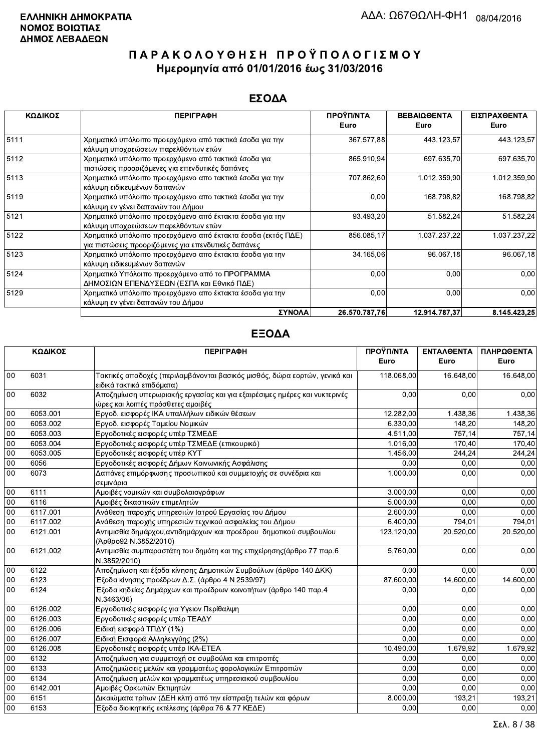#### ΕΣΟΔΑ

| ΚΩΔΙΚΟΣ | <b>ПЕРІГРАФН</b>                                                                                                    | ΠΡΟΫΠ/ΝΤΑ<br><b>Euro</b> | ΒΕΒΑΙΩΘΕΝΤΑ<br>Euro | ΕΙΣΠΡΑΧΘΕΝΤΑ<br>Euro |
|---------|---------------------------------------------------------------------------------------------------------------------|--------------------------|---------------------|----------------------|
| 5111    | Χρηματικό υπόλοιπο προερχόμενο από τακτικά έσοδα για την<br>κάλυψη υποχρεώσεων παρελθόντων ετών                     | 367.577,88               | 443.123,57          | 443.123,57           |
| 5112    | Χρηματικό υπόλοιπο προερχόμενο από τακτικά έσοδα για<br>πιστώσεις προοριζόμενες για επενδυτικές δαπάνες             | 865.910,94               | 697 635,70          | 697.635,70           |
| 5113    | Χρηματικό υπόλοιπο προερχόμενο απο τακτικά έσοδα για την<br>κάλυψη ειδικευμένων δαπανών                             | 707.862,60               | 1.012.359,90        | 1.012.359,90         |
| 5119    | Χρηματικό υπόλοιπο προερχόμενο απο τακτικά έσοδα για την<br>κάλυψη εν γένει δαπανών του Δήμου                       | 0,00                     | 168.798,82          | 168.798,82           |
| 5121    | Χρηματικό υπόλοιπο προερχόμενο από έκτακτα έσοδα για την<br>κάλυψη υποχρεώσεων παρελθόντων ετών                     | 93.493,20                | 51.582,24           | 51.582,24            |
| 5122    | Χρηματικό υπόλοιπο προερχόμενο από έκτακτα έσοδα (εκτός ΠΔΕ)<br>για πιστώσεις προοριζόμενες για επενδυτικές δαπάνες | 856.085,17               | 1.037.237,22        | 1.037.237,22         |
| 5123    | Χρηματικό υπόλοιπο προερχόμενο απο έκτακτα έσοδα για την<br>κάλυψη ειδικευμένων δαπανών                             | 34.165,06                | 96.067,18           | 96.067,18            |
| 5124    | Χρηματικό Υπόλοιπο προερχόμενο από το ΠΡΟΓΡΑΜΜΑ<br>ΔΗΜΟΣΙΩΝ ΕΠΕΝΔΥΣΕΩΝ (ΕΣΠΑ και Εθνικό ΠΔΕ)                        | 0,00                     | 0,00                | 0,00                 |
| 5129    | Χρηματικό υπόλοιπο προερχόμενο απο έκτακτα έσοδα για την<br>κάλυψη εν γένει δαπανών του Δήμου                       | 0,00                     | 0,00                | 0,00                 |
|         | ΣΥΝΟΛΑ                                                                                                              | 26.570.787.76            | 12.914.787.37       | 8.145.423.25         |

|        | ΚΩΔΙΚΟΣ  | <b>ПЕРІГРАФН</b>                                                                                               | ΠΡΟΫΠ/ΝΤΑ  | <b>ENTAΛΘΕΝΤΑ</b> | ΠΛΗΡΩΘΕΝΤΑ |
|--------|----------|----------------------------------------------------------------------------------------------------------------|------------|-------------------|------------|
|        |          |                                                                                                                | Euro       | Euro              | Euro       |
| 00     | 6031     | Τακτικές αποδοχές (περιλαμβάνονται βασικός μισθός, δώρα εορτών, γενικά και<br>ειδικά τακτικά επιδόματα)        | 118.068,00 | 16.648,00         | 16.648,00  |
| 00     | 6032     | Αποζημίωση υπερωριακής εργασίας και για εξαιρέσιμες ημέρες και νυκτερινές<br>ώρες και λοιπές πρόσθετες αμοιβές | 0,00       | 0,00              | 0,00       |
| 00     | 6053.001 | Εργοδ. εισφορές ΙΚΑ υπαλλήλων ειδικών θέσεων                                                                   | 12.282,00  | 1.438,36          | 1.438,36   |
| 00     | 6053.002 | Εργοδ. εισφορές Ταμείου Νομικών                                                                                | 6.330,00   | 148,20            | 148,20     |
| 00     | 6053.003 | Εργοδοτικές εισφορές υπέρ ΤΣΜΕΔΕ                                                                               | 4.511,00   | 757,14            | 757,14     |
| 00     | 6053.004 | Εργοδοτικές εισφορές υπέρ ΤΣΜΕΔΕ (επικουρικό)                                                                  | 1.016,00   | 170.40            | 170,40     |
| 00     | 6053.005 | Εργοδοτικές εισφορές υπέρ ΚΥΤ                                                                                  | 1.456,00   | 244,24            | 244,24     |
| $00\,$ | 6056     | Εργοδοτικές εισφορές Δήμων Κοινωνικής Ασφάλισης                                                                | 0,00       | 0,00              | 0,00       |
| 00     | 6073     | Δαπάνες επιμόρφωσης προσωπικού και συμμετοχής σε συνέδρια και<br>σεμινάρια                                     | 1.000,00   | 0,00              | 0,00       |
| 00     | 6111     | Αμοιβές νομικών και συμβολαιογράφων                                                                            | 3.000,00   | 0,00              | 0,00       |
| $00\,$ | 6116     | Αμοιβές δικαστικών επιμελητών                                                                                  | 5.000,00   | 0,00              | 0,00       |
| 00     | 6117.001 | Ανάθεση παροχής υπηρεσιών Ιατρού Εργασίας του Δήμου                                                            | 2.600,00   | 0,00              | 0,00       |
| $00\,$ | 6117.002 | Ανάθεση παροχής υπηρεσιών τεχνικού ασφαλείας του Δήμου                                                         | 6.400,00   | 794,01            | 794,01     |
| $00\,$ | 6121.001 | Αντιμισθία δημάρχου, αντιδημάρχων και προέδρου δημοτικού συμβουλίου<br>(Άρθρο92 Ν.3852/2010)                   | 123.120,00 | 20.520.00         | 20.520,00  |
| $00\,$ | 6121.002 | Αντιμισθία συμπαραστάτη του δημότη και της επιχείρησης (άρθρο 77 παρ.6<br>N.3852/2010)                         | 5.760,00   | 0,00              | 0,00       |
| $00\,$ | 6122     | Αποζημίωση και έξοδα κίνησης Δημοτικών Συμβούλων (άρθρο 140 ΔΚΚ)                                               | 0.00       | 0.00              | 0,00       |
| $00\,$ | 6123     | Έξοδα κίνησης προέδρων Δ.Σ. (άρθρο 4 Ν 2539/97)                                                                | 87.600,00  | 14.600,00         | 14.600,00  |
| 00     | 6124     | Έξοδα κηδείας Δημάρχων και προέδρων κοινοτήτων (άρθρο 140 παρ.4<br>N.3463/06)                                  | 0,00       | 0,00              | 0,00       |
| $00\,$ | 6126.002 | Εργοδοτικές εισφορές για Υγειον Περίθαλψη                                                                      | 0.00       | 0,00              | 0,00       |
| 00     | 6126.003 | Εργοδοτικές εισφορές υπέρ ΤΕΑΔΥ                                                                                | 0.00       | 0,00              | 0,00       |
| 00     | 6126.006 | Ειδική εισφορά ΤΠΔΥ (1%)                                                                                       | 0.00       | 0.00              | 0.00       |
| 00     | 6126.007 | Ειδική Εισφορά Αλληλεγγύης (2%)                                                                                | 0,00       | 0,00              | 0.00       |
| 00     | 6126.008 | Εργοδοτικές εισφορές υπέρ ΙΚΑ-ΕΤΕΑ                                                                             | 10.490,00  | 1.679,92          | 1.679,92   |
| $00\,$ | 6132     | Αποζημίωση για συμμετοχή σε συμβούλια και επιτροπές                                                            | 0.00       | 0,00              | 0.00       |
| 00     | 6133     | Αποζημιώσεις μελών και γραμματέως φορολογικών Επιτροπών                                                        | 0.00       | 0,00              | 0,00       |
| 00     | 6134     | Αποζημίωση μελών και γραμματέως υπηρεσιακού συμβουλίου                                                         | 0,00       | 0,00              | 0,00       |
| 00     | 6142.001 | Αμοιβές Ορκωτών Εκτιμητών                                                                                      | 0.00       | 0.00              | 0,00       |
| 00     | 6151     | Δικαιώματα τρίτων (ΔΕΗ κλπ) από την είσπραξη τελών και φόρων                                                   | 8.000,00   | 193,21            | 193,21     |
| 00     | 6153     | Έξοδα διοικητικής εκτέλεσης (άρθρα 76 & 77 ΚΕΔΕ)                                                               | 0,00       | 0,00              | 0,00       |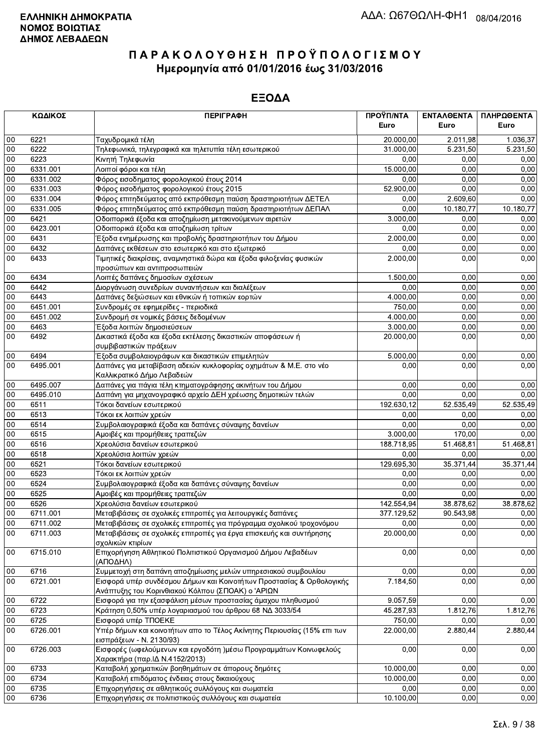|                  | ΚΩΔΙΚΟΣ          | <b>ПЕРІГРАФН</b>                                                                                                                      | ΠΡΟΫΠ/ΝΤΑ<br>Euro | ΕΝΤΑΛΘΕΝΤΑ<br>Euro | ΠΛΗΡΩΘΕΝΤΑ<br>Euro |
|------------------|------------------|---------------------------------------------------------------------------------------------------------------------------------------|-------------------|--------------------|--------------------|
| 00               | 6221             | Ταχυδρομικά τέλη                                                                                                                      | 20.000,00         | 2.011,98           | 1.036,37           |
| 00               | 6222             | Τηλεφωνικά, τηλεγραφικά και τηλετυπία τέλη εσωτερικού                                                                                 | 31.000,00         | 5.231,50           | 5.231,50           |
| 00               | 6223             | Κινητή Τηλεφωνία                                                                                                                      | 0,00              | 0,00               | 0,00               |
| 00               | 6331.001         | Λοιποί φόροι και τέλη                                                                                                                 | 15.000,00         | 0,00               | 0,00               |
| 00               | 6331.002         | Φόρος εισοδηματος φορολογικού έτους 2014                                                                                              | 0.00              | 0.00               | 0,00               |
| 00               | 6331.003         | Φόρος εισοδήματος φορολογικού έτους 2015                                                                                              | 52.900,00         | 0,00               | 0,00               |
| 00               | 6331.004         | Φόρος επιτηδεύματος από εκπρόθεσμη παύση δραστηριοτήτων ΔΕΤΕΛ                                                                         | 0,00              | 2.609,60           | 0,00               |
| 00               | 6331.005         | Φόρος επιτηδεύματος από εκπρόθεσμη παύση δραστηριοτήτων ΔΕΠΑΛ                                                                         | 0,00              | 10.180,77          | 10.180,77          |
| 00               | 6421             | Οδοιπορικά έξοδα και αποζημίωση μετακινούμενων αιρετών                                                                                | 3.000,00          | 0.00               | 0,00               |
| 00               | 6423.001         | Οδοιπορικά έξοδα και αποζημίωση τρίτων                                                                                                | 0.00              | 0,00               | 0,00               |
| 00               | 6431             | Έξοδα ενημέρωσης και προβολής δραστηριοτήτων του Δήμου                                                                                | 2.000,00          | 0,00               | 0,00               |
| $00\,$           | 6432             | Δαπάνες εκθέσεων στο εσωτερικό και στο εξωτερικό                                                                                      | 0,00              | 0,00               | 0,00               |
| 00               | 6433             | Τιμητικές διακρίσεις, αναμνηστικά δώρα και έξοδα φιλοξενίας φυσικών                                                                   | 2.000,00          | 0,00               | 0,00               |
|                  |                  | προσώπων και αντιπροσωπειών                                                                                                           |                   |                    |                    |
| 00               | 6434             | Λοιπές δαπάνες δημοσίων σχέσεων                                                                                                       | 1.500,00          | 0,00               | 0,00               |
| 00               | 6442             | Διοργάνωση συνεδρίων συναντήσεων και διαλέξεων                                                                                        | 0,00              | 0.00               | 0.00               |
| $00\,$           | 6443             | Δαπάνες δεξιώσεων και εθνικών ή τοπικών εορτών                                                                                        | 4.000,00          | 0,00               | 0,00               |
| 00               | 6451.001         | Συνδρομές σε εφημερίδες - περιοδικά                                                                                                   | 750,00            | 0,00               | 0,00               |
| 00               | 6451.002         | Συνδρομή σε νομικές βάσεις δεδομένων                                                                                                  | 4.000,00          | 0,00               | 0,00               |
| 00               | 6463             |                                                                                                                                       | 3.000,00          | 0,00               | 0,00               |
| 00               | 6492             | Έξοδα λοιπών δημοσιεύσεων                                                                                                             | 20.000,00         | 0,00               | 0,00               |
|                  |                  | Δικαστικά έξοδα και έξοδα εκτέλεσης δικαστικών αποφάσεων ή<br>συμβιβαστικών πράξεων                                                   |                   |                    |                    |
| 00               | 6494             | Έξοδα συμβολαιογράφων και δικαστικών επιμελητών                                                                                       | 5.000,00          | 0,00               | 0,00               |
| 00               | 6495.001         | Δαπάνες για μεταβίβαση αδειών κυκλοφορίας οχημάτων & Μ.Ε. στο νέο                                                                     | 0,00              | 0,00               | 0,00               |
|                  |                  | Καλλικρατικό Δήμο Λεβαδεών                                                                                                            |                   |                    |                    |
| $00\,$           | 6495.007         | Δαπάνες για πάγια τέλη κτηματογράφησης ακινήτων του Δήμου                                                                             | 0.00              | 0,00               | 0,00               |
| 00               | 6495.010         | Δαπάνη για μηχανογραφικό αρχείο ΔΕΗ χρέωσης δημοτικών τελών                                                                           | 0,00              | 0,00               | 0,00               |
| 00               | 6511             | Τόκοι δανείων εσωτερικού                                                                                                              | 192.630,12        | 52.535,49          | 52.535,49          |
| 00               | 6513             | Τόκοι εκ λοιπών χρεών                                                                                                                 | 0,00              | 0,00               | 0,00               |
| 00               | 6514             | Συμβολαιογραφικά έξοδα και δαπάνες σύναψης δανείων                                                                                    | 0,00              | 0.00               | 0,00               |
| 00               | 6515             | Αμοιβές και προμήθειες τραπεζών                                                                                                       | 3.000,00          | 170,00             | 0,00               |
| 00               | 6516             | Χρεολύσια δανείων εσωτερικού                                                                                                          | 188.718,95        | 51.468,81          | 51.468,81          |
| 00               | 6518             | Χρεολύσια λοιπών χρεών                                                                                                                | 0,00              | 0,00               | 0,00               |
| 00               | 6521             | Τόκοι δανείων εσωτερικού                                                                                                              | 129.695,30        | 35.371,44          | 35.371,44          |
| 00               | 6523             |                                                                                                                                       |                   |                    |                    |
| 00               | 6524             | Τόκοι εκ λοιπών χρεών<br>Συμβολαιογραφικά έξοδα και δαπάνες σύναψης δανείων                                                           | 0,00<br>0,00      | 0,00               | 0,00               |
| 00               | 6525             |                                                                                                                                       | 0,00              | 0,00<br>0,00       | 0,00<br>0,00       |
| 00               | 6526             | Αμοιβές και προμήθειες τραπεζών<br>Χρεολύσια δανείων εσωτερικού                                                                       | 142.554,94        | 38.878,62          | 38.878,62          |
| 00               | 6711.001         |                                                                                                                                       |                   |                    |                    |
|                  |                  | Μεταβιβάσεις σε σχολικές επιτροπές για λειτουργικές δαπάνες                                                                           | 377.129,52        | 90.543,98          | 0,00               |
| 00<br>$00\,$     | 6711.002         | Μεταβιβάσεις σε σχολικές επιτροπές για πρόγραμμα σχολικού τροχονόμου                                                                  | 0,00              | 0,00               | 0,00               |
|                  | 6711.003         | Μεταβιβάσεις σε σχολικές επιτροπές για έργα επισκευής και συντήρησης                                                                  | 20.000,00         | 0,00               | 0,00               |
| $00\,$           | 6715.010         | σχολικών κτιρίων<br>Επιχορήγηση Αθλητικού Πολιτιστικού Οργανισμού Δήμου Λεβαδέων                                                      | 0,00              | 0,00               | 0,00               |
|                  |                  | (ΑΠΟΔΗΛ)                                                                                                                              | 0,00              |                    | 0,00               |
| $00\,$<br>$00\,$ | 6716<br>6721.001 | Συμμετοχή στη δαπάνη αποζημίωσης μελών υπηρεσιακού συμβουλίου<br>Εισφορά υπέρ συνδέσμου Δήμων και Κοινοτήτων Προστασίας & Ορθολογικής | 7.184,50          | 0,00<br>0,00       | 0,00               |
|                  |                  | Ανάπτυξης του Κορινθιακού Κόλπου (ΣΠΟΑΚ) ο 'ΑΡΙΩΝ                                                                                     |                   |                    |                    |
| $00\,$           | 6722             | Εισφορά για την εξασφάλιση μέσων προστασίας άμαχου πληθυσμού                                                                          | 9.057,59          | 0,00               | 0,00               |
| 00               | 6723             | Κράτηση 0,50% υπέρ λογαριασμού του άρθρου 68 ΝΔ 3033/54                                                                               | 45.287,93         | 1.812,76           | 1.812,76           |
| $00\,$           | 6725             | Εισφορά υπέρ ΤΠΟΕΚΕ                                                                                                                   | 750,00            | 0,00               | 0,00               |
| 00               | 6726.001         | Υπέρ δήμων και κοινοτήτων απο το Τέλος Ακίνητης Περιουσίας (15% επι των                                                               | 22.000,00         | 2.880,44           | 2.880,44           |
|                  |                  | εισπράξεων - Ν. 2130/93)                                                                                                              |                   |                    |                    |
| 00               | 6726.003         | Εισφορές (ωφελούμενων και εργοδότη )μέσω Προγραμμάτων Κοινωφελούς<br>Χαρακτήρα (παρ.ΙΔ Ν.4152/2013)                                   | 0,00              | 0,00               | 0,00               |
| 00               | 6733             | Καταβολή χρηματικών βοηθημάτων σε άπορους δημότες                                                                                     | 10.000,00         | 0,00               | 0,00               |
| 00               | 6734             | Καταβολή επιδόματος ένδειας στους δικαιούχους                                                                                         | 10.000,00         | 0,00               | 0,00               |
| 00               | 6735             | Επιχορηγήσεις σε αθλητικούς συλλόγους και σωματεία                                                                                    | 0,00              | 0,00               | 0,00               |
| $00\,$           | 6736             | Επιχορηγήσεις σε πολιτιστικούς συλλόγους και σωματεία                                                                                 | 10.100,00         | 0,00               | 0,00               |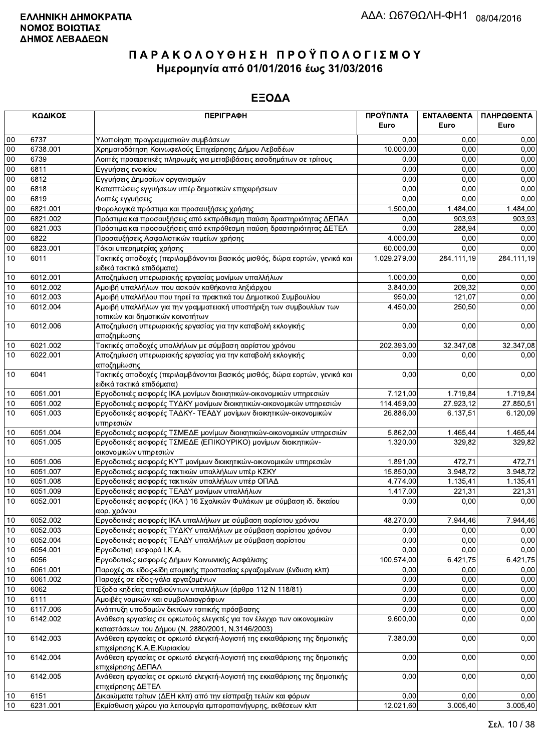| 6737<br>0,00<br>$00\,$<br>Υλοποίηση προγραμματικών συμβάσεων<br>0,00<br>0.00<br>00<br>6738.001<br>Χρηματοδότηση Κοινωφελούς Επιχείρησης Δήμου Λεβαδέων<br>10.000,00<br>0,00<br>0,00<br>00<br>6739<br>0,00<br>0,00<br>0,00<br>Λοιπές προαιρετικές πληρωμές για μεταβιβάσεις εισοδημάτων σε τρίτους<br>00<br>6811<br>0,00<br>0,00<br>0,00<br>Εγγυήσεις ενοικίου<br>0,00<br>6812<br>0,00<br>00<br>Εγγυήσεις Δημοσίων οργανισμών<br>0,00<br>0,00<br>0,00<br>0,00<br>00<br>6818<br>Καταπτώσεις εγγυήσεων υπέρ δημοτικών επιχειρήσεων<br>00<br>6819<br>0,00<br>0,00<br>0,00<br>Λοιπές εγγυήσεις<br>00<br>6821.001<br>Φορολογικά πρόστιμα και προσαυξήσεις χρήσης<br>1.500,00<br>1.484,00<br>1.484,00<br>00<br>6821.002<br>Πρόστιμα και προσαυξήσεις από εκπρόθεσμη παύση δραστηριότητας ΔΕΠΑΛ<br>0,00<br>903.93<br>903,93<br>0,00<br>00<br>6821.003<br>288,94<br>Πρόστιμα και προσαυξήσεις από εκπρόθεσμη παύση δραστηριότητας ΔΕΤΕΛ<br>0,00<br>4.000,00<br>0,00<br>00<br>6822<br>Προσαυξήσεις Ασφαλιστικών ταμείων χρήσης<br>0,00<br>6823.001<br>00<br>60.000,00<br>0,00<br>0,00<br>Τόκοι υπερημερίας χρήσης<br>10<br>6011<br>Τακτικές αποδοχές (περιλαμβάνονται βασικός μισθός, δώρα εορτών, γενικά και<br>1.029.279,00<br>284.111,19<br>284.111,19<br>ειδικά τακτικά επιδόματα)<br>6012.001<br>1.000,00<br>0,00<br>0,00<br>10<br>Αποζημίωση υπερωριακής εργασίας μονίμων υπαλλήλων<br>6012.002<br>Αμοιβή υπαλλήλων που ασκούν καθήκοντα ληξιάρχου<br>3.840,00<br>209.32<br>0.00<br>10<br>950,00<br>10<br>6012.003<br>Αμοιβή υπαλλήλου που τηρεί τα πρακτικά του Δημοτικού Συμβουλίου<br>121,07<br>0,00<br>10<br>6012.004<br>4.450,00<br>250,50<br>0,00<br>Αμοιβή υπαλλήλων για την γραμματειακή υποστήριξη των συμβουλίων των<br>τοπικών και δημοτικών κοινοτήτων<br>10<br>0,00<br>0,00<br>0,00<br>6012.006<br>Αποζημίωση υπερωριακής εργασίας για την καταβολή εκλογικής<br>αποζημίωσης<br>10<br>6021.002<br>Τακτικές αποδοχές υπαλλήλων με σύμβαση αορίστου χρόνου<br>202.393,00<br>32.347,08<br>32.347,08<br>6022.001<br>10<br>Αποζημίωση υπερωριακής εργασίας για την καταβολή εκλογικής<br>0,00<br>0,00<br>0,00<br>αποζημίωσης<br>10<br>6041<br>Τακτικές αποδοχές (περιλαμβάνονται βασικός μισθός, δώρα εορτών, γενικά και<br>0,00<br>0,00<br>ειδικά τακτικά επιδόματα)<br>6051.001<br>Εργοδοτικές εισφορές ΙΚΑ μονίμων διοικητικών-οικονομικών υπηρεσιών<br>7.121,00<br>1.719,84<br>1.719,84<br>10<br>6051.002<br>114.459,00<br>27.923,12<br>Εργοδοτικές εισφορές ΤΥΔΚΥ μονίμων διοικητικών-οικονομικών υπηρεσιών<br>10<br>10<br>6051.003<br>Εργοδοτικές εισφορές ΤΑΔΚΥ- ΤΕΑΔΥ μονίμων διοικητικών-οικονομικών<br>6.137,51<br>26.886,00<br>υπηρεσιών<br>10<br>6051.004<br>1.465,44<br>Εργοδοτικές εισφορές ΤΣΜΕΔΕ μονίμων διοικητικών-οικονομικών υπηρεσιών<br>5.862,00<br>1.465,44<br>10<br>6051.005<br>Εργοδοτικές εισφορές ΤΣΜΕΔΕ (ΕΠΙΚΟΥΡΙΚΟ) μονίμων διοικητικών-<br>1.320,00<br>329,82<br>οικονομικών υπηρεσιών<br>6051.006<br>Εργοδοτικές εισφορές ΚΥΤ μονίμων διοικητικών-οικονομικών υπηρεσιών<br>10<br>1.891,00<br>472,71<br>10<br>3.948,72<br>6051.007<br>Εργοδοτικές εισφορές τακτικών υπαλλήλων υπέρ ΚΣΚΥ<br>15.850,00<br>10<br>6051.008<br>Εργοδοτικές εισφορές τακτικών υπαλλήλων υπέρ ΟΠΑΔ<br>4.774,00<br>1.135,41<br>6051.009<br>1.417,00<br>221,31<br>10<br>Εργοδοτικές εισφορές ΤΕΑΔΥ μονίμων υπαλλήλων<br>6052.001<br>0,00<br>10<br>Εργοδοτικές εισφορές (ΙΚΑ) 16 Σχολικών Φυλάκων με σύμβαση ιδ. δικαίου<br>0,00<br>αορ. χρόνου<br>10<br>6052.002<br>Εργοδοτικές εισφορές ΙΚΑ υπαλλήλων με σύμβαση αορίστου χρόνου<br>48.270,00<br>7.944,46<br>7.944,46<br>10<br>6052.003<br>Εργοδοτικές εισφορές ΤΥΔΚΥ υπαλλήλων με σύμβαση αορίστου χρόνου<br>0,00<br>0,00<br>0,00<br>6052.004<br>Εργοδοτικές εισφορές ΤΕΑΔΥ υπαλλήλων με σύμβαση αορίστου<br>0,00<br>10<br>10<br>6054.001<br>Εργοδοτική εισφορά Ι.Κ.Α.<br>0,00<br>0,00<br>10<br>6056<br>Εργοδοτικές εισφορές Δήμων Κοινωνικής Ασφάλισης<br>100.574,00<br>6.421,75<br>6061.001<br>Παροχές σε είδος-είδη ατομικής προστασίας εργαζομένων (ένδυση κλπ)<br>0,00<br>0,00<br>10<br>6061.002<br>0,00<br>0,00<br>10<br>Παροχές σε είδος-γάλα εργαζομένων<br>0,00<br>0,00<br>6062<br>Έξοδα κηδείας αποβιούντων υπαλλήλων (άρθρο 112 Ν 118/81)<br>10<br>6111<br>Αμοιβές νομικών και συμβολαιογράφων<br>0,00<br>0,00<br>10<br>6117.006<br>Ανάπτυξη υποδομών δικτύων τοπικής πρόσβασης<br>0,00<br>0,00<br>10<br>Ανάθεση εργασίας σε ορκωτούς ελεγκτές για τον έλεγχο των οικονομικών<br>10<br>6142.002<br>9.600,00<br>0,00<br>καταστάσεων του Δήμου (Ν. 2880/2001, Ν.3146/2003)<br>$10\,$<br>6142.003<br>0,00<br>Ανάθεση εργασίας σε ορκωτό ελεγκτή-λογιστή της εκκαθάρισης της δημοτικής<br>7.380,00<br>επιχείρησης Κ.Α.Ε.Κυριακίου<br>Ανάθεση εργασίας σε ορκωτό ελεγκτή-λογιστή της εκκαθάρισης της δημοτικής<br>10<br>6142.004<br>0,00<br>0,00<br>επιχείρησης ΔΕΠΑΛ<br>0,00<br>6142.005<br>Ανάθεση εργασίας σε ορκωτό ελεγκτή-λογιστή της εκκαθάρισης της δημοτικής<br>0,00<br>10<br>επιχείρησης ΔΕΤΕΛ<br>0,00<br>10<br>6151<br>Δικαιώματα τρίτων (ΔΕΗ κλπ) από την είσπραξη τελών και φόρων<br>0,00<br>0,00 |    | ΚΩΔΙΚΟΣ  | <b>ПЕРІГРАФН</b>                                             | ΠΡΟΫΠ/ΝΤΑ<br>Euro | ΕΝΤΑΛΘΕΝΤΑ<br>Euro | ΠΛΗΡΩΘΕΝΤΑ<br>Euro |
|---------------------------------------------------------------------------------------------------------------------------------------------------------------------------------------------------------------------------------------------------------------------------------------------------------------------------------------------------------------------------------------------------------------------------------------------------------------------------------------------------------------------------------------------------------------------------------------------------------------------------------------------------------------------------------------------------------------------------------------------------------------------------------------------------------------------------------------------------------------------------------------------------------------------------------------------------------------------------------------------------------------------------------------------------------------------------------------------------------------------------------------------------------------------------------------------------------------------------------------------------------------------------------------------------------------------------------------------------------------------------------------------------------------------------------------------------------------------------------------------------------------------------------------------------------------------------------------------------------------------------------------------------------------------------------------------------------------------------------------------------------------------------------------------------------------------------------------------------------------------------------------------------------------------------------------------------------------------------------------------------------------------------------------------------------------------------------------------------------------------------------------------------------------------------------------------------------------------------------------------------------------------------------------------------------------------------------------------------------------------------------------------------------------------------------------------------------------------------------------------------------------------------------------------------------------------------------------------------------------------------------------------------------------------------------------------------------------------------------------------------------------------------------------------------------------------------------------------------------------------------------------------------------------------------------------------------------------------------------------------------------------------------------------------------------------------------------------------------------------------------------------------------------------------------------------------------------------------------------------------------------------------------------------------------------------------------------------------------------------------------------------------------------------------------------------------------------------------------------------------------------------------------------------------------------------------------------------------------------------------------------------------------------------------------------------------------------------------------------------------------------------------------------------------------------------------------------------------------------------------------------------------------------------------------------------------------------------------------------------------------------------------------------------------------------------------------------------------------------------------------------------------------------------------------------------------------------------------------------------------------------------------------------------------------------------------------------------------------------------------------------------------------------------------------------------------------------------------------------------------------------------------------------------------------------------------------------------------------------------------------------------------------------------------------------------------------------------------------------------------------------------------------------------------------------------------------------------------------------------------------------------------------------------------------------------------------------------------------------------------------------------------------------------------------------------------------------|----|----------|--------------------------------------------------------------|-------------------|--------------------|--------------------|
|                                                                                                                                                                                                                                                                                                                                                                                                                                                                                                                                                                                                                                                                                                                                                                                                                                                                                                                                                                                                                                                                                                                                                                                                                                                                                                                                                                                                                                                                                                                                                                                                                                                                                                                                                                                                                                                                                                                                                                                                                                                                                                                                                                                                                                                                                                                                                                                                                                                                                                                                                                                                                                                                                                                                                                                                                                                                                                                                                                                                                                                                                                                                                                                                                                                                                                                                                                                                                                                                                                                                                                                                                                                                                                                                                                                                                                                                                                                                                                                                                                                                                                                                                                                                                                                                                                                                                                                                                                                                                                                                                                                                                                                                                                                                                                                                                                                                                                                                                                                                                                                                                 |    |          |                                                              |                   |                    |                    |
|                                                                                                                                                                                                                                                                                                                                                                                                                                                                                                                                                                                                                                                                                                                                                                                                                                                                                                                                                                                                                                                                                                                                                                                                                                                                                                                                                                                                                                                                                                                                                                                                                                                                                                                                                                                                                                                                                                                                                                                                                                                                                                                                                                                                                                                                                                                                                                                                                                                                                                                                                                                                                                                                                                                                                                                                                                                                                                                                                                                                                                                                                                                                                                                                                                                                                                                                                                                                                                                                                                                                                                                                                                                                                                                                                                                                                                                                                                                                                                                                                                                                                                                                                                                                                                                                                                                                                                                                                                                                                                                                                                                                                                                                                                                                                                                                                                                                                                                                                                                                                                                                                 |    |          |                                                              |                   |                    |                    |
|                                                                                                                                                                                                                                                                                                                                                                                                                                                                                                                                                                                                                                                                                                                                                                                                                                                                                                                                                                                                                                                                                                                                                                                                                                                                                                                                                                                                                                                                                                                                                                                                                                                                                                                                                                                                                                                                                                                                                                                                                                                                                                                                                                                                                                                                                                                                                                                                                                                                                                                                                                                                                                                                                                                                                                                                                                                                                                                                                                                                                                                                                                                                                                                                                                                                                                                                                                                                                                                                                                                                                                                                                                                                                                                                                                                                                                                                                                                                                                                                                                                                                                                                                                                                                                                                                                                                                                                                                                                                                                                                                                                                                                                                                                                                                                                                                                                                                                                                                                                                                                                                                 |    |          |                                                              |                   |                    |                    |
|                                                                                                                                                                                                                                                                                                                                                                                                                                                                                                                                                                                                                                                                                                                                                                                                                                                                                                                                                                                                                                                                                                                                                                                                                                                                                                                                                                                                                                                                                                                                                                                                                                                                                                                                                                                                                                                                                                                                                                                                                                                                                                                                                                                                                                                                                                                                                                                                                                                                                                                                                                                                                                                                                                                                                                                                                                                                                                                                                                                                                                                                                                                                                                                                                                                                                                                                                                                                                                                                                                                                                                                                                                                                                                                                                                                                                                                                                                                                                                                                                                                                                                                                                                                                                                                                                                                                                                                                                                                                                                                                                                                                                                                                                                                                                                                                                                                                                                                                                                                                                                                                                 |    |          |                                                              |                   |                    |                    |
|                                                                                                                                                                                                                                                                                                                                                                                                                                                                                                                                                                                                                                                                                                                                                                                                                                                                                                                                                                                                                                                                                                                                                                                                                                                                                                                                                                                                                                                                                                                                                                                                                                                                                                                                                                                                                                                                                                                                                                                                                                                                                                                                                                                                                                                                                                                                                                                                                                                                                                                                                                                                                                                                                                                                                                                                                                                                                                                                                                                                                                                                                                                                                                                                                                                                                                                                                                                                                                                                                                                                                                                                                                                                                                                                                                                                                                                                                                                                                                                                                                                                                                                                                                                                                                                                                                                                                                                                                                                                                                                                                                                                                                                                                                                                                                                                                                                                                                                                                                                                                                                                                 |    |          |                                                              |                   |                    |                    |
|                                                                                                                                                                                                                                                                                                                                                                                                                                                                                                                                                                                                                                                                                                                                                                                                                                                                                                                                                                                                                                                                                                                                                                                                                                                                                                                                                                                                                                                                                                                                                                                                                                                                                                                                                                                                                                                                                                                                                                                                                                                                                                                                                                                                                                                                                                                                                                                                                                                                                                                                                                                                                                                                                                                                                                                                                                                                                                                                                                                                                                                                                                                                                                                                                                                                                                                                                                                                                                                                                                                                                                                                                                                                                                                                                                                                                                                                                                                                                                                                                                                                                                                                                                                                                                                                                                                                                                                                                                                                                                                                                                                                                                                                                                                                                                                                                                                                                                                                                                                                                                                                                 |    |          |                                                              |                   |                    |                    |
|                                                                                                                                                                                                                                                                                                                                                                                                                                                                                                                                                                                                                                                                                                                                                                                                                                                                                                                                                                                                                                                                                                                                                                                                                                                                                                                                                                                                                                                                                                                                                                                                                                                                                                                                                                                                                                                                                                                                                                                                                                                                                                                                                                                                                                                                                                                                                                                                                                                                                                                                                                                                                                                                                                                                                                                                                                                                                                                                                                                                                                                                                                                                                                                                                                                                                                                                                                                                                                                                                                                                                                                                                                                                                                                                                                                                                                                                                                                                                                                                                                                                                                                                                                                                                                                                                                                                                                                                                                                                                                                                                                                                                                                                                                                                                                                                                                                                                                                                                                                                                                                                                 |    |          |                                                              |                   |                    |                    |
|                                                                                                                                                                                                                                                                                                                                                                                                                                                                                                                                                                                                                                                                                                                                                                                                                                                                                                                                                                                                                                                                                                                                                                                                                                                                                                                                                                                                                                                                                                                                                                                                                                                                                                                                                                                                                                                                                                                                                                                                                                                                                                                                                                                                                                                                                                                                                                                                                                                                                                                                                                                                                                                                                                                                                                                                                                                                                                                                                                                                                                                                                                                                                                                                                                                                                                                                                                                                                                                                                                                                                                                                                                                                                                                                                                                                                                                                                                                                                                                                                                                                                                                                                                                                                                                                                                                                                                                                                                                                                                                                                                                                                                                                                                                                                                                                                                                                                                                                                                                                                                                                                 |    |          |                                                              |                   |                    |                    |
|                                                                                                                                                                                                                                                                                                                                                                                                                                                                                                                                                                                                                                                                                                                                                                                                                                                                                                                                                                                                                                                                                                                                                                                                                                                                                                                                                                                                                                                                                                                                                                                                                                                                                                                                                                                                                                                                                                                                                                                                                                                                                                                                                                                                                                                                                                                                                                                                                                                                                                                                                                                                                                                                                                                                                                                                                                                                                                                                                                                                                                                                                                                                                                                                                                                                                                                                                                                                                                                                                                                                                                                                                                                                                                                                                                                                                                                                                                                                                                                                                                                                                                                                                                                                                                                                                                                                                                                                                                                                                                                                                                                                                                                                                                                                                                                                                                                                                                                                                                                                                                                                                 |    |          |                                                              |                   |                    |                    |
|                                                                                                                                                                                                                                                                                                                                                                                                                                                                                                                                                                                                                                                                                                                                                                                                                                                                                                                                                                                                                                                                                                                                                                                                                                                                                                                                                                                                                                                                                                                                                                                                                                                                                                                                                                                                                                                                                                                                                                                                                                                                                                                                                                                                                                                                                                                                                                                                                                                                                                                                                                                                                                                                                                                                                                                                                                                                                                                                                                                                                                                                                                                                                                                                                                                                                                                                                                                                                                                                                                                                                                                                                                                                                                                                                                                                                                                                                                                                                                                                                                                                                                                                                                                                                                                                                                                                                                                                                                                                                                                                                                                                                                                                                                                                                                                                                                                                                                                                                                                                                                                                                 |    |          |                                                              |                   |                    |                    |
|                                                                                                                                                                                                                                                                                                                                                                                                                                                                                                                                                                                                                                                                                                                                                                                                                                                                                                                                                                                                                                                                                                                                                                                                                                                                                                                                                                                                                                                                                                                                                                                                                                                                                                                                                                                                                                                                                                                                                                                                                                                                                                                                                                                                                                                                                                                                                                                                                                                                                                                                                                                                                                                                                                                                                                                                                                                                                                                                                                                                                                                                                                                                                                                                                                                                                                                                                                                                                                                                                                                                                                                                                                                                                                                                                                                                                                                                                                                                                                                                                                                                                                                                                                                                                                                                                                                                                                                                                                                                                                                                                                                                                                                                                                                                                                                                                                                                                                                                                                                                                                                                                 |    |          |                                                              |                   |                    |                    |
|                                                                                                                                                                                                                                                                                                                                                                                                                                                                                                                                                                                                                                                                                                                                                                                                                                                                                                                                                                                                                                                                                                                                                                                                                                                                                                                                                                                                                                                                                                                                                                                                                                                                                                                                                                                                                                                                                                                                                                                                                                                                                                                                                                                                                                                                                                                                                                                                                                                                                                                                                                                                                                                                                                                                                                                                                                                                                                                                                                                                                                                                                                                                                                                                                                                                                                                                                                                                                                                                                                                                                                                                                                                                                                                                                                                                                                                                                                                                                                                                                                                                                                                                                                                                                                                                                                                                                                                                                                                                                                                                                                                                                                                                                                                                                                                                                                                                                                                                                                                                                                                                                 |    |          |                                                              |                   |                    |                    |
|                                                                                                                                                                                                                                                                                                                                                                                                                                                                                                                                                                                                                                                                                                                                                                                                                                                                                                                                                                                                                                                                                                                                                                                                                                                                                                                                                                                                                                                                                                                                                                                                                                                                                                                                                                                                                                                                                                                                                                                                                                                                                                                                                                                                                                                                                                                                                                                                                                                                                                                                                                                                                                                                                                                                                                                                                                                                                                                                                                                                                                                                                                                                                                                                                                                                                                                                                                                                                                                                                                                                                                                                                                                                                                                                                                                                                                                                                                                                                                                                                                                                                                                                                                                                                                                                                                                                                                                                                                                                                                                                                                                                                                                                                                                                                                                                                                                                                                                                                                                                                                                                                 |    |          |                                                              |                   |                    |                    |
|                                                                                                                                                                                                                                                                                                                                                                                                                                                                                                                                                                                                                                                                                                                                                                                                                                                                                                                                                                                                                                                                                                                                                                                                                                                                                                                                                                                                                                                                                                                                                                                                                                                                                                                                                                                                                                                                                                                                                                                                                                                                                                                                                                                                                                                                                                                                                                                                                                                                                                                                                                                                                                                                                                                                                                                                                                                                                                                                                                                                                                                                                                                                                                                                                                                                                                                                                                                                                                                                                                                                                                                                                                                                                                                                                                                                                                                                                                                                                                                                                                                                                                                                                                                                                                                                                                                                                                                                                                                                                                                                                                                                                                                                                                                                                                                                                                                                                                                                                                                                                                                                                 |    |          |                                                              |                   |                    |                    |
|                                                                                                                                                                                                                                                                                                                                                                                                                                                                                                                                                                                                                                                                                                                                                                                                                                                                                                                                                                                                                                                                                                                                                                                                                                                                                                                                                                                                                                                                                                                                                                                                                                                                                                                                                                                                                                                                                                                                                                                                                                                                                                                                                                                                                                                                                                                                                                                                                                                                                                                                                                                                                                                                                                                                                                                                                                                                                                                                                                                                                                                                                                                                                                                                                                                                                                                                                                                                                                                                                                                                                                                                                                                                                                                                                                                                                                                                                                                                                                                                                                                                                                                                                                                                                                                                                                                                                                                                                                                                                                                                                                                                                                                                                                                                                                                                                                                                                                                                                                                                                                                                                 |    |          |                                                              |                   |                    |                    |
|                                                                                                                                                                                                                                                                                                                                                                                                                                                                                                                                                                                                                                                                                                                                                                                                                                                                                                                                                                                                                                                                                                                                                                                                                                                                                                                                                                                                                                                                                                                                                                                                                                                                                                                                                                                                                                                                                                                                                                                                                                                                                                                                                                                                                                                                                                                                                                                                                                                                                                                                                                                                                                                                                                                                                                                                                                                                                                                                                                                                                                                                                                                                                                                                                                                                                                                                                                                                                                                                                                                                                                                                                                                                                                                                                                                                                                                                                                                                                                                                                                                                                                                                                                                                                                                                                                                                                                                                                                                                                                                                                                                                                                                                                                                                                                                                                                                                                                                                                                                                                                                                                 |    |          |                                                              |                   |                    |                    |
|                                                                                                                                                                                                                                                                                                                                                                                                                                                                                                                                                                                                                                                                                                                                                                                                                                                                                                                                                                                                                                                                                                                                                                                                                                                                                                                                                                                                                                                                                                                                                                                                                                                                                                                                                                                                                                                                                                                                                                                                                                                                                                                                                                                                                                                                                                                                                                                                                                                                                                                                                                                                                                                                                                                                                                                                                                                                                                                                                                                                                                                                                                                                                                                                                                                                                                                                                                                                                                                                                                                                                                                                                                                                                                                                                                                                                                                                                                                                                                                                                                                                                                                                                                                                                                                                                                                                                                                                                                                                                                                                                                                                                                                                                                                                                                                                                                                                                                                                                                                                                                                                                 |    |          |                                                              |                   |                    |                    |
|                                                                                                                                                                                                                                                                                                                                                                                                                                                                                                                                                                                                                                                                                                                                                                                                                                                                                                                                                                                                                                                                                                                                                                                                                                                                                                                                                                                                                                                                                                                                                                                                                                                                                                                                                                                                                                                                                                                                                                                                                                                                                                                                                                                                                                                                                                                                                                                                                                                                                                                                                                                                                                                                                                                                                                                                                                                                                                                                                                                                                                                                                                                                                                                                                                                                                                                                                                                                                                                                                                                                                                                                                                                                                                                                                                                                                                                                                                                                                                                                                                                                                                                                                                                                                                                                                                                                                                                                                                                                                                                                                                                                                                                                                                                                                                                                                                                                                                                                                                                                                                                                                 |    |          |                                                              |                   |                    |                    |
|                                                                                                                                                                                                                                                                                                                                                                                                                                                                                                                                                                                                                                                                                                                                                                                                                                                                                                                                                                                                                                                                                                                                                                                                                                                                                                                                                                                                                                                                                                                                                                                                                                                                                                                                                                                                                                                                                                                                                                                                                                                                                                                                                                                                                                                                                                                                                                                                                                                                                                                                                                                                                                                                                                                                                                                                                                                                                                                                                                                                                                                                                                                                                                                                                                                                                                                                                                                                                                                                                                                                                                                                                                                                                                                                                                                                                                                                                                                                                                                                                                                                                                                                                                                                                                                                                                                                                                                                                                                                                                                                                                                                                                                                                                                                                                                                                                                                                                                                                                                                                                                                                 |    |          |                                                              |                   |                    |                    |
|                                                                                                                                                                                                                                                                                                                                                                                                                                                                                                                                                                                                                                                                                                                                                                                                                                                                                                                                                                                                                                                                                                                                                                                                                                                                                                                                                                                                                                                                                                                                                                                                                                                                                                                                                                                                                                                                                                                                                                                                                                                                                                                                                                                                                                                                                                                                                                                                                                                                                                                                                                                                                                                                                                                                                                                                                                                                                                                                                                                                                                                                                                                                                                                                                                                                                                                                                                                                                                                                                                                                                                                                                                                                                                                                                                                                                                                                                                                                                                                                                                                                                                                                                                                                                                                                                                                                                                                                                                                                                                                                                                                                                                                                                                                                                                                                                                                                                                                                                                                                                                                                                 |    |          |                                                              |                   |                    |                    |
|                                                                                                                                                                                                                                                                                                                                                                                                                                                                                                                                                                                                                                                                                                                                                                                                                                                                                                                                                                                                                                                                                                                                                                                                                                                                                                                                                                                                                                                                                                                                                                                                                                                                                                                                                                                                                                                                                                                                                                                                                                                                                                                                                                                                                                                                                                                                                                                                                                                                                                                                                                                                                                                                                                                                                                                                                                                                                                                                                                                                                                                                                                                                                                                                                                                                                                                                                                                                                                                                                                                                                                                                                                                                                                                                                                                                                                                                                                                                                                                                                                                                                                                                                                                                                                                                                                                                                                                                                                                                                                                                                                                                                                                                                                                                                                                                                                                                                                                                                                                                                                                                                 |    |          |                                                              |                   |                    |                    |
|                                                                                                                                                                                                                                                                                                                                                                                                                                                                                                                                                                                                                                                                                                                                                                                                                                                                                                                                                                                                                                                                                                                                                                                                                                                                                                                                                                                                                                                                                                                                                                                                                                                                                                                                                                                                                                                                                                                                                                                                                                                                                                                                                                                                                                                                                                                                                                                                                                                                                                                                                                                                                                                                                                                                                                                                                                                                                                                                                                                                                                                                                                                                                                                                                                                                                                                                                                                                                                                                                                                                                                                                                                                                                                                                                                                                                                                                                                                                                                                                                                                                                                                                                                                                                                                                                                                                                                                                                                                                                                                                                                                                                                                                                                                                                                                                                                                                                                                                                                                                                                                                                 |    |          |                                                              |                   |                    |                    |
|                                                                                                                                                                                                                                                                                                                                                                                                                                                                                                                                                                                                                                                                                                                                                                                                                                                                                                                                                                                                                                                                                                                                                                                                                                                                                                                                                                                                                                                                                                                                                                                                                                                                                                                                                                                                                                                                                                                                                                                                                                                                                                                                                                                                                                                                                                                                                                                                                                                                                                                                                                                                                                                                                                                                                                                                                                                                                                                                                                                                                                                                                                                                                                                                                                                                                                                                                                                                                                                                                                                                                                                                                                                                                                                                                                                                                                                                                                                                                                                                                                                                                                                                                                                                                                                                                                                                                                                                                                                                                                                                                                                                                                                                                                                                                                                                                                                                                                                                                                                                                                                                                 |    |          |                                                              |                   |                    |                    |
|                                                                                                                                                                                                                                                                                                                                                                                                                                                                                                                                                                                                                                                                                                                                                                                                                                                                                                                                                                                                                                                                                                                                                                                                                                                                                                                                                                                                                                                                                                                                                                                                                                                                                                                                                                                                                                                                                                                                                                                                                                                                                                                                                                                                                                                                                                                                                                                                                                                                                                                                                                                                                                                                                                                                                                                                                                                                                                                                                                                                                                                                                                                                                                                                                                                                                                                                                                                                                                                                                                                                                                                                                                                                                                                                                                                                                                                                                                                                                                                                                                                                                                                                                                                                                                                                                                                                                                                                                                                                                                                                                                                                                                                                                                                                                                                                                                                                                                                                                                                                                                                                                 |    |          |                                                              |                   |                    |                    |
|                                                                                                                                                                                                                                                                                                                                                                                                                                                                                                                                                                                                                                                                                                                                                                                                                                                                                                                                                                                                                                                                                                                                                                                                                                                                                                                                                                                                                                                                                                                                                                                                                                                                                                                                                                                                                                                                                                                                                                                                                                                                                                                                                                                                                                                                                                                                                                                                                                                                                                                                                                                                                                                                                                                                                                                                                                                                                                                                                                                                                                                                                                                                                                                                                                                                                                                                                                                                                                                                                                                                                                                                                                                                                                                                                                                                                                                                                                                                                                                                                                                                                                                                                                                                                                                                                                                                                                                                                                                                                                                                                                                                                                                                                                                                                                                                                                                                                                                                                                                                                                                                                 |    |          |                                                              |                   |                    | 0,00               |
|                                                                                                                                                                                                                                                                                                                                                                                                                                                                                                                                                                                                                                                                                                                                                                                                                                                                                                                                                                                                                                                                                                                                                                                                                                                                                                                                                                                                                                                                                                                                                                                                                                                                                                                                                                                                                                                                                                                                                                                                                                                                                                                                                                                                                                                                                                                                                                                                                                                                                                                                                                                                                                                                                                                                                                                                                                                                                                                                                                                                                                                                                                                                                                                                                                                                                                                                                                                                                                                                                                                                                                                                                                                                                                                                                                                                                                                                                                                                                                                                                                                                                                                                                                                                                                                                                                                                                                                                                                                                                                                                                                                                                                                                                                                                                                                                                                                                                                                                                                                                                                                                                 |    |          |                                                              |                   |                    |                    |
|                                                                                                                                                                                                                                                                                                                                                                                                                                                                                                                                                                                                                                                                                                                                                                                                                                                                                                                                                                                                                                                                                                                                                                                                                                                                                                                                                                                                                                                                                                                                                                                                                                                                                                                                                                                                                                                                                                                                                                                                                                                                                                                                                                                                                                                                                                                                                                                                                                                                                                                                                                                                                                                                                                                                                                                                                                                                                                                                                                                                                                                                                                                                                                                                                                                                                                                                                                                                                                                                                                                                                                                                                                                                                                                                                                                                                                                                                                                                                                                                                                                                                                                                                                                                                                                                                                                                                                                                                                                                                                                                                                                                                                                                                                                                                                                                                                                                                                                                                                                                                                                                                 |    |          |                                                              |                   |                    | 27.850,51          |
|                                                                                                                                                                                                                                                                                                                                                                                                                                                                                                                                                                                                                                                                                                                                                                                                                                                                                                                                                                                                                                                                                                                                                                                                                                                                                                                                                                                                                                                                                                                                                                                                                                                                                                                                                                                                                                                                                                                                                                                                                                                                                                                                                                                                                                                                                                                                                                                                                                                                                                                                                                                                                                                                                                                                                                                                                                                                                                                                                                                                                                                                                                                                                                                                                                                                                                                                                                                                                                                                                                                                                                                                                                                                                                                                                                                                                                                                                                                                                                                                                                                                                                                                                                                                                                                                                                                                                                                                                                                                                                                                                                                                                                                                                                                                                                                                                                                                                                                                                                                                                                                                                 |    |          |                                                              |                   |                    | 6.120,09           |
|                                                                                                                                                                                                                                                                                                                                                                                                                                                                                                                                                                                                                                                                                                                                                                                                                                                                                                                                                                                                                                                                                                                                                                                                                                                                                                                                                                                                                                                                                                                                                                                                                                                                                                                                                                                                                                                                                                                                                                                                                                                                                                                                                                                                                                                                                                                                                                                                                                                                                                                                                                                                                                                                                                                                                                                                                                                                                                                                                                                                                                                                                                                                                                                                                                                                                                                                                                                                                                                                                                                                                                                                                                                                                                                                                                                                                                                                                                                                                                                                                                                                                                                                                                                                                                                                                                                                                                                                                                                                                                                                                                                                                                                                                                                                                                                                                                                                                                                                                                                                                                                                                 |    |          |                                                              |                   |                    |                    |
|                                                                                                                                                                                                                                                                                                                                                                                                                                                                                                                                                                                                                                                                                                                                                                                                                                                                                                                                                                                                                                                                                                                                                                                                                                                                                                                                                                                                                                                                                                                                                                                                                                                                                                                                                                                                                                                                                                                                                                                                                                                                                                                                                                                                                                                                                                                                                                                                                                                                                                                                                                                                                                                                                                                                                                                                                                                                                                                                                                                                                                                                                                                                                                                                                                                                                                                                                                                                                                                                                                                                                                                                                                                                                                                                                                                                                                                                                                                                                                                                                                                                                                                                                                                                                                                                                                                                                                                                                                                                                                                                                                                                                                                                                                                                                                                                                                                                                                                                                                                                                                                                                 |    |          |                                                              |                   |                    | 329,82             |
|                                                                                                                                                                                                                                                                                                                                                                                                                                                                                                                                                                                                                                                                                                                                                                                                                                                                                                                                                                                                                                                                                                                                                                                                                                                                                                                                                                                                                                                                                                                                                                                                                                                                                                                                                                                                                                                                                                                                                                                                                                                                                                                                                                                                                                                                                                                                                                                                                                                                                                                                                                                                                                                                                                                                                                                                                                                                                                                                                                                                                                                                                                                                                                                                                                                                                                                                                                                                                                                                                                                                                                                                                                                                                                                                                                                                                                                                                                                                                                                                                                                                                                                                                                                                                                                                                                                                                                                                                                                                                                                                                                                                                                                                                                                                                                                                                                                                                                                                                                                                                                                                                 |    |          |                                                              |                   |                    |                    |
|                                                                                                                                                                                                                                                                                                                                                                                                                                                                                                                                                                                                                                                                                                                                                                                                                                                                                                                                                                                                                                                                                                                                                                                                                                                                                                                                                                                                                                                                                                                                                                                                                                                                                                                                                                                                                                                                                                                                                                                                                                                                                                                                                                                                                                                                                                                                                                                                                                                                                                                                                                                                                                                                                                                                                                                                                                                                                                                                                                                                                                                                                                                                                                                                                                                                                                                                                                                                                                                                                                                                                                                                                                                                                                                                                                                                                                                                                                                                                                                                                                                                                                                                                                                                                                                                                                                                                                                                                                                                                                                                                                                                                                                                                                                                                                                                                                                                                                                                                                                                                                                                                 |    |          |                                                              |                   |                    | 472,71             |
|                                                                                                                                                                                                                                                                                                                                                                                                                                                                                                                                                                                                                                                                                                                                                                                                                                                                                                                                                                                                                                                                                                                                                                                                                                                                                                                                                                                                                                                                                                                                                                                                                                                                                                                                                                                                                                                                                                                                                                                                                                                                                                                                                                                                                                                                                                                                                                                                                                                                                                                                                                                                                                                                                                                                                                                                                                                                                                                                                                                                                                                                                                                                                                                                                                                                                                                                                                                                                                                                                                                                                                                                                                                                                                                                                                                                                                                                                                                                                                                                                                                                                                                                                                                                                                                                                                                                                                                                                                                                                                                                                                                                                                                                                                                                                                                                                                                                                                                                                                                                                                                                                 |    |          |                                                              |                   |                    | 3.948,72           |
|                                                                                                                                                                                                                                                                                                                                                                                                                                                                                                                                                                                                                                                                                                                                                                                                                                                                                                                                                                                                                                                                                                                                                                                                                                                                                                                                                                                                                                                                                                                                                                                                                                                                                                                                                                                                                                                                                                                                                                                                                                                                                                                                                                                                                                                                                                                                                                                                                                                                                                                                                                                                                                                                                                                                                                                                                                                                                                                                                                                                                                                                                                                                                                                                                                                                                                                                                                                                                                                                                                                                                                                                                                                                                                                                                                                                                                                                                                                                                                                                                                                                                                                                                                                                                                                                                                                                                                                                                                                                                                                                                                                                                                                                                                                                                                                                                                                                                                                                                                                                                                                                                 |    |          |                                                              |                   |                    | 1.135,41           |
|                                                                                                                                                                                                                                                                                                                                                                                                                                                                                                                                                                                                                                                                                                                                                                                                                                                                                                                                                                                                                                                                                                                                                                                                                                                                                                                                                                                                                                                                                                                                                                                                                                                                                                                                                                                                                                                                                                                                                                                                                                                                                                                                                                                                                                                                                                                                                                                                                                                                                                                                                                                                                                                                                                                                                                                                                                                                                                                                                                                                                                                                                                                                                                                                                                                                                                                                                                                                                                                                                                                                                                                                                                                                                                                                                                                                                                                                                                                                                                                                                                                                                                                                                                                                                                                                                                                                                                                                                                                                                                                                                                                                                                                                                                                                                                                                                                                                                                                                                                                                                                                                                 |    |          |                                                              |                   |                    | 221,31             |
|                                                                                                                                                                                                                                                                                                                                                                                                                                                                                                                                                                                                                                                                                                                                                                                                                                                                                                                                                                                                                                                                                                                                                                                                                                                                                                                                                                                                                                                                                                                                                                                                                                                                                                                                                                                                                                                                                                                                                                                                                                                                                                                                                                                                                                                                                                                                                                                                                                                                                                                                                                                                                                                                                                                                                                                                                                                                                                                                                                                                                                                                                                                                                                                                                                                                                                                                                                                                                                                                                                                                                                                                                                                                                                                                                                                                                                                                                                                                                                                                                                                                                                                                                                                                                                                                                                                                                                                                                                                                                                                                                                                                                                                                                                                                                                                                                                                                                                                                                                                                                                                                                 |    |          |                                                              |                   |                    | 0,00               |
|                                                                                                                                                                                                                                                                                                                                                                                                                                                                                                                                                                                                                                                                                                                                                                                                                                                                                                                                                                                                                                                                                                                                                                                                                                                                                                                                                                                                                                                                                                                                                                                                                                                                                                                                                                                                                                                                                                                                                                                                                                                                                                                                                                                                                                                                                                                                                                                                                                                                                                                                                                                                                                                                                                                                                                                                                                                                                                                                                                                                                                                                                                                                                                                                                                                                                                                                                                                                                                                                                                                                                                                                                                                                                                                                                                                                                                                                                                                                                                                                                                                                                                                                                                                                                                                                                                                                                                                                                                                                                                                                                                                                                                                                                                                                                                                                                                                                                                                                                                                                                                                                                 |    |          |                                                              |                   |                    |                    |
|                                                                                                                                                                                                                                                                                                                                                                                                                                                                                                                                                                                                                                                                                                                                                                                                                                                                                                                                                                                                                                                                                                                                                                                                                                                                                                                                                                                                                                                                                                                                                                                                                                                                                                                                                                                                                                                                                                                                                                                                                                                                                                                                                                                                                                                                                                                                                                                                                                                                                                                                                                                                                                                                                                                                                                                                                                                                                                                                                                                                                                                                                                                                                                                                                                                                                                                                                                                                                                                                                                                                                                                                                                                                                                                                                                                                                                                                                                                                                                                                                                                                                                                                                                                                                                                                                                                                                                                                                                                                                                                                                                                                                                                                                                                                                                                                                                                                                                                                                                                                                                                                                 |    |          |                                                              |                   |                    | 0,00               |
|                                                                                                                                                                                                                                                                                                                                                                                                                                                                                                                                                                                                                                                                                                                                                                                                                                                                                                                                                                                                                                                                                                                                                                                                                                                                                                                                                                                                                                                                                                                                                                                                                                                                                                                                                                                                                                                                                                                                                                                                                                                                                                                                                                                                                                                                                                                                                                                                                                                                                                                                                                                                                                                                                                                                                                                                                                                                                                                                                                                                                                                                                                                                                                                                                                                                                                                                                                                                                                                                                                                                                                                                                                                                                                                                                                                                                                                                                                                                                                                                                                                                                                                                                                                                                                                                                                                                                                                                                                                                                                                                                                                                                                                                                                                                                                                                                                                                                                                                                                                                                                                                                 |    |          |                                                              |                   |                    | 0,00               |
|                                                                                                                                                                                                                                                                                                                                                                                                                                                                                                                                                                                                                                                                                                                                                                                                                                                                                                                                                                                                                                                                                                                                                                                                                                                                                                                                                                                                                                                                                                                                                                                                                                                                                                                                                                                                                                                                                                                                                                                                                                                                                                                                                                                                                                                                                                                                                                                                                                                                                                                                                                                                                                                                                                                                                                                                                                                                                                                                                                                                                                                                                                                                                                                                                                                                                                                                                                                                                                                                                                                                                                                                                                                                                                                                                                                                                                                                                                                                                                                                                                                                                                                                                                                                                                                                                                                                                                                                                                                                                                                                                                                                                                                                                                                                                                                                                                                                                                                                                                                                                                                                                 |    |          |                                                              |                   |                    | 0,00               |
|                                                                                                                                                                                                                                                                                                                                                                                                                                                                                                                                                                                                                                                                                                                                                                                                                                                                                                                                                                                                                                                                                                                                                                                                                                                                                                                                                                                                                                                                                                                                                                                                                                                                                                                                                                                                                                                                                                                                                                                                                                                                                                                                                                                                                                                                                                                                                                                                                                                                                                                                                                                                                                                                                                                                                                                                                                                                                                                                                                                                                                                                                                                                                                                                                                                                                                                                                                                                                                                                                                                                                                                                                                                                                                                                                                                                                                                                                                                                                                                                                                                                                                                                                                                                                                                                                                                                                                                                                                                                                                                                                                                                                                                                                                                                                                                                                                                                                                                                                                                                                                                                                 |    |          |                                                              |                   |                    | 6.421,75           |
|                                                                                                                                                                                                                                                                                                                                                                                                                                                                                                                                                                                                                                                                                                                                                                                                                                                                                                                                                                                                                                                                                                                                                                                                                                                                                                                                                                                                                                                                                                                                                                                                                                                                                                                                                                                                                                                                                                                                                                                                                                                                                                                                                                                                                                                                                                                                                                                                                                                                                                                                                                                                                                                                                                                                                                                                                                                                                                                                                                                                                                                                                                                                                                                                                                                                                                                                                                                                                                                                                                                                                                                                                                                                                                                                                                                                                                                                                                                                                                                                                                                                                                                                                                                                                                                                                                                                                                                                                                                                                                                                                                                                                                                                                                                                                                                                                                                                                                                                                                                                                                                                                 |    |          |                                                              |                   |                    | 0,00               |
|                                                                                                                                                                                                                                                                                                                                                                                                                                                                                                                                                                                                                                                                                                                                                                                                                                                                                                                                                                                                                                                                                                                                                                                                                                                                                                                                                                                                                                                                                                                                                                                                                                                                                                                                                                                                                                                                                                                                                                                                                                                                                                                                                                                                                                                                                                                                                                                                                                                                                                                                                                                                                                                                                                                                                                                                                                                                                                                                                                                                                                                                                                                                                                                                                                                                                                                                                                                                                                                                                                                                                                                                                                                                                                                                                                                                                                                                                                                                                                                                                                                                                                                                                                                                                                                                                                                                                                                                                                                                                                                                                                                                                                                                                                                                                                                                                                                                                                                                                                                                                                                                                 |    |          |                                                              |                   |                    | 0,00               |
|                                                                                                                                                                                                                                                                                                                                                                                                                                                                                                                                                                                                                                                                                                                                                                                                                                                                                                                                                                                                                                                                                                                                                                                                                                                                                                                                                                                                                                                                                                                                                                                                                                                                                                                                                                                                                                                                                                                                                                                                                                                                                                                                                                                                                                                                                                                                                                                                                                                                                                                                                                                                                                                                                                                                                                                                                                                                                                                                                                                                                                                                                                                                                                                                                                                                                                                                                                                                                                                                                                                                                                                                                                                                                                                                                                                                                                                                                                                                                                                                                                                                                                                                                                                                                                                                                                                                                                                                                                                                                                                                                                                                                                                                                                                                                                                                                                                                                                                                                                                                                                                                                 |    |          |                                                              |                   |                    | 0,00               |
|                                                                                                                                                                                                                                                                                                                                                                                                                                                                                                                                                                                                                                                                                                                                                                                                                                                                                                                                                                                                                                                                                                                                                                                                                                                                                                                                                                                                                                                                                                                                                                                                                                                                                                                                                                                                                                                                                                                                                                                                                                                                                                                                                                                                                                                                                                                                                                                                                                                                                                                                                                                                                                                                                                                                                                                                                                                                                                                                                                                                                                                                                                                                                                                                                                                                                                                                                                                                                                                                                                                                                                                                                                                                                                                                                                                                                                                                                                                                                                                                                                                                                                                                                                                                                                                                                                                                                                                                                                                                                                                                                                                                                                                                                                                                                                                                                                                                                                                                                                                                                                                                                 |    |          |                                                              |                   |                    | 0,00               |
|                                                                                                                                                                                                                                                                                                                                                                                                                                                                                                                                                                                                                                                                                                                                                                                                                                                                                                                                                                                                                                                                                                                                                                                                                                                                                                                                                                                                                                                                                                                                                                                                                                                                                                                                                                                                                                                                                                                                                                                                                                                                                                                                                                                                                                                                                                                                                                                                                                                                                                                                                                                                                                                                                                                                                                                                                                                                                                                                                                                                                                                                                                                                                                                                                                                                                                                                                                                                                                                                                                                                                                                                                                                                                                                                                                                                                                                                                                                                                                                                                                                                                                                                                                                                                                                                                                                                                                                                                                                                                                                                                                                                                                                                                                                                                                                                                                                                                                                                                                                                                                                                                 |    |          |                                                              |                   |                    | 0,00               |
|                                                                                                                                                                                                                                                                                                                                                                                                                                                                                                                                                                                                                                                                                                                                                                                                                                                                                                                                                                                                                                                                                                                                                                                                                                                                                                                                                                                                                                                                                                                                                                                                                                                                                                                                                                                                                                                                                                                                                                                                                                                                                                                                                                                                                                                                                                                                                                                                                                                                                                                                                                                                                                                                                                                                                                                                                                                                                                                                                                                                                                                                                                                                                                                                                                                                                                                                                                                                                                                                                                                                                                                                                                                                                                                                                                                                                                                                                                                                                                                                                                                                                                                                                                                                                                                                                                                                                                                                                                                                                                                                                                                                                                                                                                                                                                                                                                                                                                                                                                                                                                                                                 |    |          |                                                              |                   |                    | 0,00               |
|                                                                                                                                                                                                                                                                                                                                                                                                                                                                                                                                                                                                                                                                                                                                                                                                                                                                                                                                                                                                                                                                                                                                                                                                                                                                                                                                                                                                                                                                                                                                                                                                                                                                                                                                                                                                                                                                                                                                                                                                                                                                                                                                                                                                                                                                                                                                                                                                                                                                                                                                                                                                                                                                                                                                                                                                                                                                                                                                                                                                                                                                                                                                                                                                                                                                                                                                                                                                                                                                                                                                                                                                                                                                                                                                                                                                                                                                                                                                                                                                                                                                                                                                                                                                                                                                                                                                                                                                                                                                                                                                                                                                                                                                                                                                                                                                                                                                                                                                                                                                                                                                                 |    |          |                                                              |                   |                    | 0,00               |
|                                                                                                                                                                                                                                                                                                                                                                                                                                                                                                                                                                                                                                                                                                                                                                                                                                                                                                                                                                                                                                                                                                                                                                                                                                                                                                                                                                                                                                                                                                                                                                                                                                                                                                                                                                                                                                                                                                                                                                                                                                                                                                                                                                                                                                                                                                                                                                                                                                                                                                                                                                                                                                                                                                                                                                                                                                                                                                                                                                                                                                                                                                                                                                                                                                                                                                                                                                                                                                                                                                                                                                                                                                                                                                                                                                                                                                                                                                                                                                                                                                                                                                                                                                                                                                                                                                                                                                                                                                                                                                                                                                                                                                                                                                                                                                                                                                                                                                                                                                                                                                                                                 |    |          |                                                              |                   |                    | 0,00               |
|                                                                                                                                                                                                                                                                                                                                                                                                                                                                                                                                                                                                                                                                                                                                                                                                                                                                                                                                                                                                                                                                                                                                                                                                                                                                                                                                                                                                                                                                                                                                                                                                                                                                                                                                                                                                                                                                                                                                                                                                                                                                                                                                                                                                                                                                                                                                                                                                                                                                                                                                                                                                                                                                                                                                                                                                                                                                                                                                                                                                                                                                                                                                                                                                                                                                                                                                                                                                                                                                                                                                                                                                                                                                                                                                                                                                                                                                                                                                                                                                                                                                                                                                                                                                                                                                                                                                                                                                                                                                                                                                                                                                                                                                                                                                                                                                                                                                                                                                                                                                                                                                                 |    |          |                                                              |                   |                    | 0,00               |
|                                                                                                                                                                                                                                                                                                                                                                                                                                                                                                                                                                                                                                                                                                                                                                                                                                                                                                                                                                                                                                                                                                                                                                                                                                                                                                                                                                                                                                                                                                                                                                                                                                                                                                                                                                                                                                                                                                                                                                                                                                                                                                                                                                                                                                                                                                                                                                                                                                                                                                                                                                                                                                                                                                                                                                                                                                                                                                                                                                                                                                                                                                                                                                                                                                                                                                                                                                                                                                                                                                                                                                                                                                                                                                                                                                                                                                                                                                                                                                                                                                                                                                                                                                                                                                                                                                                                                                                                                                                                                                                                                                                                                                                                                                                                                                                                                                                                                                                                                                                                                                                                                 |    |          |                                                              |                   |                    |                    |
|                                                                                                                                                                                                                                                                                                                                                                                                                                                                                                                                                                                                                                                                                                                                                                                                                                                                                                                                                                                                                                                                                                                                                                                                                                                                                                                                                                                                                                                                                                                                                                                                                                                                                                                                                                                                                                                                                                                                                                                                                                                                                                                                                                                                                                                                                                                                                                                                                                                                                                                                                                                                                                                                                                                                                                                                                                                                                                                                                                                                                                                                                                                                                                                                                                                                                                                                                                                                                                                                                                                                                                                                                                                                                                                                                                                                                                                                                                                                                                                                                                                                                                                                                                                                                                                                                                                                                                                                                                                                                                                                                                                                                                                                                                                                                                                                                                                                                                                                                                                                                                                                                 | 10 | 6231.001 | Εκμίσθωση χώρου για λειτουργία εμποροπανήγυρης, εκθέσεων κλπ | 12.021,60         | 3.005,40           | 3.005,40           |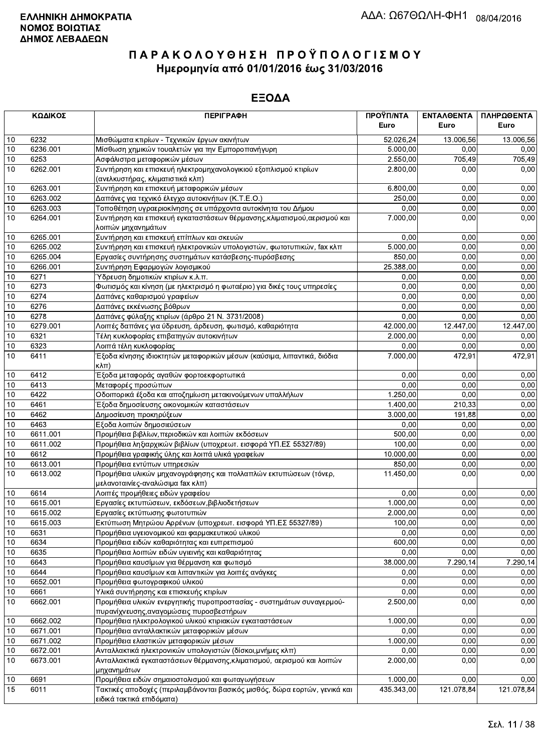|      | ΚΩΔΙΚΟΣ  | <b>ПЕРІГРАФН</b>                                                                          | ΠΡΟΫΠ/ΝΤΑ  | ΕΝΤΑΛΘΕΝΤΑ | ΠΛΗΡΩΘΕΝΤΑ |
|------|----------|-------------------------------------------------------------------------------------------|------------|------------|------------|
|      |          |                                                                                           | Euro       | Euro       | Euro       |
| 10   | 6232     | Μισθώματα κτιρίων - Τεχνικών έργων ακινήτων                                               | 52.026,24  | 13.006,56  | 13.006,56  |
| 10   | 6236.001 | Μίσθωση χημικών τουαλετών για την Εμποροπανήγυρη                                          | 5.000,00   | 0,00       | 0,00       |
| 10   | 6253     | Ασφάλιστρα μεταφορικών μέσων                                                              | 2.550,00   | 705,49     | 705,49     |
| 10   | 6262.001 | Συντήρηση και επισκευή ηλεκτρομηχανολογικιού εξοπλισμού κτιρίων                           | 2.800,00   | 0,00       | 0,00       |
|      |          | (ανελκυστήρας, κλιματιστικά κλπ)                                                          |            |            |            |
| 10   | 6263.001 | Συντήρηση και επισκευή μεταφορικών μέσων                                                  | 6.800,00   | 0,00       | 0,00       |
| 10   | 6263.002 | Δαπάνες για τεχνικό έλεγχο αυτοκινήτων (Κ.Τ.Ε.Ο.)                                         | 250,00     | 0,00       | 0,00       |
| 10   | 6263.003 | Τοποθέτηση υγραεριοκίνησης σε υπάρχοντα αυτοκίνητα του Δήμου                              | 0,00       | 0,00       | 0,00       |
| 10   | 6264.001 | Συντήρηση και επισκευή εγκαταστάσεων θέρμανσης, κλιματισμού, αερισμού και                 | 7.000,00   | 0,00       | 0,00       |
|      |          | λοιπών μηχανημάτων                                                                        |            |            |            |
| 10   | 6265.001 | Συντήρηση και επισκευή επίπλων και σκευών                                                 | 0.00       | 0.00       | 0,00       |
| 10   | 6265.002 | Συντήρηση και επισκευή ηλεκτρονικών υπολογιστών, φωτοτυπικών, fax κλπ                     | 5.000,00   | 0,00       | 0,00       |
| 10   | 6265.004 | Εργασίες συντήρησης συστημάτων κατάσβεσης-πυρόσβεσης                                      | 850,00     | 0,00       | 0,00       |
| 10   | 6266.001 | Συντήρηση Εφαρμογών λογισμικού                                                            | 25.388,00  | 0,00       | 0,00       |
| 10   | 6271     | Ύδρευση δημοτικών κτιρίων κ.λ.π.                                                          | 0,00       | 0,00       | 0,00       |
| 10   | 6273     | Φωτισμός και κίνηση (με ηλεκτρισμό η φωταέριο) για δικές τους υπηρεσίες                   | 0,00       | 0.00       | 0,00       |
| 10   | 6274     | Δαπάνες καθαρισμού γραφείων                                                               | 0,00       | 0,00       | 0,00       |
| 10   | 6276     | Δαπάνες εκκένωσης βόθρων                                                                  | 0,00       | 0,00       | 0,00       |
| 10   | 6278     | Δαπάνες φύλαξης κτιρίων (άρθρο 21 Ν. 3731/2008)                                           | 0,00       | 0,00       | 0,00       |
| 10   | 6279.001 | Λοιπές δαπάνες για ύδρευση, άρδευση, φωτισμό, καθαριότητα                                 | 42.000,00  | 12.447,00  | 12.447,00  |
| 10   | 6321     | Τέλη κυκλοφορίας επιβατηγών αυτοκινήτων                                                   | 2.000,00   | 0,00       | 0,00       |
| 10   | 6323     | Λοιπά τέλη κυκλοφορίας                                                                    | 0,00       | 0,00       | 0,00       |
| 10   | 6411     | Έξοδα κίνησης ιδιοκτητών μεταφορικών μέσων (καύσιμα, λιπαντικά, διόδια<br>$K\lambda\pi$ ) | 7.000,00   | 472,91     | 472,91     |
| 10   | 6412     | Έξοδα μεταφοράς αγαθών φορτοεκφορτωτικά                                                   | 0,00       | 0,00       | 0,00       |
| 10   | 6413     | Μεταφορές προσώπων                                                                        | 0,00       | 0.00       | 0,00       |
| 10   | 6422     | Οδοιπορικά έξοδα και αποζημίωση μετακινούμενων υπαλλήλων                                  | 1.250,00   | 0.00       | 0,00       |
| 10   | 6461     | Έξοδα δημοσίευσης οικονομικών καταστάσεων                                                 | 1.400,00   | 210,33     | 0,00       |
| 10   | 6462     | Δημοσίευση προκηρύξεων                                                                    | 3.000,00   | 191,88     | 0,00       |
| 10   | 6463     | Εξοδα λοιπών δημοσιεύσεων                                                                 | 0,00       | 0,00       | 0,00       |
| 10   | 6611.001 | Προμήθεια βιβλίων, περιοδικών και λοιπών εκδόσεων                                         | 500,00     | 0,00       | 0,00       |
| 10   | 6611.002 | Προμήθεια ληξιαρχικών βιβλίων (υποχρεωτ. εισφορά ΥΠ.ΕΣ 55327/89)                          | 100,00     | 0,00       | 0,00       |
| 10   | 6612     | Προμήθεια γραφικής ύλης και λοιπά υλικά γραφείων                                          | 10.000,00  | 0,00       | 0,00       |
| 10   | 6613.001 | Προμήθεια εντύπων υπηρεσιών                                                               | 850,00     | 0,00       | 0,00       |
| 10   | 6613.002 | Προμήθεια υλικών μηχανογράφησης και πολλαπλών εκτυπώσεων (τόνερ,                          | 11.450,00  | 0,00       | 0,00       |
|      |          | μελανοταινίες-αναλώσιμα fax κλπ)                                                          |            |            |            |
| 10   | 6614     | Λοιπές προμήθειες ειδών γραφείου                                                          | 0,00       | 0,00       | 0,00       |
| 10   | 6615.001 | Εργασίες εκτυπώσεων, εκδόσεων, βιβλιοδετήσεων                                             | 1.000,00   | 0,00       | 0,00       |
| 10   | 6615.002 | Εργασίες εκτύπωσης φωτοτυπιών                                                             | 2.000,00   | 0,00       | 0,00       |
| 10   | 6615.003 | Εκτύπωση Μητρώου Αρρένων (υποχρεωτ. εισφορά ΥΠ.ΕΣ 55327/89)                               | 100,00     | 0,00       | 0,00       |
| 10   | 6631     | Προμήθεια υγειονομικού και φαρμακευτικού υλικού                                           | 0,00       | 0,00       | 0,00       |
| 10   | 6634     | Προμήθεια ειδών καθαριότητας και ευπρεπισμού                                              | 600,00     | 0,00       | 0,00       |
| 10   | 6635     | Προμήθεια λοιπών ειδών υγιεινής και καθαριότητας                                          | 0,00       | 0,00       | 0,00       |
| 10   | 6643     | Προμήθεια καυσίμων για θέρμανση και φωτισμό                                               | 38.000,00  | 7.290,14   | 7.290,14   |
| 10   | 6644     | Προμήθεια καυσίμων και λιπαντικών για λοιπές ανάγκες                                      | 0,00       | 0,00       | 0,00       |
| 10   | 6652.001 | Προμήθεια φωτογραφικού υλικού                                                             | 0,00       | 0,00       | 0,00       |
| 10   | 6661     | Υλικά συντήρησης και επισκευής κτιρίων                                                    | 0,00       | 0,00       | 0,00       |
| 10   | 6662.001 | Προμήθεια υλικών ενεργητικής πυροπροστασίας - συστημάτων συναγερμού-                      | 2.500,00   | 0,00       | 0,00       |
|      |          | πυρανίχνευσης, αναγομώσεις πυροσβεστήρων                                                  |            |            |            |
| $10$ | 6662.002 | Προμήθεια ηλεκτρολογικού υλικού κτιριακών εγκαταστάσεων                                   | 1.000,00   | 0.00       | 0,00       |
| 10   | 6671.001 | Προμήθεια ανταλλακτικών μεταφορικών μέσων                                                 | 0,00       | 0,00       | 0,00       |
| 10   | 6671.002 | Προμήθεια ελαστικών μεταφορικών μέσων                                                     | 1.000,00   | 0,00       | 0,00       |
| 10   | 6672.001 | Ανταλλακτικά ηλεκτρονικών υπολογιστών (δίσκοι, μνήμες κλπ)                                | 0,00       | 0,00       | 0,00       |
| 10   | 6673.001 | Ανταλλακτικά εγκαταστάσεων θέρμανσης, κλιματισμού, αερισμού και λοιπών                    | 2.000,00   | 0,00       | 0,00       |
|      |          | μηχανημάτων                                                                               |            |            |            |
| 10   | 6691     | Προμήθεια ειδών σημαιοστολισμού και φωταγωγήσεων                                          | 1.000,00   | 0,00       | 0,00       |
| 15   | 6011     | Τακτικές αποδοχές (περιλαμβάνονται βασικός μισθός, δώρα εορτών, γενικά και                | 435.343,00 | 121.078,84 | 121.078,84 |
|      |          | ειδικά τακτικά επιδόματα)                                                                 |            |            |            |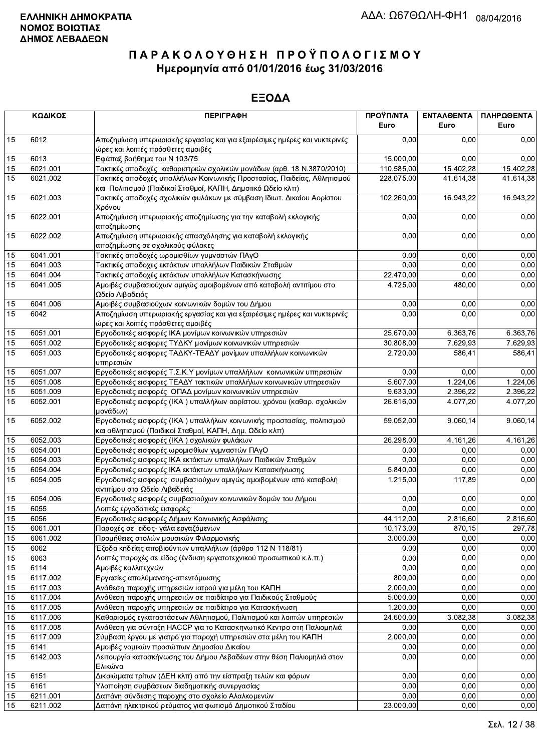|                 | ΚΩΔΙΚΟΣ              | <b>ПЕРІГРАФН</b>                                                                                                                       | ΠΡΟΫΠ/ΝΤΑ<br>Euro | ΕΝΤΑΛΘΕΝΤΑ<br>Euro | ΠΛΗΡΩΘΕΝΤΑ<br>Euro |
|-----------------|----------------------|----------------------------------------------------------------------------------------------------------------------------------------|-------------------|--------------------|--------------------|
| 15              | 6012                 | Αποζημίωση υπερωριακής εργασίας και για εξαιρέσιμες ημέρες και νυκτερινές<br>ώρες και λοιπές πρόσθετες αμοιβές                         | 0,00              | 0.00               | 0,00               |
| 15              | 6013                 | Εφάπαξ βοήθημα του Ν 103/75                                                                                                            | 15.000,00         | 0.00               | 0,00               |
| 15              | 6021.001             | Τακτικές αποδοχές καθαριστριών σχολικών μονάδων (αρθ. 18 Ν.3870/2010)                                                                  | 110.585,00        | 15.402,28          | 15.402,28          |
| 15              | 6021.002             | Τακτικές αποδοχές υπαλλήλων Κοινωνικής Προστασίας, Παιδείας, Αθλητισμού<br>και Πολιτισμού (Παιδικοί Σταθμοί, ΚΑΠΗ, Δημοτικό Ωδείο κλπ) | 228.075,00        | 41.614,38          | 41.614,38          |
| 15              | 6021.003             | Τακτικές αποδοχές σχολικών φυλάκων με σύμβαση Ιδιωτ. Δικαίου Αορίστου<br>Χρόνου                                                        | 102.260,00        | 16.943,22          | 16.943,22          |
| 15              | 6022.001             | Αποζημίωση υπερωριακής αποζημίωσης για την καταβολή εκλογικής<br>αποζημίωσης                                                           | 0.00              | 0,00               | 0,00               |
| 15              | 6022.002             | Αποζημίωση υπερωριακής απασχόλησης για καταβολή εκλογικής<br>αποζημίωσης σε σχολικούς φύλακες                                          | 0,00              | 0,00               | 0,00               |
| 15              | 6041.001             | Τακτικές αποδοχές ωρομισθίων γυμναστών ΠΑγΟ                                                                                            | 0.00              | 0,00               | 0,00               |
| 15              | 6041.003             | Τακτικές αποδοχες εκτάκτων υπαλλήλων Παιδικών Σταθμών                                                                                  | 0,00              | 0,00               | 0,00               |
| 15              | 6041.004             | Τακτικές αποδοχές εκτάκτων υπαλλήλων Κατασκήνωσης                                                                                      | 22.470,00         | 0.00               | 0,00               |
| 15              | 6041.005             | Αμοιβές συμβασιούχων αμιγώς αμοιβομένων από καταβολή αντιτίμου στο<br>Ωδείο Λιβαδειάς                                                  | 4.725,00          | 480,00             | 0,00               |
| 15              | 6041.006             | Αμοιβές συμβασιούχων κοινωνικών δομών του Δήμου                                                                                        | 0,00              | 0.00               | 0,00               |
| $\overline{15}$ | 6042                 | Αποζημίωση υπερωριακής εργασίας και για εξαιρέσιμες ημέρες και νυκτερινές<br>ώρες και λοιπές πρόσθετες αμοιβές                         | 0,00              | 0,00               | 0,00               |
| 15              | 6051.001             | Εργοδοτικές εισφορές ΙΚΑ μονίμων κοινωνικών υπηρεσιών                                                                                  | 25.670,00         | 6.363,76           | 6.363,76           |
| 15              | 6051.002             | Εργοδοτικές εισφορες ΤΥΔΚΥ μονίμων κοινωνικών υπηρεσιών                                                                                | 30.808,00         | 7.629,93           | 7.629,93           |
| 15              | 6051.003             | Εργοδοτικές εισφορες ΤΑΔΚΥ-ΤΕΑΔΥ μονίμων υπαλλήλων κοινωνικών<br>υπηρεσιών                                                             | 2.720.00          | 586,41             | 586,41             |
| 15              | 6051.007             | Εργοδοτικές εισφορές Τ.Σ.Κ.Υ μονίμων υπαλλήλων κοινωνικών υπηρεσιών                                                                    | 0,00              | 0,00               | 0,00               |
| 15              | 6051.008             | Εργοδοτικές εισφορες ΤΕΑΔΥ τακτικών υπαλλήλων κοινωνικών υπηρεσιών                                                                     | 5.607,00          | 1.224,06           | 1.224,06           |
| 15              | 6051.009             | Εργοδοτικές εισφορές ΟΠΑΔ μονίμων κοινωνικών υπηρεσιών                                                                                 | 9.633,00          | 2.396,22           | 2.396,22           |
| 15              | 6052.001             | Εργοδοτικές εισφορές (ΙΚΑ) υπαλλήλων αορίστου. χρόνου (καθαρ. σχολικών<br>μονάδων)                                                     | 26.616,00         | 4.077,20           | 4.077,20           |
| 15              | 6052.002             | Εργοδοτικές εισφορές (ΙΚΑ) υπαλλήλων κοινωνικής προστασίας, πολιτισμού<br>και αθλητισμού (Παιδικοί Σταθμοί, ΚΑΠΗ, Δημ. Ωδείο κλπ)      | 59.052,00         | 9.060,14           | 9.060,14           |
| 15              | 6052.003             | Εργοδοτικές εισφορές (ΙΚΑ) σχολικών φυλάκων                                                                                            | 26.298,00         | 4.161,26           | 4.161,26           |
| 15              | 6054.001             | Εργοδοτικές εισφορές ωρομισθίων γυμναστών ΠΑγΟ                                                                                         | 0,00              | 0,00               | 0,00               |
| 15              | 6054.003             | Εργοδοτικές εισφορες ΙΚΑ εκτάκτων υπαλλήλων Παιδικών Σταθμών                                                                           | 0.00              | 0,00               | 0,00               |
| 15              | 6054.004             | Εργοδοτικές εισφορές ΙΚΑ εκτάκτων υπαλλήλων Κατασκήνωσης                                                                               | 5.840,00          | 0,00               | 0,00               |
| 15              | 6054.005             | Εργοδοτικές εισφορες συμβασιούχων αμιγώς αμοιβομένων από καταβολή<br>αντιτίμου στο Ωδείο Λιβαδειάς                                     | 1.215,00          | 117,89             | 0,00               |
| 15              | 6054.006             | Εργοδοτικές εισφορές συμβασιούχων κοινωνικών δομών του Δήμου                                                                           | 0,00              | 0,00               | 0,00               |
| 15              | 6055                 | Λοιπές εργοδοτικές εισφορές                                                                                                            | 0,00              | 0,00               | 0,00               |
| 15              | 6056                 | Εργοδοτικές εισφορές Δήμων Κοινωνικής Ασφάλισης                                                                                        | 44.112,00         | 2.816,60           | 2.816,60           |
| 15              | 6061.001             | Παροχές σε ειδος- γάλα εργαζόμενων                                                                                                     | 10.173,00         | 870,15             | 297,78             |
| 15              | 6061.002             | Προμήθειες στολών μουσικών Φιλαρμονικής                                                                                                | 3.000,00          | 0,00               | 0,00               |
| 15              | 6062                 | Έξοδα κηδείας αποβιούντων υπαλλήλων (άρθρο 112 Ν 118/81)                                                                               | 0,00              | 0,00               | 0,00               |
| 15              | 6063                 | Λοιπές παροχές σε είδος (ένδυση εργατοτεχνικού προσωπικού κ.λ.π.)                                                                      | 0,00              | 0,00               | 0,00               |
| 15              | 6114                 | Αμοιβές καλλιτεχνών                                                                                                                    | 0,00              | 0,00               | 0,00               |
| 15              | 6117.002             | Εργασίες απολύμανσης-απεντόμωσης                                                                                                       | 800,00            | 0,00               | 0,00               |
| 15              | 6117.003             | Ανάθεση παροχής υπηρεσιών ιατρού για μέλη του ΚΑΠΗ                                                                                     | 2.000,00          | 0,00               | 0,00               |
| 15              | 6117.004             | Ανάθεση παροχής υπηρεσιών σε παιδίατρο για Παιδικούς Σταθμούς                                                                          | 5.000,00          | 0,00               | 0,00               |
| 15              | 6117.005             | Ανάθεση παροχής υπηρεσιών σε παιδίατρο για Κατασκήνωση                                                                                 | 1.200,00          | 0,00               | 0,00               |
| 15              | 6117.006<br>6117.008 | Καθαρισμός εγκαταστάσεων Αθλητισμού, Πολιτισμού και λοιπών υπηρεσιών                                                                   | 24.600,00<br>0.00 | 3.082,38<br>0,00   | 3.082,38<br>0,00   |
| 15              |                      | Ανάθεση για σύνταξη ΗΑCCP για το Κατασκηνωτικό Κεντρο στη Παλιομηλιά                                                                   |                   |                    | 0,00               |
| 15              | 6117.009             | Σύμβαση έργου με γιατρό για παροχή υπηρεσιών στα μέλη του ΚΑΠΗ                                                                         | 2.000,00<br>0,00  | 0,00               |                    |
| 15<br>15        | 6141<br>6142.003     | Αμοιβές νομικών προσώπων Δημοσίου Δικαίου<br>Λειτουργία κατασκήνωσης του Δήμου Λεβαδέων στην θέση Παλιομηλιά στον                      | 0,00              | 0,00<br>0,00       | 0,00<br>0,00       |
|                 |                      | Ελικώνα                                                                                                                                |                   |                    |                    |
| 15<br>15        | 6151<br>6161         | Δικαιώματα τρίτων (ΔΕΗ κλπ) από την είσπραξη τελών και φόρων<br>Υλοποίηση συμβάσεων διαδημοτικής συνεργασίας                           | 0,00<br>0,00      | 0,00<br>0.00       | 0,00<br>0,00       |
| 15              | 6211.001             | Δαπάνη σύνδεσης παροχης στο σχολείο Αλαλκομενών                                                                                        | 0,00              | 0,00               | 0,00               |
| 15              | 6211.002             | Δαπάνη ηλεκτρικού ρεύματος για φωτισμό Δημοτικού Σταδίου                                                                               | 23.000,00         | 0,00               | 0,00               |
|                 |                      |                                                                                                                                        |                   |                    |                    |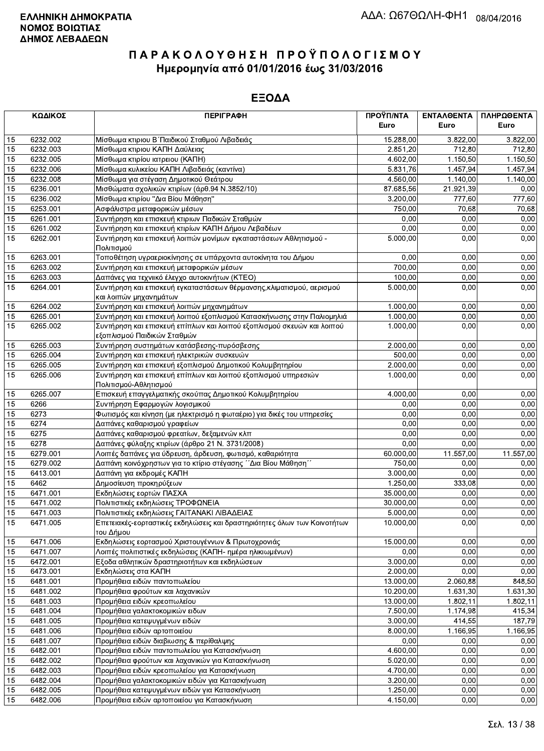|          | ΚΩΔΙΚΟΣ              | <b>ПЕРІГРАФН</b>                                                                                                       | ΠΡΟΫΠ/ΝΤΑ        | ΕΝΤΑΛΘΕΝΤΑ   | ΠΛΗΡΩΘΕΝΤΑ   |
|----------|----------------------|------------------------------------------------------------------------------------------------------------------------|------------------|--------------|--------------|
|          |                      |                                                                                                                        | Euro             | Euro         | Euro         |
| 15       | 6232.002             | Μίσθωμα κτιριου Β΄Παιδικού Σταθμού Λιβαδειάς                                                                           | 15.288,00        | 3.822.00     | 3.822,00     |
| 15       | 6232.003             | Μίσθωμα κτιριου ΚΑΠΗ Δαύλειας                                                                                          | 2.851,20         | 712,80       | 712,80       |
| 15       | 6232.005             | Μίσθωμα κτιρίου ιατρειου (ΚΑΠΗ)                                                                                        | 4.602,00         | 1.150,50     | 1.150,50     |
| 15       | 6232.006             | Μίσθωμα κυλικείου ΚΑΠΗ Λιβαδειάς (καντίνα)                                                                             | 5.831,76         | 1.457,94     | 1.457,94     |
| 15       | 6232.008             | Μίσθωμα για στέγαση Δημοτικού Θεάτρου                                                                                  | 4.560,00         | 1.140,00     | 1.140,00     |
| 15       | 6236.001             | Μισθώματα σχολικών κτιρίων (άρθ.94 Ν.3852/10)                                                                          | 87.685,56        | 21.921,39    | 0,00         |
| 15       | 6236.002             | Μίσθωμα κτιρίου "Δια Βίου Μάθηση"                                                                                      | 3.200,00         | 777,60       | 777,60       |
| 15       | 6253.001             | Ασφάλιστρα μεταφορικών μέσων                                                                                           | 750,00           | 70,68        | 70,68        |
| 15       | 6261.001             | Συντήρηση και επισκευή κτιριων Παδικών Σταθμών                                                                         | 0,00             | 0,00         | 0,00         |
| 15<br>15 | 6261.002<br>6262.001 | Συντήρηση και επισκευή κτιρίων ΚΑΠΗ Δήμου Λεβαδέων<br>Συντήρηση και επισκευή λοιπών μονίμων εγκαταστάσεων Αθλητισμού - | 0,00<br>5.000,00 | 0,00<br>0,00 | 0,00<br>0,00 |
|          |                      | Πολιτισμού                                                                                                             |                  |              |              |
| 15       | 6263.001             | Τοποθέτηση υγραεριοκίνησης σε υπάρχοντα αυτοκίνητα του Δήμου                                                           | 0,00             | 0,00         | 0,00         |
| 15       | 6263.002             | Συντήρηση και επισκευή μεταφορικών μέσων                                                                               | 700,00           | 0,00         | 0,00         |
| 15       | 6263.003             | Δαπάνες για τεχνιικό έλεγχο αυτοκινήτων (ΚΤΕΟ)                                                                         | 100,00           | 0,00         | 0,00         |
| 15       | 6264.001             | Συντήρηση και επισκευή εγκαταστάσεων θέρμανσης, κλιματισμού, αερισμού                                                  | 5.000,00         | 0,00         | 0,00         |
|          |                      | και λοιπών μηχανημάτων                                                                                                 |                  |              |              |
| 15       | 6264.002             | Συντήρηση και επισκευή λοιπών μηχανημάτων                                                                              | 1.000,00         | 0,00         | 0,00         |
| 15       | 6265.001             | Συντήρηση και επισκευή λοιπού εξοπλισμού Κατασκήνωσης στην Παλιομηλιά                                                  | 1.000,00         | 0,00         | 0,00         |
| 15       | 6265.002             | Συντήρηση και επισκευή επίπλων και λοιπού εξοπλισμού σκευών και λοιπού                                                 | 1.000.00         | 0,00         | 0,00         |
|          |                      | εξοπλισμού Παιδικών Σταθμών                                                                                            |                  |              |              |
| 15       | 6265.003             | Συντήρηση συστημάτων κατάσβεσης-πυρόσβεσης                                                                             | 2.000.00         | 0,00         | 0,00         |
| 15       | 6265.004             | Συντήρηση και επισκευή ηλεκτρικών συσκευών                                                                             | 500,00           | 0,00         | 0,00         |
| 15       | 6265.005             | Συντήρηση και επισκευή εξοπλισμού Δημοτικού Κολυμβητηρίου                                                              | 2.000,00         | 0,00         | 0,00         |
| 15       | 6265.006             | Συντήρηση και επισκευή επίπλων και λοιπού εξοπλισμού υπηρεσιών                                                         | 1.000,00         | 0,00         | 0,00         |
|          |                      | Πολιτισμού-Αθλητισμού                                                                                                  |                  |              |              |
| 15       | 6265.007<br>6266     | Επισκευή επαγγελματικής σκούπας Δημοτικού Κολυμβητηρίου                                                                | 4.000,00<br>0,00 | 0,00<br>0,00 | 0,00         |
| 15       | 6273                 | Συντήρηση Εφαρμογών λογισμικού                                                                                         | 0,00             | 0,00         | 0,00         |
| 15<br>15 | 6274                 | Φωτισμός και κίνηση (με ηλεκτρισμό η φωταέριο) για δικές του υπηρεσίες<br>Δαπάνες καθαρισμού γραφείων                  | 0,00             | 0,00         | 0,00<br>0,00 |
| 15       | 6275                 | Δαπάνες καθαρισμού φρεατίων, δεξαμενών κλπ                                                                             | 0,00             | 0,00         | 0,00         |
| 15       | 6278                 | Δαπάνες φύλαξης κτιρίων (άρθρο 21 Ν. 3731/2008)                                                                        | 0,00             | 0,00         | 0,00         |
| 15       | 6279.001             | Λοιπές δαπάνες για ύδρευση, άρδευση, φωτισμό, καθαριότητα                                                              | 60.000,00        | 11.557,00    | 11.557,00    |
| 15       | 6279.002             | Δαπάνη κοινόχρηστων για το κτίριο στέγασης ΄΄Δια Βίου Μάθηση΄΄                                                         | 750,00           | 0,00         | 0,00         |
| 15       | 6413.001             | Δαπάνη για εκδρομές ΚΑΠΗ                                                                                               | 3.000,00         | 0,00         | 0,00         |
| 15       | 6462                 | Δημοσίευση προκηρύξεων                                                                                                 | 1.250,00         | 333,08       | 0,00         |
| 15       | 6471.001             | Εκδηλώσεις εορτών ΠΑΣΧΑ                                                                                                | 35.000,00        | 0,00         | 0,00         |
| 15       | 6471.002             | Πολιτιστικές εκδηλώσεις ΤΡΟΦΩΝΕΙΑ                                                                                      | 30.000,00        | 0,00         | 0,00         |
| 15       | 6471.003             | Πολιτιστικές εκδηλώσεις ΓΑΙΤΑΝΑΚΙ ΛΙΒΑΔΕΙΑΣ                                                                            | 5.000,00         | 0,00         | 0,00         |
| 15       | 6471.005             | Επετειακές-εορταστικές εκδηλώσεις και δραστηριότητες όλων των Κοινοτήτων                                               | 10.000,00        | 0,00         | 0,00         |
|          |                      | του Δήμου                                                                                                              |                  |              |              |
| 15       | 6471.006             | Εκδηλώσεις εορτασμού Χριστουγέννων & Πρωτοχρονιάς                                                                      | 15.000,00        | 0,00         | 0,00         |
| 15       | 6471.007             | Λοιπές πολιτιστικές εκδηλώσεις (ΚΑΠΗ- ημέρα ηλικιωμένων)                                                               | 0,00             | 0,00         | 0,00         |
| 15       | 6472.001             | Εξοδα αθλητικών δραστηριοτήτων και εκδηλώσεων                                                                          | 3.000,00         | 0.00         | 0,00         |
| 15       | 6473.001             | Εκδηλώσεις στα ΚΑΠΗ                                                                                                    | 2.000,00         | 0,00         | 0,00         |
| 15       | 6481.001             | Προμήθεια ειδών παντοπωλείου                                                                                           | 13.000,00        | 2.060,88     | 848,50       |
| 15       | 6481.002             | Προμήθεια φρούτων και λαχανικών                                                                                        | 10.200,00        | 1.631,30     | 1.631,30     |
| 15       | 6481.003             | Προμήθεια ειδών κρεοπωλείου                                                                                            | 13.000,00        | 1.802,11     | 1.802,11     |
| 15       | 6481.004             | Προμήθεια γαλακτοκομικών ειδων                                                                                         | 7.500,00         | 1.174,98     | 415,34       |
| 15       | 6481.005             | Προμήθεια κατεψυγμένων ειδών                                                                                           | 3.000,00         | 414,55       | 187,79       |
| 15       | 6481.006             | Προμήθεια ειδών αρτοποιείου                                                                                            | 8.000,00         | 1.166,95     | 1.166,95     |
| 15<br>15 | 6481.007             | Προμήθεια ειδών διαβιωσης & περίθαλψης                                                                                 | 0,00<br>4.600,00 | 0,00<br>0,00 | 0,00<br>0,00 |
| 15       | 6482.001<br>6482.002 | Προμήθεια ειδών παντοπωλείου για Κατασκήνωση<br>Προμήθεια φρούτων και λαχανικών για Κατασκήνωση                        | 5.020,00         | 0,00         | 0,00         |
| 15       | 6482.003             | Προμήθεια ειδών κρεοπωλείου για Κατασκήνωση                                                                            | 4.700,00         | 0,00         | 0,00         |
| 15       | 6482.004             | Προμήθεια γαλακτοκομικών ειδών για Κατασκήνωση                                                                         | 3.200,00         | 0,00         | 0,00         |
| 15       | 6482.005             | Προμήθεια κατεψυγμένων ειδών για Κατασκήνωση                                                                           | 1.250,00         | 0,00         | 0,00         |
| 15       | 6482.006             | Προμήθεια ειδών αρτοποιείου για Κατασκήνωση                                                                            | 4.150,00         | 0,00         | 0,00         |
|          |                      |                                                                                                                        |                  |              |              |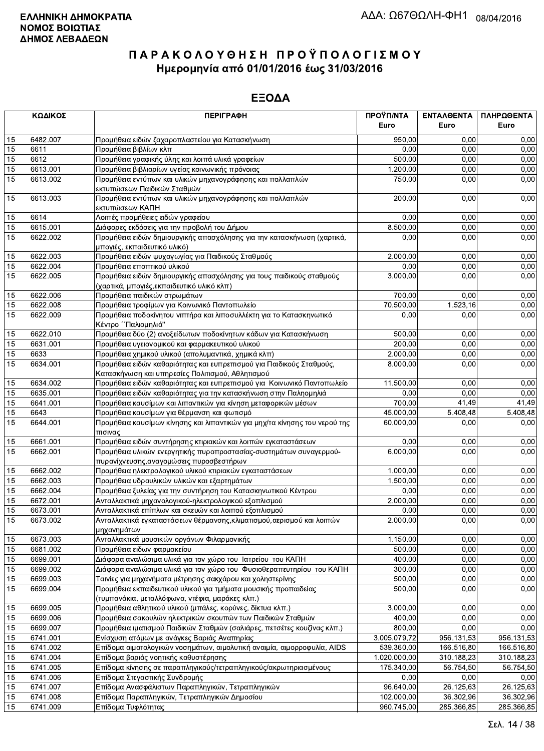|                 | ΚΩΔΙΚΟΣ  | <b>ПЕРІГРАФН</b>                                                                                                         | ΠΡΟΫΠ/ΝΤΑ    | ΕΝΤΑΛΘΕΝΤΑ | ΠΛΗΡΩΘΕΝΤΑ |
|-----------------|----------|--------------------------------------------------------------------------------------------------------------------------|--------------|------------|------------|
|                 |          |                                                                                                                          | Euro         | Euro       | Euro       |
| 15              | 6482.007 | Προμήθεια ειδών ζαχαροπλαστείου για Κατασκήνωση                                                                          | 950,00       | 0.00       | 0,00       |
| 15              | 6611     | Προμήθεια βιβλίων κλπ                                                                                                    | 0,00         | 0,00       | 0,00       |
| 15              | 6612     | Προμήθεια γραφικής ύλης και λοιπά υλικά γραφείων                                                                         | 500,00       | 0,00       | 0,00       |
| 15              | 6613.001 | Προμήθεια βιβλιαρίων υγείας κοινωνικής πρόνοιας                                                                          | 1.200,00     | 0,00       | 0,00       |
| 15              | 6613.002 | Προμήθεια εντύπων και υλικών μηχανογράφησης και πολλαπλών<br>εκτυπώσεων Παιδικών Σταθμών                                 | 750,00       | 0,00       | 0,00       |
| 15              | 6613.003 | Προμήθεια εντύπων και υλικών μηχανογράφησης και πολλαπλών<br>εκτυπώσεων ΚΑΠΗ                                             | 200,00       | 0,00       | 0,00       |
| 15              | 6614     | Λοιπές προμήθειες ειδών γραφείου                                                                                         | 0.00         | 0,00       | 0,00       |
| 15              | 6615.001 | Διάφορες εκδόσεις για την προβολή του Δήμου                                                                              | 8.500,00     | 0,00       | 0,00       |
| 15              | 6622.002 | Προμήθεια ειδών δημιουργικής απασχόλησης για την κατασκήνωση (χαρτικά,<br>μπογιές, εκπαιδευτικό υλικό)                   | 0,00         | 0,00       | 0,00       |
| 15              | 6622.003 | Προμήθεια ειδών ψυχαγωγίας για Παιδικούς Σταθμούς                                                                        | 2.000,00     | 0,00       | 0,00       |
| 15              | 6622.004 | Προμήθεια εποπτικού υλικού                                                                                               | 0,00         | 0,00       | 0,00       |
| $\overline{15}$ | 6622.005 | Προμήθεια ειδών δημιουργικής απασχόλησης για τους παιδικούς σταθμούς<br>(χαρτικά, μπογιές, εκπαιδευτικό υλικό κλπ)       | 3.000,00     | 0,00       | 0,00       |
| 15              | 6622.006 | Προμήθεια παιδικών στρωμάτων                                                                                             | 700,00       | 0,00       | 0,00       |
| 15              | 6622.008 | Προμήθεια τροφίμων για Κοινωνικό Παντοπωλείο                                                                             | 70.500,00    | 1.523,16   | 0,00       |
| 15              | 6622.009 | Προμήθεια ποδοκίνητου νιπτήρα και λιποσυλλέκτη για το Κατασκηνωτικό<br>Κέντρο ΄΄Παλιομηλιά"                              | 0,00         | 0,00       | 0,00       |
| 15              | 6622.010 | Προμήθεια δύο (2) ανοξείδωτων ποδοκίνητων κάδων για Κατασκήνωση                                                          | 500,00       | 0,00       | 0,00       |
| 15              | 6631.001 | Προμήθεια υγειονομικού και φαρμακευτικού υλικού                                                                          | 200,00       | 0.00       | 0,00       |
| 15              | 6633     | Προμήθεια χημικού υλικού (απολυμαντικά, χημικά κλπ)                                                                      | 2.000,00     | 0,00       | 0,00       |
| $\overline{15}$ | 6634.001 | Προμήθεια ειδών καθαριότητας και ευπρεπισμού για Παιδικούς Σταθμούς,<br>Κατασκήνωση και υπηρεσίες Πολιτισμού, Αθλητισμού | 8.000,00     | 0,00       | 0,00       |
| 15              | 6634.002 | Προμήθεια ειδών καθαριότητας και ευπρεπισμού για Κοινωνικό Παντοπωλείο                                                   | 11.500,00    | 0,00       | 0,00       |
| 15              | 6635.001 | Προμήθεια ειδών καθαριότητας για την κατασκήνωση στην Παληομηλιά                                                         | 0,00         | 0,00       | 0,00       |
| 15              | 6641.001 | Προμήθεια καυσίμων και λιπαντικών για κίνηση μεταφορικών μέσων                                                           | 700,00       | 41,49      | 41,49      |
| 15              | 6643     | Προμήθεια καυσίμων για θέρμανση και φωτισμό                                                                              | 45.000,00    | 5.408,48   | 5.408,48   |
| 15              | 6644.001 | Προμήθεια καυσίμων κίνησης και λιπαντικών για μηχ/τα κίνησης του νερού της<br>πισινας                                    | 60.000,00    | 0,00       | 0,00       |
| 15              | 6661.001 | Προμήθεια ειδών συντήρησης κτιριακών και λοιπών εγκαταστάσεων                                                            | 0.00         | 0,00       | 0,00       |
| 15              | 6662.001 | Προμήθεια υλικών ενεργητικής πυροπροστασίας-συστημάτων συναγερμού-<br>πυρανίχνευσης, αναγομώσεις πυροσβεστήρων           | 6.000,00     | 0,00       | 0,00       |
| 15              | 6662.002 | Προμήθεια ηλεκτρολογικού υλικού κτιριακών εγκαταστάσεων                                                                  | 1.000,00     | 0,00       | 0,00       |
| 15              | 6662.003 | Προμήθεια υδραυλικών υλικών και εξαρτημάτων                                                                              | 1.500,00     | 0,00       | 0,00       |
| 15              | 6662.004 | Προμήθεια ξυλείας για την συντήρηση του Κατασκηνωτικού Κέντρου                                                           | 0,00         | 0,00       | 0,00       |
| 15              | 6672.001 | Ανταλλακτικά μηχανολογικού-ηλεκτρολογικού εξοπλισμού                                                                     | 2.000,00     | 0,00       | 0,00       |
| 15              | 6673.001 | Ανταλλακτικά επίπλων και σκευών και λοιπού εξοπλισμού                                                                    | 0,00         | 0,00       | 0,00       |
| $\overline{15}$ | 6673.002 | Ανταλλακτικά εγκαταστάσεων θέρμανσης, κλιματισμού, αερισμού και λοιπών<br>μηχανημάτων                                    | 2.000,00     | 0,00       | 0,00       |
| 15              | 6673.003 | Ανταλλακτικά μουσικών οργάνων Φιλαρμονικής                                                                               | 1.150,00     | 0,00       | 0,00       |
| 15              | 6681.002 | Προμήθεια ειδων φαρμακείου                                                                                               | 500,00       | 0,00       | 0,00       |
| 15              | 6699.001 | Διάφορα αναλώσιμα υλικά για τον χώρο του Ιατρείου του ΚΑΠΗ                                                               | 400,00       | 0,00       | 0,00       |
| 15              | 6699.002 | Διάφορα αναλώσιμα υλικά για τον χώρο του Φυσιοθεραπευτηρίου του ΚΑΠΗ                                                     | 300,00       | 0,00       | 0,00       |
| 15              | 6699.003 | Ταινίες για μηχανήματα μέτρησης σακχάρου και χοληστερίνης                                                                | 500,00       | 0,00       | 0,00       |
| 15              | 6699.004 | Προμήθεια εκπαιδευτικού υλικού για τμήματα μουσικής προπαιδείας<br>(τυμπανάκια, μεταλλόφωνα, ντέφια, μαράκες κλπ.)       | 500,00       | 0,00       | 0,00       |
| 15              | 6699.005 | Προμήθεια αθλητικού υλικού (μπάλες, κορύνες, δίκτυα κλπ.)                                                                | 3.000.00     | 0,00       | 0,00       |
| 15              | 6699.006 | Προμήθεια σακουλών ηλεκτρικών σκουπών των Παιδικών Σταθμών                                                               | 400,00       | 0,00       | 0,00       |
| 15              | 6699.007 | Προμήθεια ιματισμού Παιδικών Σταθμών (σαλιάρες, πετσέτες κουζίνας κλπ.)                                                  | 800,00       | 0,00       | 0,00       |
| 15              | 6741.001 | Ενίσχυση ατόμων με ανάγκες Βαριάς Αναπηρίας                                                                              | 3.005.079,72 | 956.131,53 | 956.131,53 |
| 15              | 6741.002 | Επίδομα αιματολογικών νοσημάτων, αιμολυτική αναιμία, αιμορροφυλία, AIDS                                                  | 539.360,00   | 166.516,80 | 166.516,80 |
| 15              | 6741.004 | Επίδομα βαριάς νοητικής καθυστέρησης                                                                                     | 1.020.000,00 | 310.188,23 | 310.188,23 |
| 15              | 6741.005 | Επίδομα κίνησης σε παραπληγικούς/τετραπληγικούς/ακρωτηριασμένους                                                         | 175.340,00   | 56.754,50  | 56.754,50  |
| 15              | 6741.006 | Επίδομα Στεγαστικής Συνδρομής                                                                                            | 0,00         | 0,00       | 0,00       |
| 15              | 6741.007 | Επίδομα Ανασφάλιστων Παραπληγικών, Τετραπληγικών                                                                         | 96.640,00    | 26.125,63  | 26.125,63  |
| 15              | 6741.008 | Επίδομα Παραπληγικών, Τετραπληγικών Δημοσίου                                                                             | 102.000,00   | 36.302,96  | 36.302,96  |
| 15              | 6741.009 | Επίδομα Τυφλότητας                                                                                                       | 960.745,00   | 285.366,85 | 285.366,85 |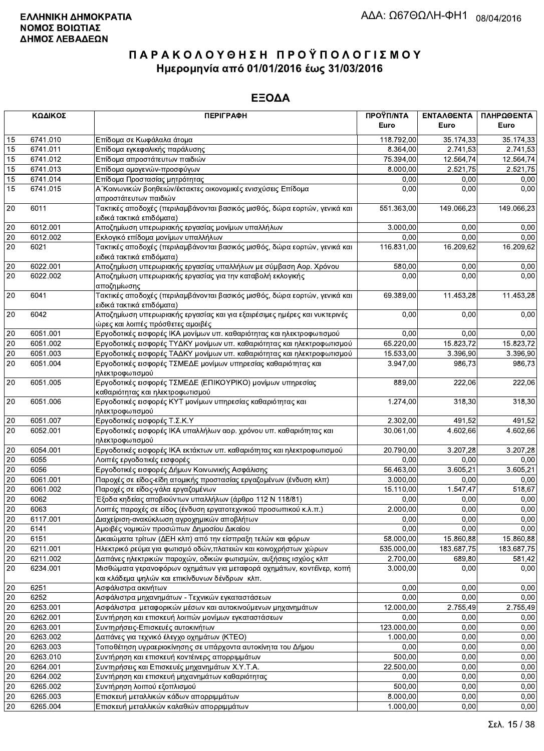|              | ΚΩΔΙΚΟΣ  | <b>ПЕРІГРАФН</b>                                                                                                      | ΠΡΟΫΠ/ΝΤΑ<br>Euro | ΕΝΤΑΛΘΕΝΤΑ<br>Euro | ΠΛΗΡΩΘΕΝΤΑ<br>Euro |
|--------------|----------|-----------------------------------------------------------------------------------------------------------------------|-------------------|--------------------|--------------------|
| 15           | 6741.010 | Επίδομα σε Κωφάλαλα άτομα                                                                                             | 118.792,00        | 35.174,33          | 35.174,33          |
| 15           | 6741.011 | Επίδομα εγκεφαλικής παράλυσης                                                                                         | 8.364,00          | 2.741,53           | 2.741,53           |
| 15           | 6741.012 | Επίδομα απροστάτευτων παιδιών                                                                                         | 75.394,00         | 12.564,74          | 12.564,74          |
| 15           | 6741.013 | Επίδομα ομογενών-προσφύγων                                                                                            | 8.000,00          | 2.521,75           | 2.521,75           |
| 15           | 6741.014 | Επίδομα Προστασίας μητρότητας                                                                                         | 0,00              | 0,00               | 0,00               |
| 15           | 6741.015 | Α΄ Κοινωνικών βοηθειών/έκτακτες οικονομικές ενισχύσεις Επίδομα                                                        | 0,00              | 0,00               | 0,00               |
|              |          | απροστάτευτων παιδιών                                                                                                 |                   |                    |                    |
| 20           | 6011     | Τακτικές αποδοχές (περιλαμβάνονται βασικός μισθός, δώρα εορτών, γενικά και                                            | 551.363,00        | 149.066,23         | 149.066,23         |
|              |          | ειδικά τακτικά επιδόματα)                                                                                             |                   |                    |                    |
| 20           | 6012.001 | Αποζημίωση υπερωριακής εργασίας μονίμων υπαλλήλων                                                                     | 3.000,00          | 0,00               | 0,00               |
| 20           | 6012.002 | Εκλογικό επίδομα μονίμων υπαλλήλων                                                                                    | 0,00              | 0,00               | 0,00               |
| 20           | 6021     | Τακτικές αποδοχές (περιλαμβάνονται βασικός μισθός, δώρα εορτών, γενικά και                                            | 116.831,00        | 16.209,62          | 16.209,62          |
|              |          | ειδικά τακτικά επιδόματα)                                                                                             |                   |                    |                    |
| 20           | 6022.001 | Αποζημίωση υπερωριακής εργασίας υπαλλήλων με σύμβαση Αορ. Χρόνου                                                      | 580,00            | 0,00               | 0,00               |
| 20           | 6022.002 | Αποζημίωση υπερωριακής εργασίας για την καταβολή εκλογικής                                                            | 0,00              | 0,00               | 0,00               |
|              |          | αποζημίωσης                                                                                                           |                   |                    |                    |
| 20           | 6041     | Τακτικές αποδοχές (περιλαμβάνονται βασικός μισθός, δώρα εορτών, γενικά και                                            | 69.389,00         | 11.453,28          | 11.453,28          |
|              |          | ειδικά τακτικά επιδόματα)                                                                                             |                   |                    |                    |
| 20           | 6042     | Αποζημίωση υπερωριακής εργασίας και για εξαιρέσιμες ημέρες και νυκτερινές                                             | 0,00              | 0,00               | 0,00               |
|              |          | ώρες και λοιπές πρόσθετες αμοιβές                                                                                     |                   |                    |                    |
| 20           | 6051.001 | Εργοδοτικές εισφορές ΙΚΑ μονίμων υπ. καθαριότητας και ηλεκτροφωτισμού                                                 | 0,00              | 0,00               | 0,00               |
| 20           | 6051.002 | Εργοδοτικές εισφορές ΤΥΔΚΥ μονίμων υπ. καθαριότητας και ηλεκτροφωτισμού                                               | 65.220,00         | 15.823,72          | 15.823,72          |
| 20           | 6051.003 | Εργοδοτικές εισφορές ΤΑΔΚΥ μονίμων υπ. καθαριότητας και ηλεκτροφωτισμού                                               | 15.533,00         | 3.396,90           | 3.396,90           |
| 20           | 6051.004 | Εργοδοτικές εισφορές ΤΣΜΕΔΕ μονίμων υπηρεσίας καθαριότητας και                                                        | 3.947,00          | 986,73             | 986,73             |
|              |          | ηλεκτροφωτισμού                                                                                                       |                   |                    |                    |
| 20           | 6051.005 | Εργοδοτικές εισφορές ΤΣΜΕΔΕ (ΕΠΙΚΟΥΡΙΚΟ) μονίμων υπηρεσίας                                                            | 889,00            | 222,06             | 222,06             |
|              |          | καθαριότητας και ηλεκτροφωτισμού                                                                                      |                   |                    |                    |
| 20           | 6051.006 | Εργοδοτικές εισφορές ΚΥΤ μονίμων υπηρεσίας καθαριότητας και                                                           | 1.274,00          | 318,30             | 318,30             |
|              |          | ηλεκτροφωτισμού                                                                                                       |                   |                    |                    |
| 20           | 6051.007 | Εργοδοτικές εισφορές Τ.Σ.Κ.Υ                                                                                          | 2.302,00          | 491,52             | 491,52             |
| 20           | 6052.001 | Εργοδοτικές εισφορές ΙΚΑ υπαλλήλων αορ. χρόνου υπ. καθαριότητας και                                                   | 30.061,00         | 4.602,66           | 4.602,66           |
|              | 6054.001 | ηλεκτροφωτισμού                                                                                                       | 20.790,00         | 3.207,28           | 3.207,28           |
| 20<br>$20\,$ | 6055     | Εργοδοτικές εισφορές ΙΚΑ εκτάκτων υπ. καθαριότητας και ηλεκτροφωτισμού                                                | 0,00              | 0,00               | 0,00               |
| 20           | 6056     | Λοιπές εργοδοτικές εισφορές                                                                                           | 56.463,00         | 3.605,21           | 3.605,21           |
| 20           | 6061.001 | Εργοδοτικές εισφορές Δήμων Κοινωνικής Ασφάλισης<br>Παροχές σε είδος-είδη ατομικής προστασίας εργαζομένων (ένδυση κλπ) | 3.000,00          | 0,00               | 0,00               |
| 20           | 6061.002 | Παροχές σε είδος-γάλα εργαζομένων                                                                                     | 15.110,00         | 1.547,47           | 518,67             |
| 20           | 6062     | Έξοδα κηδείας αποβιούντων υπαλλήλων (άρθρο 112 Ν 118/81)                                                              | 0,00              | 0,00               | 0,00               |
| 20           | 6063     | Λοιπές παροχές σε είδος (ένδυση εργατοτεχνικού προσωπικού κ.λ.π.)                                                     | 2.000,00          | 0,00               | 0,00               |
| $20\,$       | 6117.001 | Διαχείριση-ανακύκλωση αγροχημικών αποβλήτων                                                                           | 0,00              | 0,00               | 0,00               |
| 20           | 6141     | Αμοιβές νομικών προσώπων Δημοσίου Δικαίου                                                                             | 0,00              | 0,00               | 0,00               |
| 20           | 6151     | Δικαιώματα τρίτων (ΔΕΗ κλπ) από την είσπραξη τελών και φόρων                                                          | 58.000,00         | 15.860,88          | 15.860,88          |
| 20           | 6211.001 | Ηλεκτρικό ρεύμα για φωτισμό οδών, πλατειών και κοινοχρήστων χώρων                                                     | 535.000,00        | 183.687,75         | 183.687,75         |
| 20           | 6211.002 | Δαπάνες ηλεκτρικών παροχών, οδικών φωτισμών, αυξήσεις ισχύος κλπ                                                      | 2.700,00          | 689,80             | 581,42             |
| 20           | 6234.001 | Μισθώματα γερανοφόρων οχημάτων για μεταφορά οχημάτων, κοντέϊνερ, κοπή                                                 | 3.000,00          | 0,00               | 0,00               |
|              |          | και κλάδεμα ψηλών και επικίνδυνων δένδρων κλπ.                                                                        |                   |                    |                    |
| 20           | 6251     | Ασφάλιστρα ακινήτων                                                                                                   | 0,00              | 0,00               | 0,00               |
| 20           | 6252     | Ασφάλιστρα μηχανημάτων - Τεχνικών εγκαταστάσεων                                                                       | 0,00              | 0,00               | 0,00               |
| 20           | 6253.001 | Ασφάλιστρα μεταφορικών μέσων και αυτοκινούμενων μηχανημάτων                                                           | 12.000,00         | 2.755,49           | 2.755,49           |
| 20           | 6262.001 | Συντήρηση και επισκευή λοιπών μονίμων εγκαταστάσεων                                                                   | 0,00              | 0,00               | 0,00               |
| 20           | 6263.001 | Συντηρήσεις-Επισκευές αυτοκινήτων                                                                                     | 123.000,00        | 0,00               | 0,00               |
| 20           | 6263.002 | Δαπάνες για τεχνικό έλεγχο οχημάτων (ΚΤΕΟ)                                                                            | 1.000,00          | 0,00               | 0,00               |
| 20           | 6263.003 | Τοποθέτηση υγραεριοκίνησης σε υπάρχοντα αυτοκίνητα του Δήμου                                                          | 0,00              | 0,00               | 0,00               |
| 20           | 6263.010 | Συντήρηση και επισκευή κοντέινερς απορριμμάτων                                                                        | 500,00            | 0,00               | 0,00               |
| 20           | 6264.001 | Συντηρήσεις και Επισκευές μηχανημάτων Χ.Υ.Τ.Α.                                                                        | 22.500,00         | 0,00               | 0,00               |
| 20           | 6264.002 | Συντήρηση και επισκευή μηχανημάτων καθαριότητας                                                                       | 0,00              | 0,00               | 0,00               |
| 20           | 6265.002 | Συντήρηση λοιπού εξοπλισμού                                                                                           | 500,00            | 0,00               | 0,00               |
| 20           | 6265.003 | Επισκευή μεταλλικών κάδων απορριμμάτων                                                                                | 8.000,00          | 0,00               | 0,00               |
| 20           | 6265.004 | Επισκευή μεταλλικών καλαθιών απορριμμάτων                                                                             | 1.000,00          | 0,00               | 0,00               |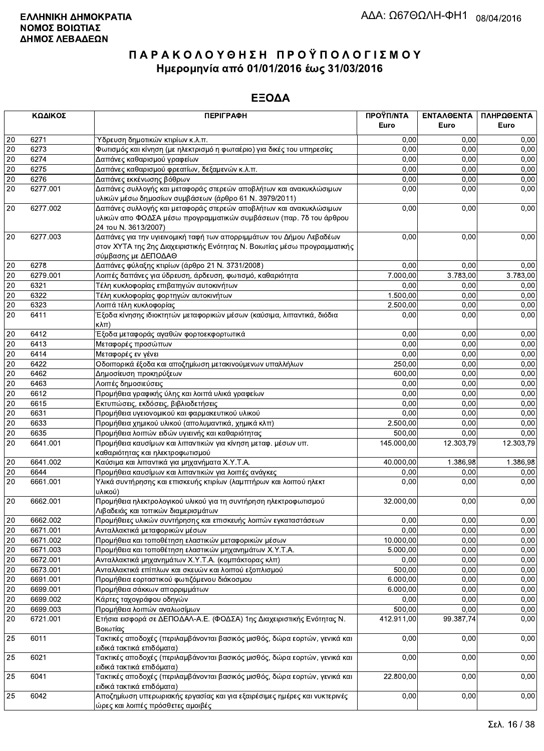|        | ΚΩΔΙΚΟΣ  | <b>ПЕРІГРАФН</b>                                                                                        | ΠΡΟΫΠ/ΝΤΑ  | <b>ENTAAOENTA</b> | ΠΛΗΡΩΘΕΝΤΑ |
|--------|----------|---------------------------------------------------------------------------------------------------------|------------|-------------------|------------|
|        |          |                                                                                                         | Euro       | Euro              | Euro       |
| 20     | 6271     | Ύδρευση δημοτικών κτιρίων κ.λ.π.                                                                        | 0,00       | 0.00              | 0,00       |
| 20     | 6273     | Φωτισμός και κίνηση (με ηλεκτρισμό η φωταέριο) για δικές του υπηρεσίες                                  | 0,00       | 0,00              | 0,00       |
| 20     | 6274     | Δαπάνες καθαρισμού γραφείων                                                                             | 0,00       | 0,00              | 0,00       |
| 20     | 6275     | Δαπάνες καθαρισμού φρεατίων, δεξαμενών κ.λ.π.                                                           | 0,00       | 0,00              | 0,00       |
| 20     | 6276     | Δαπάνες εκκένωσης βόθρων                                                                                | 0,00       | 0,00              | 0,00       |
| 20     | 6277.001 | Δαπάνες συλλογής και μεταφοράς στερεών αποβλήτων και ανακυκλώσιμων                                      | 0,00       | 0,00              | 0,00       |
|        |          | υλικών μέσω δημοσίων συμβάσεων (άρθρο 61 Ν. 3979/2011)                                                  |            |                   |            |
| 20     | 6277.002 | Δαπάνες συλλογής και μεταφοράς στερεών αποβλήτων και ανακυκλώσιμων                                      | 0,00       | 0,00              | 0,00       |
|        |          | υλικών απο ΦΟΔΣΑ μέσω προγραμματικών συμβάσεων (παρ. 7δ του άρθρου                                      |            |                   |            |
|        |          | 24 του Ν. 3613/2007)                                                                                    |            |                   |            |
| 20     | 6277.003 | Δαπάνες για την υγιεινομική ταφή των απορριμμάτων του Δήμου Λεβαδέων                                    | 0,00       | 0,00              | 0,00       |
|        |          | στον ΧΥΤΑ της 2ης Διαχειριστικής Ενότητας Ν. Βοιωτίας μέσω προγραμματικής                               |            |                   |            |
|        |          | σύμβασης με ΔΕΠΟΔΑΘ                                                                                     |            |                   |            |
| 20     | 6278     | Δαπάνες φύλαξης κτιρίων (άρθρο 21 Ν. 3731/2008)                                                         | 0,00       | 0,00              | 0,00       |
| 20     | 6279.001 | Λοιπές δαπάνες για ύδρευση, άρδευση, φωτισμό, καθαριότητα                                               | 7.000,00   | 3.783,00          | 3.783,00   |
| 20     | 6321     | Τέλη κυκλοφορίας επιβατηγών αυτοκινήτων                                                                 | 0,00       | 0,00              | 0,00       |
| 20     | 6322     | Τέλη κυκλοφορίας φορτηγών αυτοκινήτων                                                                   | 1.500,00   | 0,00              | 0,00       |
| 20     | 6323     | Λοιπά τέλη κυκλοφορίας                                                                                  | 2.500,00   | 0,00              | 0,00       |
| 20     | 6411     | Έξοδα κίνησης ιδιοκτητών μεταφορικών μέσων (καύσιμα, λιπαντικά, διόδια                                  | 0,00       | 0,00              | 0,00       |
|        |          | κλπ)                                                                                                    |            |                   |            |
| 20     | 6412     | Έξοδα μεταφοράς αγαθών φορτοεκφορτωτικά                                                                 | 0,00       | 0,00              | 0,00       |
| 20     | 6413     | Μεταφορές προσώπων                                                                                      | 0,00       | 0,00              | 0,00       |
| 20     | 6414     | Μεταφορές εν γένει                                                                                      | 0,00       | 0,00              | 0,00       |
| 20     | 6422     | Οδοιπορικά έξοδα και αποζημίωση μετακινούμενων υπαλλήλων                                                | 250,00     | 0,00              | 0,00       |
| 20     | 6462     | Δημοσίευση προκηρύξεων                                                                                  | 600.00     | 0,00              | 0,00       |
| 20     | 6463     | Λοιπές δημοσιεύσεις                                                                                     | 0,00       | 0,00              | 0,00       |
| 20     | 6612     | Προμήθεια γραφικής ύλης και λοιπά υλικά γραφείων                                                        | 0,00       | 0,00              | 0,00       |
| 20     | 6615     | Εκτυπώσεις, εκδόσεις, βιβλιοδετήσεις                                                                    | 0,00       | 0,00              | 0,00       |
| 20     | 6631     | Προμήθεια υγειονομικού και φαρμακευτικού υλικού                                                         | 0,00       | 0,00              | 0,00       |
| $20\,$ | 6633     | Προμήθεια χημικού υλικού (απολυμαντικά, χημικά κλπ)                                                     | 2.500,00   | 0,00              | 0,00       |
| 20     | 6635     | Προμήθεια λοιπών ειδών υγιεινής και καθαριότητας                                                        | 500,00     | 0.00              | 0,00       |
| 20     | 6641.001 | Προμήθεια καυσίμων και λιπαντικών για κίνηση μεταφ. μέσων υπ.                                           | 145.000,00 | 12.303,79         | 12.303,79  |
|        |          | καθαριότητας και ηλεκτροφωτισμού                                                                        |            |                   |            |
| $20\,$ | 6641.002 | Καύσιμα και λιπαντικά για μηχανήματα Χ.Υ.Τ.Α.                                                           | 40.000,00  | 1.386,98          | 1.386,98   |
| 20     | 6644     | Προμήθεια καυσίμων και λιπαντικών για λοιπές ανάγκες                                                    | 0,00       | 0,00              | 0,00       |
| 20     | 6661.001 | Υλικά συντήρησης και επισκευής κτιρίων (λαμπτήρων και λοιπού ηλεκτ                                      | 0,00       | 0,00              | 0,00       |
|        |          | υλικού)                                                                                                 |            |                   |            |
| 20     | 6662.001 | Προμήθεια ηλεκτρολογικού υλικού για τη συντήρηση ηλεκτροφωτισμού                                        | 32.000,00  | 0,00              | 0,00       |
|        |          | Λιβαδειάς και τοπικών διαμερισμάτων                                                                     |            |                   |            |
| 20     | 6662.002 | Προμήθειες υλικών συντήρησης και επισκευής λοιπών εγκαταστάσεων                                         | 0,00       | 0,00              | 0,00       |
| 20     | 6671.001 | Ανταλλακτικά μεταφορικών μέσων                                                                          | 0,00       | 0,00              | 0,00       |
| 20     | 6671.002 | Προμήθεια και τοποθέτηση ελαστικών μεταφορικών μέσων                                                    | 10.000,00  | 0,00              | 0,00       |
| 20     | 6671.003 | Προμήθεια και τοποθέτηση ελαστικών μηχανημάτων Χ.Υ.Τ.Α.                                                 | 5.000,00   | 0.00              | 0,00       |
| 20     | 6672.001 | Ανταλλακτικά μηχανημάτων Χ.Υ.Τ.Α. (κομπάκτορας κλπ)                                                     | 0,00       | 0,00              | 0,00       |
| 20     | 6673.001 | Ανταλλακτικά επίπλων και σκευών και λοιπού εξοπλισμού                                                   | 500,00     | 0,00              | 0,00       |
| 20     | 6691.001 | Προμήθεια εορταστικού φωτιζόμενου διάκοσμου                                                             | 6.000,00   | 0,00              | 0,00       |
| 20     | 6699.001 | Προμήθεια σάκκων απορριμμάτων                                                                           | 6.000,00   | 0,00              | 0,00       |
| 20     | 6699.002 | Κάρτες ταχογράφου οδηγών                                                                                | 0,00       | 0,00              | 0,00       |
| 20     | 6699.003 | Προμήθεια λοιπών αναλωσίμων                                                                             | 500,00     | 0,00              | 0,00       |
| 20     | 6721.001 | Ετήσια εισφορά σε ΔΕΠΟΔΑΛ-Α.Ε. (ΦΟΔΣΑ) 1ης Διαχειριστικής Ενότητας Ν.<br>Βοιωτίας                       | 412.911,00 | 99.387,74         | 0,00       |
| 25     | 6011     | Τακτικές αποδοχές (περιλαμβάνονται βασικός μισθός, δώρα εορτών, γενικά και<br>ειδικά τακτικά επιδόματα) | 0,00       | 0,00              | 0,00       |
| 25     | 6021     | Τακτικές αποδοχές (περιλαμβάνονται βασικός μισθός, δώρα εορτών, γενικά και                              | 0,00       | 0,00              | 0,00       |
|        |          | ειδικά τακτικά επιδόματα)                                                                               |            |                   |            |
| 25     | 6041     | Τακτικές αποδοχές (περιλαμβάνονται βασικός μισθός, δώρα εορτών, γενικά και<br>ειδικά τακτικά επιδόματα) | 22.800,00  | 0,00              | 0,00       |
| 25     | 6042     | Αποζημίωση υπερωριακής εργασίας και για εξαιρέσιμες ημέρες και νυκτερινές                               | 0,00       | 0,00              | 0,00       |
|        |          | ώρες και λοιπές πρόσθετες αμοιβές                                                                       |            |                   |            |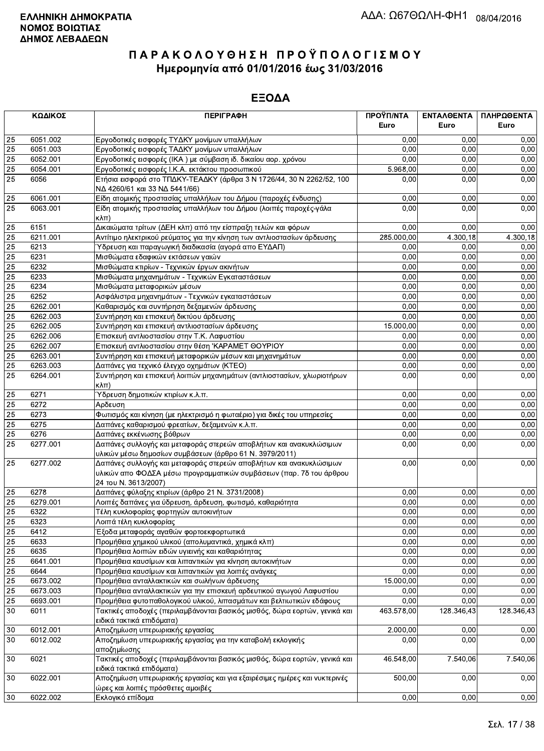|                 | ΚΩΔΙΚΟΣ  | <b>ПЕРІГРАФН</b>                                                                                                                                                 | ΠΡΟΫΠ/ΝΤΑ<br>Euro | ΕΝΤΑΛΘΕΝΤΑ<br>Euro | ΠΛΗΡΩΘΕΝΤΑ<br>Euro |
|-----------------|----------|------------------------------------------------------------------------------------------------------------------------------------------------------------------|-------------------|--------------------|--------------------|
| 25              | 6051.002 | Εργοδοτικές εισφορές ΤΥΔΚΥ μονίμων υπαλλήλων                                                                                                                     | 0.00              | 0.00               | 0,00               |
| 25              | 6051.003 | Εργοδοτικές εισφορές ΤΑΔΚΥ μονίμων υπαλλήλων                                                                                                                     | 0,00              | 0.00               | 0,00               |
| $\overline{25}$ | 6052.001 | Εργοδοτικές εισφορές (ΙΚΑ) με σύμβαση ιδ. δικαίου αορ. χρόνου                                                                                                    | 0.00              | 0,00               | 0,00               |
| 25              | 6054.001 | Εργοδοτικές εισφορές Ι.Κ.Α. εκτάκτου προσωπικού                                                                                                                  | 5.968,00          | 0,00               | 0,00               |
| 25              | 6056     | Ετήσια εισφορά στο ΤΠΔΚΥ-ΤΕΑΔΚΥ (άρθρα 3 Ν 1726/44, 30 Ν 2262/52, 100<br>ΝΔ 4260/61 και 33 ΝΔ 5441/66)                                                           | 0.00              | 0,00               | 0,00               |
| 25              | 6061.001 | Είδη ατομικής προστασίας υπαλλήλων του Δήμου (παροχές ένδυσης)                                                                                                   | 0,00              | 0,00               | 0,00               |
| $\overline{25}$ | 6063.001 | Είδη ατομικής προστασίας υπαλλήλων του Δήμου (λοιπές παροχές-γάλα<br>кλπ)                                                                                        | 0,00              | 0,00               | 0,00               |
| 25              | 6151     | Δικαιώματα τρίτων (ΔΕΗ κλπ) από την είσπραξη τελών και φόρων                                                                                                     | 0.00              | 0,00               | 0,00               |
| 25              | 6211.001 | Αντίτιμο ηλεκτρικού ρεύματος για την κίνηση των αντλιοστασίων άρδευσης                                                                                           | 285.000,00        | 4.300,18           | 4.300,18           |
| $\overline{25}$ | 6213     | Ύδρευση και παραγωγική διαδικασία (αγορά απο ΕΥΔΑΠ)                                                                                                              | 0,00              | 0.00               | 0,00               |
| $\overline{25}$ | 6231     | Μισθώματα εδαφικών εκτάσεων γαιών                                                                                                                                | 0,00              | 0,00               | 0,00               |
| 25              | 6232     | Μισθώματα κτιρίων - Τεχνικών έργων ακινήτων                                                                                                                      | 0,00              | 0,00               | 0,00               |
| $\overline{25}$ | 6233     | Μισθώματα μηχανημάτων - Τεχνικών Εγκαταστάσεων                                                                                                                   | 0,00              | 0,00               | 0,00               |
| 25              | 6234     | Μισθώματα μεταφορικών μέσων                                                                                                                                      | 0.00              | 0,00               | 0,00               |
| $\overline{25}$ | 6252     | Ασφάλιστρα μηχανημάτων - Τεχνικών εγκαταστάσεων                                                                                                                  | 0,00              | 0,00               | 0,00               |
| $\overline{25}$ | 6262.001 | Καθαρισμός και συντήρηση δεξαμενών άρδευσης                                                                                                                      | 0,00              | 0,00               | 0,00               |
| 25              | 6262.003 | Συντήρηση και επισκευή δικτύου άρδευσης                                                                                                                          | 0,00              | 0,00               | 0,00               |
| $\overline{25}$ | 6262.005 | Συντήρηση και επισκευή αντλιοστασίων άρδευσης                                                                                                                    | 15.000,00         | 0,00               | 0,00               |
| 25              | 6262.006 | Επισκευή αντλιοστασίου στην Τ.Κ. Λαφυστίου                                                                                                                       | 0,00              | 0,00               | 0,00               |
| 25              | 6262.007 | Επισκευή αντλιοστασίου στην θέση 'ΚΑΡΑΜΕΤ ΘΟΥΡΙΟΥ                                                                                                                | 0,00              | 0,00               | 0,00               |
| $\overline{25}$ | 6263.001 | Συντήρηση και επισκευή μεταφορικών μέσων και μηχανημάτων                                                                                                         | 0,00              | 0,00               | 0,00               |
| 25              | 6263.003 | Δαπάνες για τεχνικό έλεγχο οχημάτων (ΚΤΕΟ)                                                                                                                       | 0,00              | 0,00               | 0,00               |
| $\overline{25}$ | 6264.001 | Συντήρηση και επισκευή λοιπών μηχανημάτων (αντλιοστασίων, χλωριοτήρων<br>$\kappa\lambda\pi$ )                                                                    | 0,00              | 0,00               | 0,00               |
| 25              | 6271     | Ύδρευση δημοτικών κτιρίων κ.λ.π.                                                                                                                                 | 0,00              | 0.00               | 0,00               |
| 25              | 6272     | Αρδευση                                                                                                                                                          | 0,00              | 0,00               | 0,00               |
| 25              | 6273     | Φωτισμός και κίνηση (με ηλεκτρισμό η φωταέριο) για δικές του υπηρεσίες                                                                                           | 0,00              | 0,00               | 0,00               |
| 25              | 6275     | Δαπάνες καθαρισμού φρεατίων, δεξαμενών κ.λ.π.                                                                                                                    | 0,00              | 0,00               | 0,00               |
| 25              | 6276     | Δαπάνες εκκένωσης βόθρων                                                                                                                                         | 0,00              | 0,00               | 0,00               |
| 25              | 6277.001 | Δαπάνες συλλογής και μεταφοράς στερεών αποβλήτων και ανακυκλώσιμων<br>υλικών μέσω δημοσίων συμβάσεων (άρθρο 61 Ν. 3979/2011)                                     | 0,00              | 0,00               | 0,00               |
| 25              | 6277.002 | Δαπάνες συλλογής και μεταφοράς στερεών αποβλήτων και ανακυκλώσιμων<br>υλικών απο ΦΟΔΣΑ μέσω προγραμματικών συμβάσεων (παρ. 7δ του άρθρου<br>24 του Ν. 3613/2007) | 0,00              | 0,00               | 0,00               |
| 25              | 6278     | Δαπάνες φύλαξης κτιρίων (άρθρο 21 Ν. 3731/2008)                                                                                                                  | 0,00              | 0.00               | 0,00               |
| 25              | 6279.001 | Λοιπές δαπάνες για ύδρευση, άρδευση, φωτισμό, καθαριότητα                                                                                                        | 0,00              | 0.00               | 0,00               |
| 25              | 6322     | Τέλη κυκλοφορίας φορτηγών αυτοκινήτων                                                                                                                            | 0,00              | 0,00               | 0,00               |
| 25              | 6323     | Λοιπά τέλη κυκλοφορίας                                                                                                                                           | 0,00              | 0,00               | 0,00               |
| 25              | 6412     | Έξοδα μεταφοράς αγαθών φορτοεκφορτωτικά                                                                                                                          | 0,00              | 0,00               | 0,00               |
| 25              | 6633     | Προμήθεια χημικού υλικού (απολυμαντικά, χημικά κλπ)                                                                                                              | 0,00              | 0,00               | 0,00               |
| 25              | 6635     | Προμήθεια λοιπών ειδών υγιεινής και καθαριότητας                                                                                                                 | 0,00              | 0,00               | 0,00               |
| 25              | 6641.001 | Προμήθεια καυσίμων και λιπαντικών για κίνηση αυτοκινήτων                                                                                                         | 0,00              | 0,00               | 0,00               |
| 25              | 6644     | Προμήθεια καυσίμων και λιπαντικών για λοιπές ανάγκες                                                                                                             | 0,00              | 0,00               | 0,00               |
| $\overline{25}$ | 6673.002 | Προμήθεια ανταλλακτικών και σωλήνων άρδευσης                                                                                                                     | 15.000,00         | 0,00               | 0,00               |
| 25              | 6673.003 | Προμήθεια ανταλλακτικών για την επισκευή αρδευτικού αγωγού Λαφυστίου                                                                                             | 0,00              | 0,00               | 0,00               |
| 25              | 6693.001 | Προμήθεια φυτοπαθολογικού υλικού, λιπασμάτων και βελτιωτικών εδάφους                                                                                             | 0,00              | 0,00               | 0,00               |
| 30              | 6011     | Τακτικές αποδοχές (περιλαμβάνονται βασικός μισθός, δώρα εορτών, γενικά και<br>ειδικά τακτικά επιδόματα)                                                          | 463.578,00        | 128.346,43         | 128.346,43         |
| 30              | 6012.001 | Αποζημίωση υπερωριακής εργασίας                                                                                                                                  | 2.000,00          | 0,00               | 0,00               |
| 30              | 6012.002 | Αποζημίωση υπερωριακής εργασίας για την καταβολή εκλογικής<br>αποζημίωσης                                                                                        | 0,00              | 0,00               | 0,00               |
| 30              | 6021     | Τακτικές αποδοχές (περιλαμβάνονται βασικός μισθός, δώρα εορτών, γενικά και<br>ειδικά τακτικά επιδόματα)                                                          | 46.548,00         | 7.540,06           | 7.540,06           |
| 30              | 6022.001 | Αποζημίωση υπερωριακής εργασίας και για εξαιρέσιμες ημέρες και νυκτερινές<br>ώρες και λοιπές πρόσθετες αμοιβές                                                   | 500,00            | 0,00               | 0,00               |
| 30              | 6022.002 | Εκλονικό επίδομα                                                                                                                                                 | 0.00              | 0.00               | 0.00               |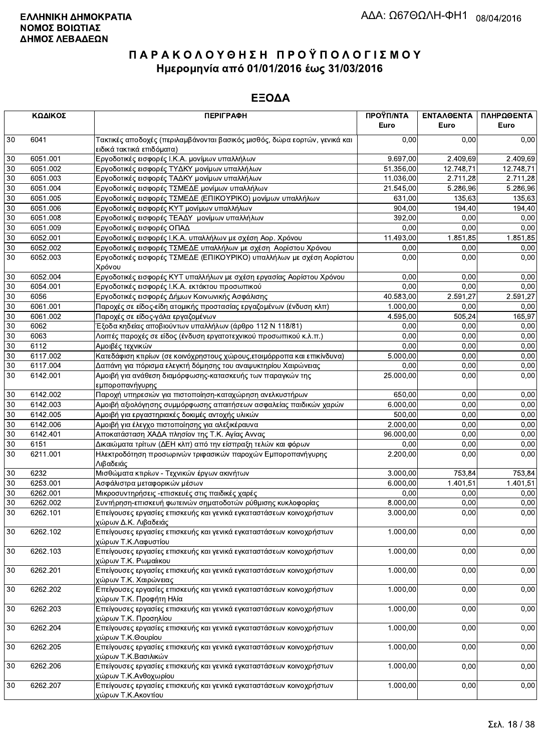|        | ΚΩΔΙΚΟΣ  | <b>ПЕРІГРАФН</b>                                                                                        | ΠΡΟΫΠ/ΝΤΑ<br>Euro     | ΕΝΤΑΛΘΕΝΤΑ<br>Euro | ΠΛΗΡΩΘΕΝΤΑ<br>Euro |
|--------|----------|---------------------------------------------------------------------------------------------------------|-----------------------|--------------------|--------------------|
| 30     | 6041     | Τακτικές αποδοχές (περιλαμβάνονται βασικός μισθός, δώρα εορτών, γενικά και<br>ειδικά τακτικά επιδόματα) | 0,00                  | 0.00               | 0,00               |
| 30     | 6051.001 | Εργοδοτικές εισφορές Ι.Κ.Α. μονίμων υπαλλήλων                                                           | 9.697,00              | 2.409,69           | 2.409,69           |
| 30     | 6051.002 | Εργοδοτικές εισφορές ΤΥΔΚΥ μονίμων υπαλλήλων                                                            | 51.356,00             | 12.748,71          | 12.748,71          |
| 30     | 6051.003 | Εργοδοτικές εισφορές ΤΑΔΚΥ μονίμων υπαλλήλων                                                            | 11.036,00             | 2.711,28           | 2.711.28           |
| 30     | 6051.004 | Εργοδοτικές εισφορές ΤΣΜΕΔΕ μονίμων υπαλλήλων                                                           | 21.545,00             | 5.286,96           | 5.286,96           |
| 30     | 6051.005 | Εργοδοτικές εισφορές ΤΣΜΕΔΕ (ΕΠΙΚΟΥΡΙΚΟ) μονίμων υπαλλήλων                                              | 631,00                | 135,63             | 135,63             |
| 30     | 6051.006 | Εργοδοτικές εισφορές ΚΥΤ μονίμων υπαλλήλων                                                              | 904,00                | 194,40             | 194,40             |
| 30     | 6051.008 | Εργοδοτικές εισφορές ΤΕΑΔΥ μονίμων υπαλλήλων                                                            | 392.00                | 0.00               | 0,00               |
| 30     | 6051.009 | Εργοδοτικές εισφορές ΟΠΑΔ                                                                               | 0,00                  | 0.00               | 0,00               |
| 30     | 6052.001 | Εργοδοτικές εισφορές Ι.Κ.Α. υπαλλήλων με σχέση Αορ. Χρόνου                                              | 11.493,00             | 1.851,85           | 1.851,85           |
| 30     | 6052.002 | Εργοδοτικές εισφορές ΤΣΜΕΔΕ υπαλλήλων με σχέση Αορίστου Χρόνου                                          | 0,00                  | 0,00               | 0,00               |
| 30     | 6052.003 | Εργοδοτικές εισφορές ΤΣΜΕΔΕ (ΕΠΙΚΟΥΡΙΚΟ) υπαλλήλων με σχέση Αορίστου<br>Χρόνου                          | 0,00                  | 0,00               | 0,00               |
| 30     | 6052.004 | Εργοδοτικές εισφορές ΚΥΤ υπαλλήλων με σχέση εργασίας Αορίστου Χρόνου                                    | 0,00                  | 0,00               | 0,00               |
| 30     | 6054.001 | Εργοδοτικές εισφορές Ι.Κ.Α. εκτάκτου προσωπικού                                                         | 0,00                  | 0,00               | 0,00               |
| 30     | 6056     | Εργοδοτικές εισφορές Δήμων Κοινωνικής Ασφάλισης                                                         | 40.583,00             | 2.591,27           | 2.591,27           |
| 30     | 6061.001 | Παροχές σε είδος-είδη ατομικής προστασίας εργαζομένων (ένδυση κλπ)                                      | 1.000,00              | 0,00               | 0,00               |
| 30     | 6061.002 | Παροχές σε είδος-γάλα εργαζομένων                                                                       | 4.595,00              | 505,24             | 165,97             |
| 30     | 6062     | Έξοδα κηδείας αποβιούντων υπαλλήλων (άρθρο 112 Ν 118/81)                                                | 0,00                  | 0,00               | 0,00               |
| 30     | 6063     | Λοιπές παροχές σε είδος (ένδυση εργατοτεχνικού προσωπικού κ.λ.π.)                                       | 0,00                  | 0,00               | 0,00               |
| 30     | 6112     | Αμοιβές τεχνικών                                                                                        | 0,00                  | 0,00               | 0,00               |
| 30     | 6117.002 | Κατεδάφιση κτιρίων (σε κοινόχρηστους χώρους, ετοιμόρροπα και επικίνδυνα)                                | 5.000,00              | 0,00               | 0,00               |
| 30     | 6117.004 | Δαπάνη για πόρισμα ελεγκτή δόμησης του αναψυκτηρίου Χαιρώνειας                                          | 0,00                  | 0,00               | 0,00               |
| 30     | 6142.001 | Αμοιβή για ανάθεση διαμόρφωσης-κατασκευής των παραγκών της                                              | 25.000,00             | 0,00               | 0,00               |
|        |          | εμποροπανήγυρης                                                                                         |                       |                    |                    |
| 30     | 6142.002 | Παροχή υπηρεσιών για πιστοποίηση-καταχώρηση ανελκυστήρων                                                | 650,00                | 0.00               | 0,00               |
| 30     | 6142.003 | Αμοιβή αξιολόγησης συμμόρφωσης απαιτήσεων ασφαλείας παιδικών χαρών                                      | 6.000,00              | 0,00               | 0,00               |
| 30     | 6142.005 | Αμοιβή για εργαστηριακές δοκιμές αντοχής υλικών                                                         | 500,00                | 0,00               | 0,00               |
| 30     | 6142.006 | Αμοιβή για έλεγχο πιστοποίησης για αλεξικέραυνα                                                         | 2.000,00              | 0,00               | 0,00               |
| 30     | 6142.401 | Αποκατάσταση ΧΑΔΑ πλησίον της Τ.Κ. Αγίας Αννας                                                          | 96.000,00             | 0,00               | 0,00               |
| 30     | 6151     | Δικαιώματα τρίτων (ΔΕΗ κλπ) από την είσπραξη τελών και φόρων                                            | 0,00                  | 0.00               | 0,00               |
| 30     | 6211.001 |                                                                                                         | $\overline{2.200,00}$ |                    |                    |
|        |          | Ηλεκτροδότηση προσωρινών τριφασικών παροχών Εμποροπανήγυρης<br>Λιβαδειάς                                |                       | 0,00               | 0,00               |
| 30     | 6232     | Μισθώματα κτιρίων - Τεχνικών έργων ακινήτων                                                             | 3.000,00              | 753,84             | 753,84             |
| 30     | 6253.001 | Ασφάλιστρα μεταφορικών μέσων                                                                            | 6.000,00              | 1.401.51           | 1.401,51           |
| 30     | 6262.001 | Μικροσυντηρήσεις -επισκευές στις παιδικές χαρές                                                         | 0,00                  | 0,00               | 0,00               |
| 30     | 6262.002 | Συντήρηση-επισκευή φωτεινών σηματοδοτών ρύθμισης κυκλοφορίας                                            | 8.000,00              | 0,00               | 0,00               |
| 30     | 6262.101 | Επείγουσες εργασίες επισκευής και γενικά εγκαταστάσεων κοινοχρήστων<br>χώρων Δ.Κ. Λιβαδειάς             | 3.000,00              | 0,00               | 0,00               |
| 30     | 6262.102 | Επείγουσες εργασίες επισκευής και γενικά εγκαταστάσεων κοινοχρήστων<br>χώρων Τ.Κ.Λαφυστίου              | 1.000,00              | 0,00               | 0,00               |
| $30\,$ | 6262.103 | Επείγουσες εργασίες επισκευής και γενικά εγκαταστάσεων κοινοχρήστων<br>χώρων Τ.Κ. Ρωμαίικου             | 1.000,00              | 0,00               | 0,00               |
| 30     | 6262.201 | Επείγουσες εργασίες επισκευής και γενικά εγκαταστάσεων κοινοχρήστων<br>χώρων Τ.Κ. Χαιρώνειας            | 1.000,00              | 0,00               | 0,00               |
| 30     | 6262.202 | Επείγουσες εργασίες επισκευής και γενικά εγκαταστάσεων κοινοχρήστων<br>χώρων Τ.Κ. Προφήτη Ηλία          | 1.000,00              | 0,00               | 0,00               |
| 30     | 6262.203 | Επείγουσες εργασίες επισκευής και γενικά εγκαταστάσεων κοινοχρήστων<br>χώρων Τ.Κ. Προσηλίου             | 1.000,00              | 0,00               | 0,00               |
| 30     | 6262.204 | Επείγουσες εργασίες επισκευής και γενικά εγκαταστάσεων κοινοχρήστων<br>χώρων Τ.Κ.Θουρίου                | 1.000,00              | 0,00               | 0,00               |
| 30     | 6262.205 | Επείγουσες εργασίες επισκευής και γενικά εγκαταστάσεων κοινοχρήστων<br>χώρων Τ.Κ.Βασιλικών              | 1.000,00              | 0,00               | 0,00               |
| 30     | 6262.206 | Επείγουσες εργασίες επισκευής και γενικά εγκαταστάσεων κοινοχρήστων<br>χώρων Τ.Κ.Ανθοχωρίου             | 1.000,00              | 0,00               | 0,00               |
| 30     | 6262.207 | Επείγουσες εργασίες επισκευής και γενικά εγκαταστάσεων κοινοχρήστων<br>χώρων Τ.Κ.Ακοντίου               | 1.000,00              | 0,00               | 0,00               |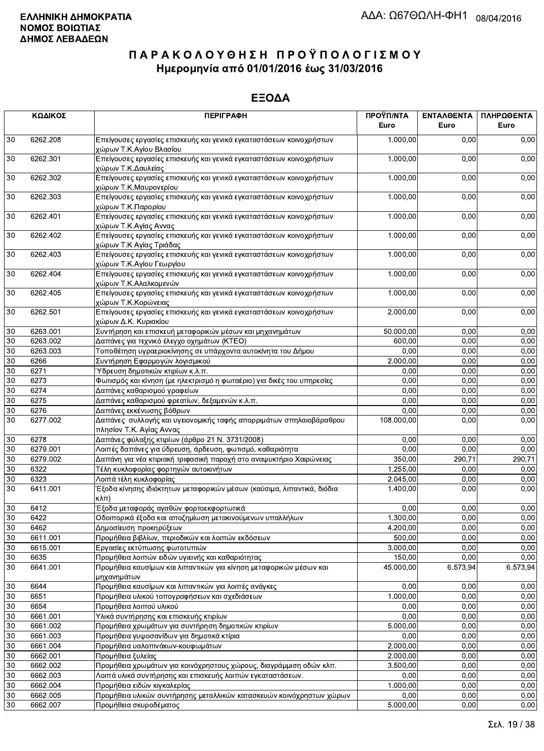|        | ΚΩΔΙΚΟΣ  | <b>ПЕРІГРАФН</b>                                                                                | ΠΡΟΫΠ/ΝΤΑ<br>Euro | ΕΝΤΑΛΘΕΝΤΑ<br>Euro | ΠΛΗΡΩΘΕΝΤΑ<br>Euro |
|--------|----------|-------------------------------------------------------------------------------------------------|-------------------|--------------------|--------------------|
| 30     | 6262.208 | Επείγουσες εργασίες επισκευής και γενικά εγκαταστάσεων κοινοχρήστων<br>χώρων Τ.Κ.Αγίου Βλασίου  | 1.000,00          | 0,00               | 0,00               |
| 30     | 6262.301 | Επείγουσες εργασίες επισκευής και γενικά εγκαταστάσεων κοινοχρήστων<br>χώρων Τ.Κ.Δαυλείας       | 1.000,00          | 0,00               | 0,00               |
| 30     | 6262.302 | Επείγουσες εργασίες επισκευής και γενικά εγκαταστάσεων κοινοχρήστων<br>χώρων Τ.Κ.Μαυρονερίου    | 1.000,00          | 0,00               | 0,00               |
| 30     | 6262.303 | Επείγουσες εργασίες επισκευής και γενικά εγκαταστάσεων κοινοχρήστων<br>χώρων Τ.Κ.Παρορίου       | 1.000,00          | 0,00               | 0,00               |
| 30     | 6262.401 | Επείγουσες εργασίες επισκευής και γενικά εγκαταστάσεων κοινοχρήστων<br>χώρων Τ.Κ.Αγίας Αννας    | 1.000,00          | 0,00               | 0,00               |
| 30     | 6262.402 | Επείγουσες εργασίες επισκευής και γενικά εγκαταστάσεων κοινοχρήστων<br>χώρων Τ.Κ Αγίας Τριάδας  | 1.000,00          | 0,00               | 0,00               |
| 30     | 6262.403 | Επείγουσες εργασίες επισκευής και γενικά εγκαταστάσεων κοινοχρήστων<br>χώρων Τ.Κ.Αγίου Γεωργίου | 1.000,00          | 0,00               | 0,00               |
| 30     | 6262.404 | Επείγουσες εργασίες επισκευής και γενικά εγκαταστάσεων κοινοχρήστων<br>χώρων Τ.Κ.Αλαλκομενών    | 1.000,00          | 0,00               | 0,00               |
| 30     | 6262.405 | Επείγουσες εργασίες επισκευής και γενικά εγκαταστάσεων κοινοχρήστων<br>χώρων Τ.Κ.Κορώνειας      | 1.000,00          | 0,00               | 0,00               |
| 30     | 6262.501 | Επείγουσες εργασίες επισκευής και γενικά εγκαταστάσεων κοινοχρήστων<br>χώρων Δ.Κ. Κυριακίου     | 2.000,00          | 0,00               | 0,00               |
| 30     | 6263.001 | Συντήρηση και επισκευή μεταφορικών μέσων και μηχανημάτων                                        | 50.000,00         | 0,00               | 0,00               |
| 30     | 6263.002 | Δαπάνες για τεχνικό έλεγχο οχημάτων (ΚΤΕΟ)                                                      | 600,00            | 0,00               | 0,00               |
| 30     | 6263.003 | Τοποθέτηση υγραεριοκίνησης σε υπάρχοντα αυτοκίνητα του Δήμου                                    | 0,00              | 0,00               | 0,00               |
| 30     | 6266     | Συντήρηση Εφαρμογών λογισμικού                                                                  | 2.000,00          | 0,00               | 0,00               |
| 30     | 6271     | Ύδρευση δημοτικών κτιρίων κ.λ.π.                                                                | 0,00              | 0,00               | 0,00               |
| 30     | 6273     | Φωτισμός και κίνηση (με ηλεκτρισμό η φωταέριο) για δικές του υπηρεσίες                          | 0,00              | 0,00               | 0,00               |
| 30     | 6274     | Δαπάνες καθαρισμού γραφείων                                                                     | 0,00              | 0,00               | 0,00               |
| 30     | 6275     | Δαπάνες καθαρισμού φρεατίων, δεξαμενών κ.λ.π.                                                   | 0,00              | 0,00               | 0,00               |
| 30     | 6276     | Δαπάνες εκκένωσης βόθρων                                                                        | 0,00              | 0,00               | 0,00               |
| 30     | 6277.002 | Δαπάνες συλλογής και υγειονομικής ταφής απορριμάτων σπηλαιοβάραθρου<br>πλησίον Τ.Κ. Αγίας Αννας | 108.000,00        | 0,00               | 0,00               |
| 30     | 6278     | Δαπάνες φύλαξης κτιρίων (άρθρο 21 Ν. 3731/2008)                                                 | 0.00              | 0,00               | 0,00               |
| 30     | 6279.001 | Λοιπές δαπάνες για ύδρευση, άρδευση, φωτισμό, καθαριότητα                                       | 0,00              | 0,00               | 0,00               |
| 30     | 6279.002 | Δαπάνη για νέα κτιριακή τριφασική παροχή στο αναψυκτήριο Χαιρώνειας                             | 350,00            | 290,71             | 290,71             |
| 30     | 6322     | Τέλη κυκλοφορίας φορτηγών αυτοκινήτων                                                           | 1.255,00          | 0,00               | 0,00               |
| 30     | 6323     | Λοιπά τέλη κυκλοφορίας                                                                          | 2.045,00          | 0,00               | 0,00               |
| 30     | 6411.001 | Έξοδα κίνησης ιδιόκτητων μεταφορικών μέσων (καύσιμα, λιπαντικά, διόδια<br>κλπ)                  | 1.400,00          | 0,00               | 0,00               |
| 30     | 6412     | Έξοδα μεταφοράς αγαθών φορτοεκφορτωτικά                                                         | 0,00              | 0,00               | 0,00               |
| $30\,$ | 6422     | Οδοιπορικά έξοδα και αποζημίωση μετακινούμενων υπαλλήλων                                        | 1.300,00          | 0,00               | 0,00               |
| 30     | 6462     | Δημοσίευση προκηρύξεων                                                                          | 4.200,00          | 0,00               | 0,00               |
| 30     | 6611.001 | Προμήθεια βιβλίων, περιοδικών και λοιπών εκδόσεων                                               | 500,00            | 0,00               | 0,00               |
| 30     | 6615.001 | Εργασίες εκτύπωσης φωτοτυπιών                                                                   | 3.000,00          | 0,00               | 0,00               |
| 30     | 6635     | Προμήθεια λοιπών ειδών υγιεινής και καθαριότητας                                                | 150,00            | 0,00               | 0,00               |
| 30     | 6641.001 | Προμήθεια καυσίμων και λιπαντικών για κίνηση μεταφορικών μέσων και<br>μηχανημάτων               | 45.000,00         | 6.573,94           | 6.573,94           |
| 30     | 6644     | Προμήθεια καυσίμων και λιπαντικών για λοιπές ανάγκες                                            | 0,00              | 0,00               | 0,00               |
| 30     | 6651     | Προμήθεια υλικού τοπογραφήσεων και σχεδιάσεων                                                   | 1.000,00          | 0,00               | 0,00               |
| 30     | 6654     | Προμήθεια λοιπού υλικού                                                                         | 0,00              | 0,00               | 0,00               |
| 30     | 6661.001 | Υλικά συντήρησης και επισκευής κτιρίων                                                          | 0,00              | 0,00               | 0,00               |
| 30     | 6661.002 | Προμήθεια χρωμάτων για συντήρηση δημοτικών κτιρίων                                              | 5.000,00          | 0,00               | 0,00               |
| 30     | 6661.003 | Προμήθεια γυψοσανίδων για δημοτικά κτίρια                                                       | 0,00              | 0,00               | 0,00               |
| 30     | 6661.004 | Προμήθεια υαλοπινάκων-κουφωμάτων                                                                | 2.000,00          | 0,00               | 0,00               |
| 30     |          |                                                                                                 | 2.000,00          | 0,00               | 0,00               |
|        | 6662.001 | Προμήθεια ξυλείας                                                                               |                   |                    |                    |
| 30     | 6662.002 | Προμήθεια χρωμάτων για κοινόχρηστους χώρους, διαγράμμιση οδών κλπ.                              | 3.500,00          | 0,00               | 0,00               |
| 30     | 6662.003 | Λοιπά υλικά συντήρησης και επισκευής λοιπών εγκαταστάσεων.                                      | 0,00              | 0,00               | 0,00               |
| 30     | 6662.004 | Προμήθεια ειδών κιγκαλερίας                                                                     | 1.000,00          | 0,00               | 0,00               |
| 30     | 6662.005 | Προμήθεια υλικών συντήρησης μεταλλικών κατασκευών κοινόχρηστων χώρων                            | 0,00              | 0,00               | 0,00               |
| 30     | 6662.007 | Προμήθεια σκυροδέματος                                                                          | 5.000,00          | 0,00               | 0,00               |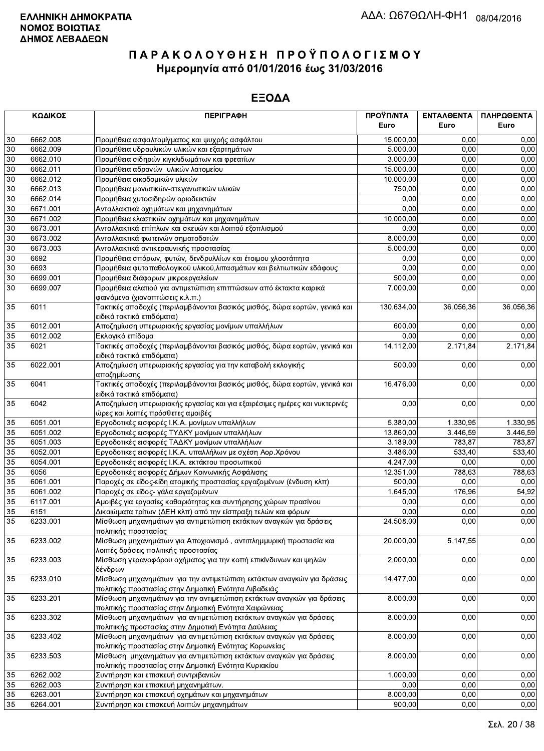|                 | ΚΩΔΙΚΟΣ              | <b>ПЕРІГРАФН</b>                                                                             | ΠΡΟΫΠ/ΝΤΑ<br>Euro      | ΕΝΤΑΛΘΕΝΤΑ<br>Euro | ΠΛΗΡΩΘΕΝΤΑ<br>Euro |
|-----------------|----------------------|----------------------------------------------------------------------------------------------|------------------------|--------------------|--------------------|
|                 |                      |                                                                                              |                        |                    |                    |
| 30              | 6662.008             | Προμήθεια ασφαλτομίγματος και ψυχρής ασφάλτου                                                | 15.000,00              | 0.00               | 0,00               |
| 30              | 6662.009             | Προμήθεια υδραυλικών υλικών και εξαρτημάτων                                                  | 5.000,00               | 0.00               | 0,00               |
| $30\,$<br>30    | 6662.010<br>6662.011 | Προμήθεια σιδηρών κιγκλιδωμάτων και φρεατίων<br>Προμήθεια αδρανών υλικών λατομείου           | 3.000,00               | 0,00<br>0,00       | 0,00<br>0,00       |
| $30\,$          | 6662.012             |                                                                                              | 15.000,00<br>10.000,00 | 0,00               | 0,00               |
| 30              | 6662.013             | Προμήθεια οικοδομικών υλικών<br>Προμήθεια μονωτικών-στεγανωτικών υλικών                      | 750,00                 | 0,00               | 0,00               |
| 30              | 6662.014             | Προμήθεια χυτοσιδηρών οριοδεικτών                                                            | 0,00                   | 0,00               | 0,00               |
| $\overline{30}$ | 6671.001             | Ανταλλακτικά οχημάτων και μηχανημάτων                                                        | 0,00                   | 0.00               | 0,00               |
| $\overline{30}$ | 6671.002             | Προμήθεια ελαστικών οχημάτων και μηχανημάτων                                                 | 10.000,00              | 0,00               | 0,00               |
| 30              | 6673.001             | Ανταλλακτικά επίπλων και σκευών και λοιπού εξοπλισμού                                        | 0,00                   | 0,00               | 0,00               |
| 30              | 6673.002             | Ανταλλακτικά φωτεινών σηματοδοτών                                                            | 8.000,00               | 0,00               | 0,00               |
| 30              | 6673.003             | Ανταλλακτικά αντικεραυνικής προστασίας                                                       | 5.000,00               | 0,00               | 0,00               |
| 30              | 6692                 | Προμήθεια σπόρων, φυτών, δενδρυλλίων και έτοιμου χλοοτάπητα                                  | 0,00                   | 0,00               | 0,00               |
| $30\,$          | 6693                 | Προμήθεια φυτοπαθολογικού υλικού, λιπασμάτων και βελτιωτικών εδάφους                         | 0,00                   | 0,00               | 0,00               |
| 30              | 6699.001             | Προμήθεια διάφορων μικροεργαλείων                                                            | 500,00                 | 0,00               | 0,00               |
| $\overline{30}$ | 6699.007             | Προμήθεια αλατιού για αντιμετώπιση επιπτώσεων από έκτακτα καιρικά                            | 7.000,00               | 0,00               | 0,00               |
|                 |                      | φαινόμενα (χιονοπτώσεις κ.λ.π.)                                                              |                        |                    |                    |
| 35              | 6011                 | Τακτικές αποδοχές (περιλαμβάνονται βασικός μισθός, δώρα εορτών, γενικά και                   | 130.634,00             | 36.056,36          | 36.056,36          |
|                 |                      | ειδικά τακτικά επιδόματα)                                                                    |                        |                    |                    |
| 35              | 6012.001             | Αποζημίωση υπερωριακής εργασίας μονίμων υπαλλήλων                                            | 600,00                 | 0,00               | 0,00               |
| 35              | 6012.002             | Εκλογικό επίδομα                                                                             | 0,00                   | 0,00               | 0,00               |
| 35              | 6021                 | Τακτικές αποδοχές (περιλαμβάνονται βασικός μισθός, δώρα εορτών, γενικά και                   | 14.112,00              | 2.171,84           | 2.171,84           |
|                 |                      | ειδικά τακτικά επιδόματα)                                                                    |                        |                    |                    |
| 35              | 6022.001             | Αποζημίωση υπερωριακής εργασίας για την καταβολή εκλογικής                                   | 500,00                 | 0,00               | 0,00               |
|                 |                      | αποζημίωσης                                                                                  |                        |                    |                    |
| 35              | 6041                 | Τακτικές αποδοχές (περιλαμβάνονται βασικός μισθός, δώρα εορτών, γενικά και                   | 16.476,00              | 0,00               | 0,00               |
|                 |                      | ειδικά τακτικά επιδόματα)                                                                    |                        |                    |                    |
| 35              | 6042                 | Αποζημίωση υπερωριακής εργασίας και για εξαιρέσιμες ημέρες και νυκτερινές                    | 0,00                   | 0,00               | 0,00               |
|                 |                      | ώρες και λοιπές πρόσθετες αμοιβές                                                            |                        |                    |                    |
| 35              | 6051.001             | Εργοδοτικές εισφορές Ι.Κ.Α. μονίμων υπαλλήλων                                                | 5.380,00               | 1.330,95           | 1.330,95           |
| 35              | 6051.002             | Εργοδοτικές εισφορές ΤΥΔΚΥ μονίμων υπαλλήλων                                                 | 13.860,00              | 3.446,59           | 3.446,59           |
| 35              | 6051.003             | Εργοδοτικές εισφορές ΤΑΔΚΥ μονίμων υπαλλήλων                                                 | 3.189,00               | 783,87             | 783,87             |
| $\overline{35}$ | 6052.001             | Εργοδοτικες εισφορές Ι.Κ.Α. υπαλλήλων με σχέση Αορ.Χρόνου                                    | 3.486,00               | 533.40             | 533,40             |
| 35              | 6054.001             | Εργοδοτικές εισφορές Ι.Κ.Α. εκτάκτου προσωπικού                                              | 4.247,00               | 0,00               | 0,00               |
| 35              | 6056                 | Εργοδοτικές εισφορές Δήμων Κοινωνικής Ασφάλισης                                              | 12.351,00              | 788,63             | 788,63             |
| 35              | 6061.001             | Παροχές σε είδος-είδη ατομικής προστασίας εργαζομένων (ένδυση κλπ)                           | 500,00                 | 0,00               | 0,00               |
| 35              | 6061.002             | Παροχές σε είδος- γάλα εργαζομένων                                                           | 1.645,00               | 176,96             | 54,92              |
| 35              | 6117.001             | Αμοιβές για εργασίες καθαριότητας και συντήρησης χώρων πρασίνου                              | 0.00                   | 0.00               | 0,00               |
| 35              | 6151                 | Δικαιώματα τρίτων (ΔΕΗ κλπ) από την είσπραξη τελών και φόρων                                 | 0,00                   | 0,00               | 0,00               |
| $\overline{35}$ | 6233.001             | Μίσθωση μηχανημάτων για αντιμετώπιση εκτάκτων αναγκών για δράσεις                            | 24.508,00              | 0,00               | 0,00               |
|                 |                      | πολιτικής προστασίας                                                                         |                        |                    |                    |
| 35              | 6233.002             | Μίσθωση μηχανημάτων για Αποχιονισμό, αντιπλημμυρική προστασία και                            | 20.000,00              | 5.147,55           | 0,00               |
|                 |                      | λοιπές δράσεις πολιτικής προστασίας                                                          |                        |                    |                    |
| 35              | 6233.003             | Μίσθωση γερανοφόρου οχήματος για την κοπή επικίνδυνων και ψηλών                              | 2.000,00               | 0,00               | 0,00               |
|                 |                      | δένδρων                                                                                      |                        |                    |                    |
| 35              | 6233.010             | Μίσθωση μηχανημάτων για την αντιμετώπιση εκτάκτων αναγκών για δράσεις                        | 14.477,00              | 0,00               | 0,00               |
|                 |                      | πολιτικής προστασίας στην Δημοτική Ενότητα Λιβαδειάς                                         |                        |                    |                    |
| 35              | 6233.201             | Μίσθωση μηχανημάτων για την αντιμετώπιση εκτάκτων αναγκών για δράσεις                        | 8.000,00               | 0,00               | 0,00               |
|                 |                      | πολιτικής προστασίας στην Δημοτική Ενότητα Χαιρώνειας                                        |                        |                    |                    |
| 35              | 6233.302             | Μίσθωση μηχανημάτων για αντιμετώπιση εκτάκτων αναγκών για δράσεις                            | 8.000,00               | 0,00               | 0,00               |
|                 |                      | πολιτιικής προστασίας στην Δημοτική Ενότητα Δαύλειας                                         |                        |                    |                    |
| 35              | 6233.402             | Μίσθωση μηχανημάτων για αντιμετώπιση εκτάκτων αναγκών για δράσεις                            | 8.000,00               | 0,00               | 0,00               |
|                 |                      | πολιτικής προστασίας στην Δημοτική Ενότητας Κορωνείας                                        | 8.000,00               | 0,00               |                    |
| 35              | 6233.503             | Μίσθωση μηχανημάτων για αντιμετώπιση εκτάκτων αναγκών για δράσεις                            |                        |                    | 0,00               |
| 35              | 6262.002             | πολιτικής προστασίας στην Δημοτική Ενότητα Κυριακίου<br>Συντήρηση και επισκευή συντριβανιών  | 1.000,00               | 0,00               | 0,00               |
| 35              | 6262.003             |                                                                                              | 0,00                   | 0,00               | 0,00               |
|                 | 6263.001             | Συντήρηση και επισκευή μηχανημάτων.                                                          | 8.000,00               | 0,00               | 0,00               |
| 35<br>35        | 6264.001             | Συντήρηση και επισκευή οχημάτων και μηχανημάτων<br>Συντήρηση και επισκευή λοιπών μηχανημάτων | 900,00                 | 0.00               | 0.00               |
|                 |                      |                                                                                              |                        |                    |                    |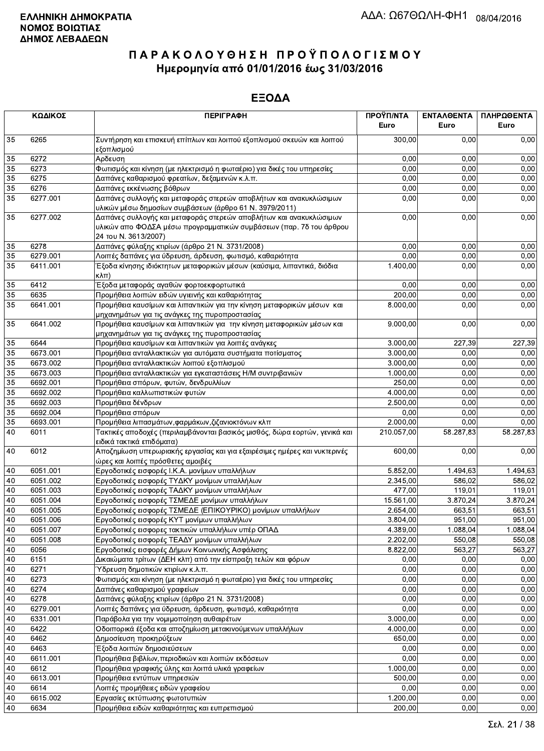|    | ΚΩΔΙΚΟΣ  | <b>ПЕРІГРАФН</b>                                                                                                                                                 | ΠΡΟΫΠ/ΝΤΑ<br>Euro | ΕΝΤΑΛΘΕΝΤΑ<br>Euro | ΠΛΗΡΩΘΕΝΤΑ<br>Euro |
|----|----------|------------------------------------------------------------------------------------------------------------------------------------------------------------------|-------------------|--------------------|--------------------|
| 35 | 6265     | Συντήρηση και επισκευή επίπλων και λοιπού εξοπλισμού σκευών και λοιπού<br>εξοπλισμού                                                                             | 300,00            | 0.00               | 0,00               |
| 35 | 6272     | Αρδευση                                                                                                                                                          | 0,00              | 0.00               | 0,00               |
| 35 | 6273     | Φωτισμός και κίνηση (με ηλεκτρισμό η φωταέριο) για δικές του υπηρεσίες                                                                                           | 0,00              | 0,00               | 0,00               |
| 35 | 6275     | Δαπάνες καθαρισμού φρεατίων, δεξαμενών κ.λ.π.                                                                                                                    | 0,00              | 0,00               | 0,00               |
| 35 | 6276     | Δαπάνες εκκένωσης βόθρων                                                                                                                                         | 0,00              | 0,00               | 0,00               |
| 35 | 6277.001 | Δαπάνες συλλογής και μεταφοράς στερεών αποβλήτων και ανακυκλώσιμων<br>υλικών μέσω δημοσίων συμβάσεων (άρθρο 61 Ν. 3979/2011)                                     | 0,00              | 0,00               | 0,00               |
| 35 | 6277.002 | Δαπάνες συλλογής και μεταφοράς στερεών αποβλήτων και ανακυκλώσιμων<br>υλικών απο ΦΟΔΣΑ μέσω προγραμματικών συμβάσεων (παρ. 7δ του άρθρου<br>24 του Ν. 3613/2007) | 0,00              | 0,00               | 0,00               |
| 35 | 6278     | Δαπάνες φύλαξης κτιρίων (άρθρο 21 Ν. 3731/2008)                                                                                                                  | 0,00              | 0,00               | 0,00               |
| 35 | 6279.001 | Λοιπές δαπάνες για ύδρευση, άρδευση, φωτισμό, καθαριότητα                                                                                                        | 0,00              | 0,00               | 0,00               |
| 35 | 6411.001 | Έξοδα κίνησης ιδιόκτητων μεταφορικών μέσων (καύσιμα, λιπαντικά, διόδια<br>$K\lambda\pi$ )                                                                        | 1.400,00          | 0,00               | 0,00               |
| 35 | 6412     | Έξοδα μεταφοράς αγαθών φορτοεκφορτωτικά                                                                                                                          | 0,00              | 0,00               | 0,00               |
| 35 | 6635     | Προμήθεια λοιπών ειδών υγιεινής και καθαριότητας                                                                                                                 | 200.00            | 0,00               | 0,00               |
| 35 | 6641.001 | Προμήθεια καυσίμων και λιπαντικών για την κίνηση μεταφορικών μέσων και<br>μηχανημάτων για τις ανάγκες της πυροπροστασίας                                         | 8.000,00          | 0,00               | 0,00               |
| 35 | 6641.002 | Προμήθεια καυσίμων και λιπαντικών για την κίνηση μεταφορικών μέσων και<br>μηχανημάτων για τις ανάγκες της πυροπροστασίας                                         | 9.000,00          | 0,00               | 0,00               |
| 35 | 6644     | Προμήθεια καυσίμων και λιπαντικών για λοιπές ανάγκες                                                                                                             | 3.000,00          | 227,39             | 227,39             |
| 35 | 6673.001 | Προμήθεια ανταλλακτικών για αυτόματα συστήματα ποτίσματος                                                                                                        | 3.000.00          | 0,00               | 0,00               |
| 35 | 6673.002 | Προμήθεια ανταλλακτικών λοιπού εξοπλισμού                                                                                                                        | 3.000,00          | 0,00               | 0,00               |
| 35 | 6673.003 | Προμήθεια ανταλλακτικών για εγκαταστάσεις Η/Μ συντριβανιών                                                                                                       | 1.000,00          | 0,00               | 0,00               |
| 35 | 6692.001 | Προμήθεια σπόρων, φυτών, δενδρυλλίων                                                                                                                             | 250,00            | 0.00               | 0,00               |
| 35 | 6692.002 | Προμήθεια καλλωπιστικών φυτών                                                                                                                                    | 4.000,00          | 0,00               | 0,00               |
| 35 | 6692.003 | Προμήθεια δένδρων                                                                                                                                                | 2.500,00          | 0,00               | 0,00               |
| 35 | 6692.004 | Προμήθεια σπόρων                                                                                                                                                 | 0,00              | 0,00               | 0,00               |
| 35 | 6693.001 | Προμήθεια λιπασμάτων, φαρμάκων, ζιζανιοκτόνων κλπ                                                                                                                | 2.000,00          | 0,00               | 0,00               |
| 40 | 6011     | Τακτικές αποδοχές (περιλαμβάνονται βασικός μισθός, δώρα εορτών, γενικά και<br>ειδικά τακτικά επιδόματα)                                                          | 210.057,00        | 58.287,83          | 58.287,83          |
| 40 | 6012     | Αποζημίωση υπερωριακής εργασίας και για εξαιρέσιμες ημέρες και νυκτερινές<br>ώρες και λοιπές πρόσθετες αμοιβές                                                   | 600,00            | 0,00               | 0,00               |
| 40 | 6051.001 | Εργοδοτικές εισφορές Ι.Κ.Α. μονίμων υπαλλήλων                                                                                                                    | 5.852,00          | 1.494,63           | 1.494,63           |
| 40 | 6051.002 | Εργοδοτικές εισφορές ΤΥΔΚΥ μονίμων υπαλλήλων                                                                                                                     | 2.345,00          | 586,02             | 586,02             |
| 40 | 6051.003 | Εργοδοτικές εισφορές ΤΑΔΚΥ μονίμων υπαλλήλων                                                                                                                     | 477,00            | 119,01             | 119,01             |
| 40 | 6051.004 | Εργοδοτικές εισφορές ΤΣΜΕΔΕ μονίμων υπαλλήλων                                                                                                                    | 15.561,00         | 3.870,24           | 3.870,24           |
| 40 | 6051.005 | Εργοδοτικές εισφορές ΤΣΜΕΔΕ (ΕΠΙΚΟΥΡΙΚΟ) μονίμων υπαλλήλων                                                                                                       | 2.654,00          | 663,51             | 663,51             |
| 40 | 6051.006 | Εργοδοτικές εισφορές ΚΥΤ μονίμων υπαλλήλων                                                                                                                       | 3.804,00          | 951,00             | 951,00             |
| 40 | 6051.007 | Εργοδοτικές εισφορες τακτικών υπαλλήλων υπέρ ΟΠΑΔ                                                                                                                | 4.389,00          | 1.088,04           | 1.088,04           |
| 40 | 6051.008 | Εργοδοτικές εισφορές ΤΕΑΔΥ μονίμων υπαλλήλων                                                                                                                     | 2.202,00          | 550,08             | 550,08             |
| 40 | 6056     | Εργοδοτικές εισφορές Δήμων Κοινωνικής Ασφάλισης                                                                                                                  | 8.822,00          | 563,27             | 563,27             |
| 40 | 6151     | Δικαιώματα τρίτων (ΔΕΗ κλπ) από την είσπραξη τελών και φόρων                                                                                                     | 0,00              | 0,00               | 0,00               |
| 40 | 6271     | Ύδρευση δημοτικών κτιρίων κ.λ.π.                                                                                                                                 | 0,00              | 0,00               | 0,00               |
| 40 | 6273     | Φωτισμός και κίνηση (με ηλεκτρισμό η φωταέριο) για δικές του υπηρεσίες                                                                                           | 0,00              | 0,00               | 0,00               |
| 40 | 6274     | Δαπάνες καθαρισμού γραφείων                                                                                                                                      | 0,00              | 0,00               | 0,00               |
| 40 | 6278     | Δαπάνες φύλαξης κτιρίων (άρθρο 21 Ν. 3731/2008)                                                                                                                  | 0,00              | 0,00               | 0,00               |
| 40 | 6279.001 | Λοιπές δαπάνες για ύδρευση, άρδευση, φωτισμό, καθαριότητα                                                                                                        | 0,00              | 0,00               | 0,00               |
| 40 | 6331.001 | Παράβολα για την νομιμοποίηση αυθαιρέτων                                                                                                                         | 3.000,00          | 0,00               | 0,00               |
| 40 | 6422     | Οδοιπορικά έξοδα και αποζημίωση μετακινούμενων υπαλλήλων                                                                                                         | 4.000,00          | 0,00               | 0,00               |
| 40 | 6462     | Δημοσίευση προκηρύξεων                                                                                                                                           | 650,00            | 0,00               | 0,00               |
| 40 | 6463     | Έξοδα λοιπών δημοσιεύσεων                                                                                                                                        | 0,00              | 0,00               | 0,00               |
| 40 | 6611.001 | Προμήθεια βιβλίων, περιοδικών και λοιπών εκδόσεων                                                                                                                | 0,00              | 0,00               | 0,00               |
| 40 | 6612     | Προμήθεια γραφικής ύλης και λοιπά υλικά γραφείων                                                                                                                 | 1.000,00          | 0,00               | 0,00               |
| 40 | 6613.001 | Προμήθεια εντύπων υπηρεσιών                                                                                                                                      | 500,00            | 0,00               | 0,00               |
| 40 | 6614     | Λοιπές προμήθειες ειδών γραφείου                                                                                                                                 | 0,00              | 0,00               | 0,00               |
| 40 | 6615.002 | Εργασίες εκτύπωσης φωτοτυπιών                                                                                                                                    | 1.200,00          | 0,00               | 0,00               |
| 40 | 6634     | Προμήθεια ειδών καθαριότητας και ευπρεπισμού                                                                                                                     | 200,00            | 0,00               | 0,00               |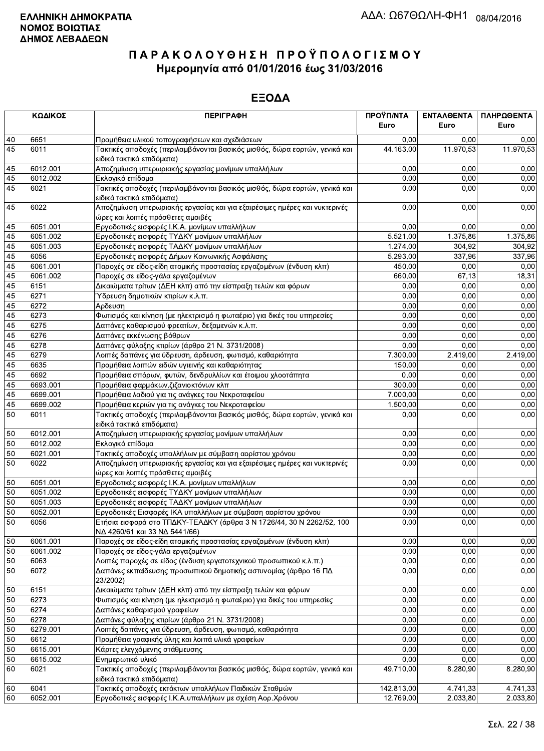|          | ΚΩΔΙΚΟΣ          | <b>ПЕРІГРАФН</b>                                                                                                                                             | ΠΡΟΫΠ/ΝΤΑ<br>Euro | <b>ENTAAGENTA</b><br>Euro | ΠΛΗΡΩΘΕΝΤΑ<br>Euro |
|----------|------------------|--------------------------------------------------------------------------------------------------------------------------------------------------------------|-------------------|---------------------------|--------------------|
| 40       | 6651             | Προμήθεια υλικού τοπογραφήσεων και σχεδιάσεων                                                                                                                | 0,00              | 0.00                      | 0,00               |
| 45       | 6011             | Τακτικές αποδοχές (περιλαμβάνονται βασικός μισθός, δώρα εορτών, γενικά και<br>ειδικά τακτικά επιδόματα)                                                      | 44.163,00         | 11.970,53                 | 11.970,53          |
| 45       | 6012.001         | Αποζημίωση υπερωριακής εργασίας μονίμων υπαλλήλων                                                                                                            | 0,00              | 0,00                      | 0,00               |
| 45       | 6012.002         | Εκλογικό επίδομα                                                                                                                                             | 0,00              | 0,00                      | 0,00               |
| 45       | 6021             | Τακτικές αποδοχές (περιλαμβάνονται βασικός μισθός, δώρα εορτών, γενικά και<br>ειδικά τακτικά επιδόματα)                                                      | 0.00              | 0,00                      | 0,00               |
| 45       | 6022             | Αποζημίωση υπερωριακής εργασίας και για εξαιρέσιμες ημέρες και νυκτερινές<br>ώρες και λοιπές πρόσθετες αμοιβές                                               | 0,00              | 0,00                      | 0,00               |
| 45       | 6051.001         | Εργοδοτικές εισφορές Ι.Κ.Α. μονίμων υπαλλήλων                                                                                                                | 0,00              | 0,00                      | 0,00               |
| 45       | 6051.002         | Εργοδοτικές εισφορές ΤΥΔΚΥ μονίμων υπαλλήλων                                                                                                                 | 5.521,00          | 1.375,86                  | 1.375,86           |
| 45       | 6051.003         | Εργοδοτικές εισφορές ΤΑΔΚΥ μονίμων υπαλλήλων                                                                                                                 | 1.274,00          | 304,92                    | 304,92             |
| 45       | 6056             | Εργοδοτικές εισφορές Δήμων Κοινωνικής Ασφάλισης                                                                                                              | 5.293,00          | 337,96                    | 337,96             |
| 45       | 6061.001         | Παροχές σε είδος-είδη ατομικής προστασίας εργαζομένων (ένδυση κλπ)                                                                                           | 450,00            | 0,00                      | 0,00               |
| 45       | 6061.002         | Παροχές σε είδος-γάλα εργαζομένων                                                                                                                            | 660,00            | 67,13                     | 18,31              |
| 45       | 6151             | Δικαιώματα τρίτων (ΔΕΗ κλπ) από την είσπραξη τελών και φόρων                                                                                                 | 0,00              | 0,00                      | 0,00               |
| 45       | 6271             | Ύδρευση δημοτικών κτιρίων κ.λ.π.                                                                                                                             | 0,00              | 0,00                      | 0,00               |
| 45       | 6272             | Αρδευση                                                                                                                                                      | 0,00              | 0,00                      | 0,00               |
| 45       | 6273             | Φωτισμός και κίνηση (με ηλεκτρισμό η φωταέριο) για δικές του υπηρεσίες                                                                                       | 0,00              | 0,00                      | 0,00               |
| 45       | 6275             | Δαπάνες καθαρισμού φρεατίων, δεξαμενών κ.λ.π.                                                                                                                | 0,00              | 0,00                      | 0,00               |
| 45       | 6276             | Δαπάνες εκκένωσης βόθρων                                                                                                                                     | 0,00              | 0.00                      | 0,00               |
| 45       | 6278             | Δαπάνες φύλαξης κτιρίων (άρθρο 21 Ν. 3731/2008)                                                                                                              | 0,00              | 0,00                      | 0,00               |
| 45       | 6279             | Λοιπές δαπάνες για ύδρευση, άρδευση, φωτισμό, καθαριότητα                                                                                                    | 7.300,00          | 2.419,00                  | 2.419,00           |
| 45       | 6635             | Προμήθεια λοιπών ειδών υγιεινής και καθαριότητας                                                                                                             | 150,00            | 0,00                      | 0,00               |
| 45       | 6692             | Προμήθεια σπόρων, φυτών, δενδρυλλίων και έτοιμου χλοοτάπητα                                                                                                  | 0,00              | 0,00                      | 0,00               |
| 45       | 6693.001         | Προμήθεια φαρμάκων, ζιζανιοκτόνων κλπ                                                                                                                        | 300,00            | 0.00                      | 0,00               |
| 45       | 6699.001         | Προμήθεια λαδιού για τις ανάγκες του Νεκροταφείου                                                                                                            | 7.000,00          | 0,00                      | 0,00               |
| 45<br>50 | 6699.002<br>6011 | Προμήθεια κεριών για τις ανάγκες του Νεκροταφείου<br>Τακτικές αποδοχές (περιλαμβάνονται βασικός μισθός, δώρα εορτών, γενικά και<br>ειδικά τακτικά επιδόματα) | 1.500,00<br>0,00  | 0,00<br>0,00              | 0,00<br>0,00       |
| 50       | 6012.001         | Αποζημίωση υπερωριακής εργασίας μονίμων υπαλλήλων                                                                                                            | 0,00              | 0,00                      | 0,00               |
| 50       | 6012.002         | Εκλογικό επίδομα                                                                                                                                             | 0,00              | 0,00                      | 0,00               |
| 50       | 6021.001         | Τακτικές αποδοχές υπαλλήλων με σύμβαση αορίστου χρόνου                                                                                                       | 0,00              | 0,00                      | 0,00               |
| 50       | 6022             | Αποζημίωση υπερωριακής εργασίας και για εξαιρέσιμες ημέρες και νυκτερινές<br>ώρες και λοιπές πρόσθετες αμοιβές                                               | 0,00              | 0,00                      | 0,00               |
| 50       | 6051.001         | Εργοδοτικές εισφορές Ι.Κ.Α. μονίμων υπαλλήλων                                                                                                                | 0,00              | 0,00                      | 0,00               |
| 50       | 6051.002         | Εργοδοτικές εισφορές ΤΥΔΚΥ μονίμων υπαλλήλων                                                                                                                 | 0,00              | 0.00                      | 0,00               |
| 50       | 6051.003         | Εργοδοτικές εισφορές ΤΑΔΚΥ μονίμων υπαλλήλων                                                                                                                 | 0,00              | 0,00                      | 0,00               |
| 50       | 6052.001         | Εργοδοτικές Εισφορές ΙΚΑ υπαλλήλων με σύμβαση αορίστου χρόνου                                                                                                | 0,00              | 0,00                      | 0,00               |
| 50       | 6056             | Ετήσια εισφορά στο ΤΠΔΚΥ-ΤΕΑΔΚΥ (άρθρα 3 Ν 1726/44, 30 Ν 2262/52, 100<br>ΝΔ 4260/61 και 33 ΝΔ 5441/66)                                                       | 0,00              | 0,00                      | 0,00               |
| 50       | 6061.001         | Παροχές σε είδος-είδη ατομικής προστασίας εργαζομένων (ένδυση κλπ)                                                                                           | 0,00              | 0,00                      | 0,00               |
| 50       | 6061.002         | Παροχές σε είδος-γάλα εργαζομένων                                                                                                                            | 0,00              | 0,00                      | 0,00               |
| 50       | 6063             | Λοιπές παροχές σε είδος (ένδυση εργατοτεχνικού προσωπικού κ.λ.π.)                                                                                            | 0,00              | 0,00                      | 0,00               |
| 50       | 6072             | Δαπάνες εκπαίδευσης προσωπικού δημοτικής αστυνομίας (άρθρο 16 ΠΔ<br>23/2002)                                                                                 | 0,00              | 0,00                      | 0,00               |
| 50       | 6151             | Δικαιώματα τρίτων (ΔΕΗ κλπ) από την είσπραξη τελών και φόρων                                                                                                 | 0,00              | 0,00                      | 0,00               |
| 50       | 6273             | Φωτισμός και κίνηση (με ηλεκτρισμό η φωταέριο) για δικές του υπηρεσίες                                                                                       | 0,00              | 0.00                      | 0,00               |
| 50       | 6274             | Δαπάνες καθαρισμού γραφείων                                                                                                                                  | 0,00              | 0,00                      | 0,00               |
| 50       | 6278             | Δαπάνες φύλαξης κτιρίων (άρθρο 21 Ν. 3731/2008)                                                                                                              | 0,00              | 0,00                      | 0,00               |
| 50       | 6279.001         | Λοιπές δαπάνες για ύδρευση, άρδευση, φωτισμό, καθαριότητα                                                                                                    | 0,00              | 0,00                      | 0,00               |
| 50       | 6612             | Προμήθεια γραφικής ύλης και λοιπά υλικά γραφείων                                                                                                             | 0,00              | 0,00                      | 0,00               |
| 50       | 6615.001         | Κάρτες ελεγχόμενης στάθμευσης                                                                                                                                | 0,00              | 0,00                      | 0,00               |
| 50       | 6615.002         | Ενημερωτικό υλικό                                                                                                                                            | 0,00              | 0,00                      | 0,00               |
| 60       | 6021             | Τακτικές αποδοχές (περιλαμβάνονται βασικός μισθός, δώρα εορτών, γενικά και<br>ειδικά τακτικά επιδόματα)                                                      | 49.710,00         | 8.280,90                  | 8.280,90           |
| 60       | 6041             | Τακτικές αποδοχές εκτάκτων υπαλλήλων Παιδικών Σταθμών                                                                                                        | 142.813,00        | 4.741,33                  | 4.741,33           |
| 60       | 6052.001         | Εργοδοτικές εισφορές Ι.Κ.Α.υπαλλήλων με σχέση Αορ.Χρόνου                                                                                                     | 12.769,00         | 2.033,80                  | 2.033,80           |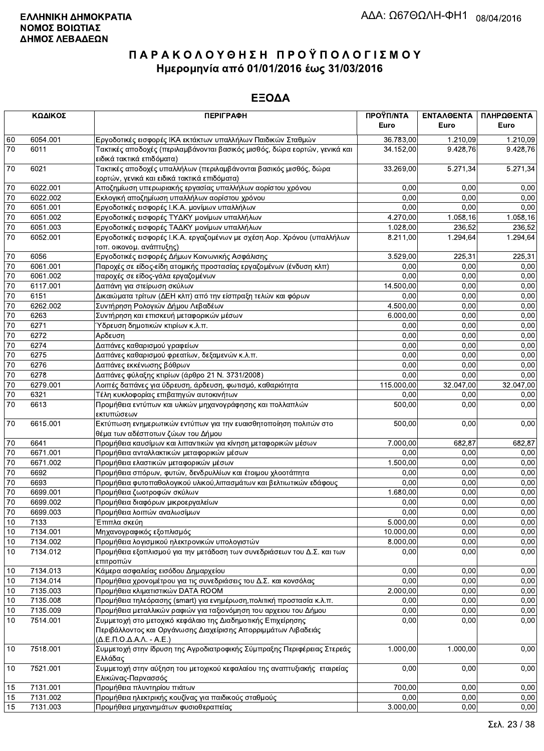|                 | ΚΩΔΙΚΟΣ  | <b>ПЕРІГРАФН</b>                                                                                                                                                            | ΠΡΟΫΠ/ΝΤΑ  | ΕΝΤΑΛΘΕΝΤΑ | ΠΛΗΡΩΘΕΝΤΑ |
|-----------------|----------|-----------------------------------------------------------------------------------------------------------------------------------------------------------------------------|------------|------------|------------|
|                 |          |                                                                                                                                                                             | Euro       | Euro       | Euro       |
| 60              | 6054.001 | Εργοδοτικές εισφορές ΙΚΑ εκτάκτων υπαλλήλων Παιδικών Σταθμών                                                                                                                | 36.783,00  | 1.210,09   | 1.210,09   |
| 70              | 6011     | Τακτικές αποδοχές (περιλαμβάνονται βασικός μισθός, δώρα εορτών, γενικά και<br>ειδικά τακτικά επιδόματα)                                                                     | 34.152,00  | 9.428,76   | 9.428,76   |
| 70              | 6021     | Τακτικές αποδοχές υπαλλήλων (περιλαμβάνονται βασικός μισθός, δώρα<br>εορτών, γενικά και ειδικά τακτικά επιδόματα)                                                           | 33.269,00  | 5.271,34   | 5.271,34   |
| 70              | 6022.001 | Αποζημίωση υπερωριακής εργασίας υπαλλήλων αορίστου χρόνου                                                                                                                   | 0,00       | 0,00       | 0,00       |
| 70              | 6022.002 | Εκλογική αποζημίωση υπαλλήλων αορίστου χρόνου                                                                                                                               | 0,00       | 0,00       | 0,00       |
| $\overline{70}$ | 6051.001 | Εργοδοτικές εισφορές Ι.Κ.Α. μονίμων υπαλλήλων                                                                                                                               | 0,00       | 0,00       | 0,00       |
| 70              | 6051.002 | Εργοδοτικές εισφορές ΤΥΔΚΥ μονίμων υπαλλήλων                                                                                                                                | 4.270,00   | 1.058,16   | 1.058,16   |
| 70              | 6051.003 | Εργοδοτικές εισφορές ΤΑΔΚΥ μονίμων υπαλλήλων                                                                                                                                | 1.028,00   | 236,52     | 236,52     |
| 70              | 6052.001 | Εργοδοτικές εισφορές Ι.Κ.Α. εργαζομένων με σχέση Αορ. Χρόνου (υπαλλήλων<br>τοπ. οικονομ. ανάπτυξης)                                                                         | 8.211,00   | 1.294,64   | 1.294,64   |
| $70\,$          | 6056     | Εργοδοτικές εισφορές Δήμων Κοινωνικής Ασφάλισης                                                                                                                             | 3.529,00   | 225,31     | 225,31     |
| 70              | 6061.001 | Παροχές σε είδος-είδη ατομικής προστασίας εργαζομένων (ένδυση κλπ)                                                                                                          | 0,00       | 0,00       | 0,00       |
| $\overline{70}$ | 6061.002 | παροχές σε είδος-γάλα εργαζομένων                                                                                                                                           | 0,00       | 0,00       | 0,00       |
| 70              | 6117.001 | Δαπάνη για στείρωση σκύλων                                                                                                                                                  | 14.500,00  | 0,00       | 0,00       |
| 70              | 6151     | Δικαιώματα τρίτων (ΔΕΗ κλπ) από την είσπραξη τελών και φόρων                                                                                                                | 0,00       | 0,00       | 0,00       |
| 70              | 6262.002 | Συντήρηση Ρολογιών Δήμου Λεβαδέων                                                                                                                                           | 4.500,00   | 0,00       | 0,00       |
| $\overline{70}$ | 6263     | Συντήρηση και επισκευή μεταφορικών μέσων                                                                                                                                    | 6.000,00   | 0,00       | 0,00       |
| $\overline{70}$ | 6271     | Ύδρευση δημοτικών κτιρίων κ.λ.π.                                                                                                                                            | 0,00       | 0.00       | 0,00       |
| $\overline{70}$ | 6272     | Αρδευση                                                                                                                                                                     | 0,00       | 0,00       | 0,00       |
| $\overline{70}$ | 6274     | Δαπάνες καθαρισμού γραφείων                                                                                                                                                 | 0.00       | 0,00       | 0,00       |
| 70              | 6275     | Δαπάνες καθαρισμού φρεατίων, δεξαμενών κ.λ.π.                                                                                                                               | 0,00       | 0,00       | 0,00       |
| 70              | 6276     | Δαπάνες εκκένωσης βόθρων                                                                                                                                                    | 0,00       | 0,00       | 0,00       |
| 70              | 6278     | Δαπάνες φύλαξης κτιρίων (άρθρο 21 Ν. 3731/2008)                                                                                                                             | 0.00       | 0.00       | 0,00       |
| 70              | 6279.001 | Λοιπές δαπάνες για ύδρευση, άρδευση, φωτισμό, καθαριότητα                                                                                                                   | 115.000,00 | 32.047,00  | 32.047,00  |
| $70\,$          | 6321     | Τέλη κυκλοφορίας επιβατηγών αυτοκινήτων                                                                                                                                     | 0,00       | 0,00       | 0,00       |
| $\overline{70}$ | 6613     | Προμήθεια εντύπων και υλικών μηχανογράφησης και πολλαπλών<br>εκτυπώσεων                                                                                                     | 500,00     | 0,00       | 0,00       |
| 70              | 6615.001 | Εκτύπωση ενημερωτικών εντύπων για την ευαισθητοποίηση πολιτών στο<br>θέμα των αδέσποτων ζώων του Δήμου                                                                      | 500,00     | 0,00       | 0,00       |
| 70              | 6641     | Προμήθεια καυσίμων και λιπαντικών για κίνηση μεταφορικών μέσων                                                                                                              | 7.000,00   | 682,87     | 682,87     |
| 70              | 6671.001 | Προμήθεια ανταλλακτικών μεταφορικών μέσων                                                                                                                                   | 0,00       | 0,00       | 0,00       |
| 70              | 6671.002 | Προμήθεια ελαστικών μεταφορικών μέσων                                                                                                                                       | 1.500,00   | 0,00       | 0,00       |
| $70\,$          | 6692     | Προμήθεια σπόρων, φυτών, δενδρυλλίων και έτοιμου χλοοτάπητα                                                                                                                 | 0,00       | 0,00       | 0,00       |
| $\overline{70}$ | 6693     | Προμήθεια φυτοπαθολογικού υλικού, λιπασμάτων και βελτιωτικών εδάφους                                                                                                        | 0,00       | 0,00       | 0,00       |
| $\overline{70}$ | 6699.001 | Προμήθεια ζωοτροφών σκύλων                                                                                                                                                  | 1.680,00   | 0,00       | 0,00       |
| 70              | 6699.002 | Προμήθεια διαφόρων μικροεργαλείων                                                                                                                                           | 0,00       | 0,00       | 0,00       |
| 70              | 6699.003 | Προμήθεια λοιπών αναλωσίμων                                                                                                                                                 | 0,00       | 0,00       | 0,00       |
| 10              | 7133     | Έπιπλα σκεύη                                                                                                                                                                | 5.000,00   | 0,00       | 0,00       |
| 10              | 7134.001 | Μηχανογραφικός εξοπλισμός                                                                                                                                                   | 10.000,00  | 0,00       | 0,00       |
| $10$            | 7134.002 | Προμήθεια λογισμικού ηλεκτρονικών υπολογιστών                                                                                                                               | 8.000,00   | 0,00       | 0,00       |
| 10              | 7134.012 | Προμήθεια εξοπλισμού για την μετάδοση των συνεδριάσεων του Δ.Σ. και των<br>επιτροπών                                                                                        | 0,00       | 0,00       | 0,00       |
| 10              | 7134.013 | Κάμερα ασφαλείας εισόδου Δημαρχείου                                                                                                                                         | 0,00       | 0,00       | 0,00       |
| 10              | 7134.014 | Προμήθεια χρονομέτρου για τις συνεδριάσεις του Δ.Σ. και κονσόλας                                                                                                            | 0,00       | 0,00       | 0,00       |
| 10              | 7135.003 | Προμήθεια κλιματιστικών DATA ROOM                                                                                                                                           | 2.000,00   | 0,00       | 0,00       |
| 10              | 7135.008 | Προμήθεια τηλεόρασης (smart) για ενημέρωση, πολιτική προστασία κ.λ.π.                                                                                                       | 0,00       | 0,00       | 0,00       |
| $10$            | 7135.009 | Προμήθεια μεταλλικών ραφιών για ταξιονόμηση του αρχειου του Δήμου                                                                                                           | 0,00       | 0,00       | 0,00       |
| 10              | 7514.001 | Συμμετοχή στο μετοχικό κεφάλαιο της Διαδημοτικής Επιχείρησης<br>Περιβάλλοντος και Οργάνωσης Διαχείρισης Απορριμμάτων Λιβαδειάς<br>$(\Delta.E.\Pi.O.\Delta.A.\Lambda.-A.E.)$ | 0,00       | 0,00       | 0,00       |
| 10              | 7518.001 | Συμμετοχή στην ίδρυση της Αγροδιατροφικής Σύμπραξης Περιφέρειας Στερεάς<br>Ελλάδας                                                                                          | 1.000,00   | 1.000,00   | 0,00       |
| 10              | 7521.001 | Συμμετοχή στην αύξηση του μετοχικού κεφαλαίου της αναπτυξιακής εταιρείας<br>Ελικώνας-Παρνασσός                                                                              | 0,00       | 0,00       | 0,00       |
| 15              | 7131.001 | Προμήθεια πλυντηρίου πιάτων                                                                                                                                                 | 700,00     | 0.00       | 0,00       |
| 15              | 7131.002 | Προμήθεια ηλεκτρικής κουζίνας για παιδικούς σταθμούς                                                                                                                        | 0,00       | 0,00       | 0,00       |
| 15              | 7131.003 | Προμήθεια μηχανημάτων φυσιοθεραπείας                                                                                                                                        | 3.000,00   | 0,00       | 0,00       |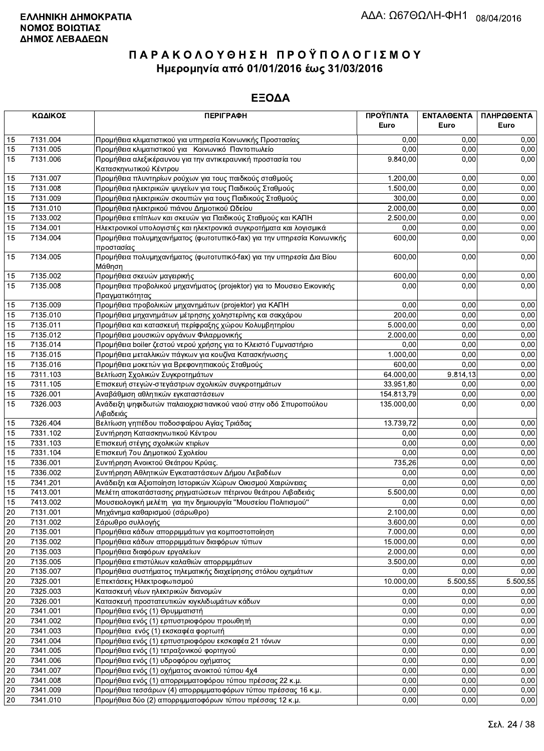| ΚΩΔΙΚΟΣ  |                      | <b>ПЕРІГРАФН</b>                                                                                                             | ΠΡΟΫΠ/ΝΤΑ        | ΕΝΤΑΛΘΕΝΤΑ   | ΠΛΗΡΩΘΕΝΤΑ   |
|----------|----------------------|------------------------------------------------------------------------------------------------------------------------------|------------------|--------------|--------------|
|          |                      |                                                                                                                              | Euro             | Euro         | Euro         |
| 15       | 7131.004             | Προμήθεια κλιματιστικού για υπηρεσία Κοινωνικής Προστασίας                                                                   | 0,00             | 0.00         | 0,00         |
| 15       | 7131.005             | Προμήθεια κλιματιστικού για Κοινωνικό Παντοπωλείο                                                                            | 0,00             | 0,00         | 0,00         |
| 15       | 7131.006             | Προμήθεια αλεξικέραυνου για την αντικεραυνική προστασία του<br>Κατασκηνωτικού Κέντρου                                        | 9.840,00         | 0,00         | 0,00         |
| 15       | 7131.007             | Προμήθεια πλυντηρίων ρούχων για τους παιδκούς σταθμούς                                                                       | 1.200,00         | 0,00         | 0,00         |
| 15       | 7131.008             | Προμήθεια ηλεκτρικών ψυγείων για τους Παιδικούς Σταθμούς                                                                     | 1.500,00         | 0,00         | 0,00         |
| 15       | 7131.009             | Προμήθεια ηλεκτρικών σκουπών για τους Παιδικούς Σταθμούς                                                                     | 300,00           | 0,00         | 0,00         |
| 15       | 7131.010             | Προμήθεια ηλεκτρικού πιάνου Δημοτικού Ωδείου                                                                                 | 2.000,00         | 0,00         | 0,00         |
| 15       | 7133.002             | Προμήθεια επίπλων και σκευών για Παιδικούς Σταθμούς και ΚΑΠΗ                                                                 | 2.500,00         | 0,00         | 0,00         |
| 15       | 7134.001             | Ηλεκτρονικοί υπολογιστές και ηλεκτρονικά συγκροτήματα και λογισμικά                                                          | 0,00             | 0,00         | 0,00         |
| 15       | 7134.004             | Προμήθεια πολυμηχανήματος (φωτοτυπικό-fax) για την υπηρεσία Κοινωνικής<br>προστασίας                                         | 600,00           | 0,00         | 0,00         |
| 15       | 7134.005             | Προμήθεια πολυμηχανήματος (φωτοτυπικό-fax) για την υπηρεσία Δια Βίου<br>Μάθηση                                               | 600,00           | 0,00         | 0,00         |
| 15       | 7135.002             | Προμήθεια σκευών μαγειρικής                                                                                                  | 600,00           | 0,00         | 0,00         |
| 15       | 7135.008             | Προμηθεια προβολικού μηχανήματος (projektor) για το Μουσειο Εικονικής<br>Πραγματικότητας                                     | 0,00             | 0,00         | 0,00         |
| 15       | 7135.009             | Προμήθεια προβολικών μηχανημάτων (projektor) για ΚΑΠΗ                                                                        | 0,00             | 0,00         | 0,00         |
| 15       | 7135.010             | Προμήθεια μηχανημάτων μέτρησης χοληστερίνης και σακχάρου                                                                     | 200,00           | 0,00         | 0,00         |
| 15       | 7135.011             | Προμήθεια και κατασκευή περίφραξης χώρου Κολυμβητηρίου                                                                       | 5.000,00         | 0,00         | 0,00         |
| 15       | 7135.012             | Προμήθεια μουσικών οργάνων Φιλαρμονικής                                                                                      | 2.000,00         | 0,00         | 0,00         |
| 15       | 7135.014             | Προμήθεια boiler ζεστού νερού χρήσης για το Κλειστό Γυμναστήριο                                                              | 0,00             | 0,00         | 0,00         |
| 15       | 7135.015             | Προμήθεια μεταλλικών πάγκων για κουζίνα Κατασκήνωσης                                                                         | 1.000,00         | 0,00         | 0,00         |
| 15       | 7135.016             | Προμήθεια μοκετών για Βρεφονηπιακούς Σταθμούς                                                                                | 600,00           | 0,00         | 0,00         |
| 15       | 7311.103             | Βελτίωση Σχολικών Συγκροτημάτων                                                                                              | 64.000,00        | 9.814,13     | 0,00         |
| 15       | 7311.105             | Επισκευή στεγών-στεγάστρων σχολικών συγκροτημάτων                                                                            | 33.951,80        | 0,00         | 0,00         |
| 15       | 7326.001             | Αναβάθμιση αθλητικών εγκαταστάσεων                                                                                           | 154.813,79       | 0,00         | 0,00         |
| 15       | 7326.003             | Ανάδειξη ψηφιδωτών παλαιοχριστιανικού ναού στην οδό Σπυροπούλου<br>Λιβαδειάς                                                 | 135.000,00       | 0,00         | 0,00         |
| 15       | 7326.404             | Βελτίωση γηπέδου ποδοσφαίρου Αγίας Τριάδας                                                                                   | 13.739,72        | 0,00         | 0,00         |
| 15       | 7331.102             | Συντήρηση Κατασκηνωτικού Κέντρου                                                                                             | 0,00             | 0,00         | 0,00         |
| 15       | 7331.103             | Επισκευή στέγης σχολικών κτιρίων                                                                                             | 0,00             | 0,00         | 0,00         |
| 15       | 7331.104             | Επισκευή 7ου Δημοτικού Σχολείου                                                                                              | 0,00             | 0,00         | 0,00         |
| 15       | 7336.001             | Συντήρηση Ανοικτού Θεάτρου Κρύας.                                                                                            | 735,26           | 0,00         | 0,00         |
| 15       | 7336.002             | Συντήρηση Αθλητικών Εγκαταστάσεων Δήμου Λεβαδέων                                                                             | 0,00             | 0,00         | 0,00         |
| 15       | 7341.201             | Ανάδειξη και Αξιοποίηση Ιστορικών Χώρων Οικισμού Χαιρώνειας                                                                  | 0,00             | 0,00         | 0,00         |
| 15       | 7413.001             | Μελέτη αποκατάστασης ρηγματώσεων πέτρινου θεάτρου Λιβαδειάς<br>Μουσειολογική μελέτη για την δημιουργία "Μουσείου Πολιτισμού" | 5.500,00         | 0,00<br>0,00 | 0,00<br>0,00 |
| 15<br>20 | 7413.002<br>7131.001 | Μηχάνημα καθαρισμού (σάρωθρο)                                                                                                | 0,00<br>2.100,00 | 0,00         | 0,00         |
| 20       | 7131.002             | Σάρωθρο συλλογής                                                                                                             | 3.600,00         | 0,00         | 0,00         |
| 20       | 7135.001             | Προμήθεια κάδων απορριμμάτων για κομποστοποίηση                                                                              | 7.000,00         | 0,00         | 0,00         |
| 20       | 7135.002             | Προμήθεια κάδων απορριμμάτων διαφόρων τύπων                                                                                  | 15.000,00        | 0,00         | 0,00         |
| 20       | 7135.003             | Προμήθεια διαφόρων εργαλείων                                                                                                 | 2.000,00         | 0,00         | 0,00         |
| 20       | 7135.005             | Προμήθεια επιστύλιων καλαθιών απορριμμάτων                                                                                   | 3.500,00         | 0,00         | 0,00         |
| 20       | 7135.007             | Προμήθεια συστήματος τηλεματικής διαχείρησης στόλου οχημάτων                                                                 | 0,00             | 0,00         | 0,00         |
| 20       | 7325.001             | Επεκτάσεις Ηλεκτροφωτισμού                                                                                                   | 10.000,00        | 5.500,55     | 5.500,55     |
| $20\,$   | 7325.003             | Κατασκευή νέων ηλεκτρικών διανομών                                                                                           | 0,00             | 0,00         | 0,00         |
| 20       | 7326.001             | Κατασκευή προστατευτικών κιγκλιδωμάτων κάδων                                                                                 | 0,00             | 0,00         | 0,00         |
| 20       | 7341.001             | Προμήθεια ενός (1) Θρυμματιστή                                                                                               | 0,00             | 0,00         | 0,00         |
| 20       | 7341.002             | Προμήθεια ενός (1) ερπυστριοφόρου προωθητή                                                                                   | 0,00             | 0,00         | 0,00         |
| $20\,$   | 7341.003             | Προμήθεια ενός (1) εκσκαφέα φορτωτή                                                                                          | 0,00             | 0,00         | 0,00         |
| 20       | 7341.004             | Προμήθεια ενός (1) ερπυστριοφόρου εκσκαφέα 21 τόνων                                                                          | 0,00             | 0,00         | 0,00         |
| 20       | 7341.005             | Προμήθεια ενός (1) τετραξονικού φορτηγού                                                                                     | 0,00             | 0,00         | 0,00         |
| 20       | 7341.006             | Προμήθεια ενός (1) υδροφόρου οχήματος                                                                                        | 0,00             | 0,00         | 0,00         |
| 20       | 7341.007             | Προμήθεια ενός (1) οχήματος ανοικτού τύπου 4χ4                                                                               | 0,00             | 0,00         | 0,00         |
| 20       | 7341.008             | Προμήθεια ενός (1) απορριμματοφόρου τύπου πρέσσας 22 κ.μ.                                                                    | 0,00             | 0,00         | 0,00         |
| 20       | 7341.009             | Προμήθεια τεσσάρων (4) απορριμματοφόρων τύπου πρέσσας 16 κ.μ.                                                                | 0,00             | 0,00         | 0,00         |
| 20       | 7341.010             | Προμήθεια δύο (2) απορριμματοφόρων τύπου πρέσσας 12 κ.μ.                                                                     | 0,00             | 0,00         | 0,00         |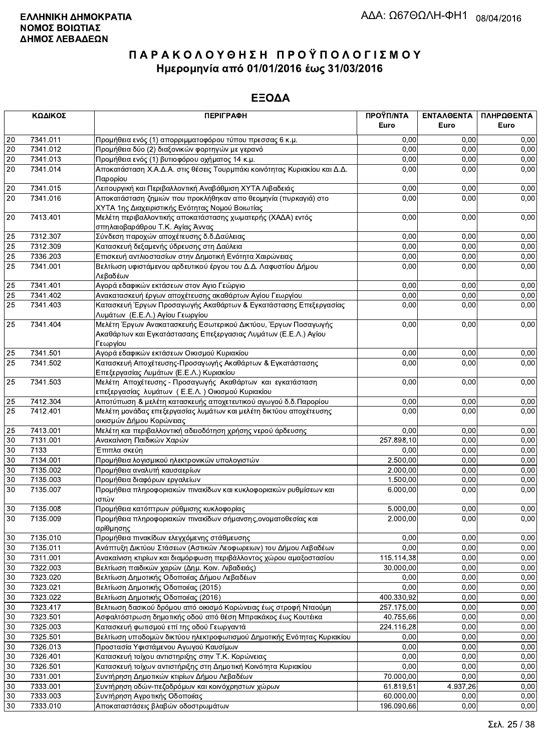|                 | ΚΩΔΙΚΟΣ  | <b>ПЕРІГРАФН</b>                                                                                                                              | ΠΡΟΫΠ/ΝΤΑ<br>Euro | ΕΝΤΑΛΘΕΝΤΑ<br>Euro | ΠΛΗΡΩΘΕΝΤΑ<br>Euro |
|-----------------|----------|-----------------------------------------------------------------------------------------------------------------------------------------------|-------------------|--------------------|--------------------|
|                 |          |                                                                                                                                               |                   |                    |                    |
| 20              | 7341.011 | Προμήθεια ενός (1) απορριμματοφόρου τύπου πρεσσας 6 κ.μ.                                                                                      | 0.00              | 0.00               | 0,00               |
| 20              | 7341.012 | Προμήθεια δύο (2) διαξονικών φορτηγών με γερανό                                                                                               | 0,00              | 0.00               | 0,00               |
| $20\,$          | 7341.013 | Προμήθεια ενός (1) βυτιοφόρου οχήματος 14 κ.μ.                                                                                                | 0,00              | 0,00               | 0,00               |
| $\overline{20}$ | 7341.014 | Αποκατάσταση Χ.Α.Δ.Α. στις θέσεις Τουρμπάκι κοινότητας Κυριακίου και Δ.Δ.<br>Παρορίου                                                         | 0,00              | 0,00               | 0,00               |
| $20\,$          | 7341.015 | Λειτουργική και Περιβαλλοντική Αναβάθμιση ΧΥΤΑ Λιβαδειάς                                                                                      | 0,00              | 0,00               | 0,00               |
| 20              | 7341.016 | Αποκατάσταση ζημιών που προκλήθηκαν απο θεομηνία (πυρκαγιά) στο                                                                               | 0,00              | 0,00               | 0,00               |
|                 |          | ΧΥΤΑ 1ης Διαχειριστικής Ενότητας Νομού Βοιωτίας                                                                                               |                   |                    |                    |
| 20              | 7413.401 | Μελέτη περιβαλλοντικής αποκατάστασης χωματερής (ΧΑΔΑ) εντός<br>σπηλαιοβαράθρου Τ.Κ. Αγίας Άννας                                               | 0,00              | 0,00               | 0,00               |
| 25              | 7312.307 | Σύνδεση παροχών αποχέτευσης δ.δ.Δαύλειας                                                                                                      | 0,00              | 0,00               | 0,00               |
| 25              | 7312.309 | Κατασκευή δεξαμενής ύδρευσης στη Δαύλεια                                                                                                      | 0,00              | 0,00               | 0,00               |
| 25              | 7336.203 | Επισκευή αντλιοστασίων στην Δημοτική Ενότητα Χαιρώνειας                                                                                       | 0,00              | 0,00               | 0,00               |
| 25              | 7341.001 | Βελτίωση υφιστάμενου αρδευτικού έργου του Δ.Δ. Λαφυστίου Δήμου<br>Λεβαδέων                                                                    | 0,00              | 0.00               | 0,00               |
| 25              | 7341.401 | Αγορά εδαφικών εκτάσεων στον Αγιο Γεώργιο                                                                                                     | 0,00              | 0,00               | 0,00               |
| $\overline{25}$ | 7341.402 | Ανακατασκευή έργων αποχέτευσης ακαθάρτων Αγίου Γεωργίου                                                                                       | 0,00              | 0,00               | 0,00               |
| 25              | 7341.403 | Κατασκευή Έργων Προσαγωγής Ακαθάρτων & Εγκατάστασης Επεξεργασίας                                                                              | 0,00              | 0,00               | 0,00               |
|                 |          | Λυμάτων (Ε.Ε.Λ.) Αγίου Γεωργίου                                                                                                               |                   |                    |                    |
| 25              | 7341.404 | Μελέτη Έργων Ανακατασκευής Εσωτερικού Δικτύου, Έργων Ποσαγωγής<br>Ακαθάρτων και Εγκατάστασαης Επεξεργασιας Λυμάτων (Ε.Ε.Λ.) Αγίου<br>Γεωργίου | 0,00              | 0,00               | 0,00               |
| 25              | 7341.501 | Αγορά εδαφικών εκτάσεων Οικισμού Κυριακίου                                                                                                    | 0,00              | 0.00               | 0,00               |
| 25              | 7341.502 | Κατασκευή Αποχέτευσης-Προσαγωγής Ακαθάρτων & Εγκατάστασης<br>Επεξεργασίας Λυμάτων (Ε.Ε.Λ.) Κυριακίου                                          | 0,00              | 0,00               | 0,00               |
| 25              | 7341.503 | Μελέτη Αποχέτευσης - Προσαγωγής Ακαθάρτων και εγκατάσταση<br>επεξεργασίας λυμάτων (Ε.Ε.Λ.) Οικισμού Κυριακίου                                 | 0,00              | 0,00               | 0,00               |
| 25              | 7412.304 | Αποτύπωση & μελέτη κατασκευής αποχετευτικού αγωγού δ.δ. Παρορίου                                                                              | 0,00              | 0,00               | 0,00               |
| 25              | 7412.401 | Μελέτη μονάδας επεξεργασίας λυμάτων και μελέτη δικτύου αποχέτευσης<br>οικισμών Δήμου Κορώνειας                                                | 0,00              | 0,00               | 0,00               |
| 25              | 7413.001 | Μελέτη και περιβαλλοντική αδειοδότηση χρήσης νερού άρδευσης                                                                                   | 0,00              | 0,00               | 0,00               |
| $30\,$          | 7131.001 | Ανακαίνιση Παιδικών Χαρών                                                                                                                     | 257.898,10        | 0.00               | 0,00               |
| 30              | 7133     | Έπιπλα σκεύη                                                                                                                                  | 0,00              | 0,00               | 0,00               |
| 30              | 7134.001 | Προμήθεια λογισμικού ηλεκτρονικών υπολογιστών                                                                                                 | 2.500,00          | 0,00               | 0,00               |
| 30              | 7135.002 | Προμήθεια αναλυτή καυσαερίων                                                                                                                  | 2.000,00          | 0,00               | 0,00               |
| 30              | 7135.003 | Προμήθεια διαφόρων εργαλείων                                                                                                                  | 1.500,00          | 0,00               | 0,00               |
| 30              | 7135.007 | Προμήθεια πληροφοριακών πινακίδων και κυκλοφοριακών ρυθμίσεων και                                                                             | 6.000,00          | 0,00               | 0,00               |
|                 |          | ιστών                                                                                                                                         |                   |                    |                    |
| 30              | 7135.008 | Προμήθεια κατόπτρων ρύθμισης κυκλοφορίας                                                                                                      | 5.000,00          | 0,00               | 0,00               |
| $30\,$          | 7135.009 | Προμήθεια πληροφοριακών πινακίδων σήμανσης, ονοματοθεσίας και<br>αρίθμησης                                                                    | 2.000,00          | 0,00               | 0,00               |
| 30              | 7135.010 | Προμήθεια πινακίδων ελεγχόμενης στάθμευσης                                                                                                    | 0,00              | 0,00               | 0,00               |
| 30              | 7135.011 | Ανάπτυξη Δικτύου Στάσεων (Αστικών Λεοφωρειων) του Δήμου Λεβαδέων                                                                              | 0,00              | 0,00               | 0,00               |
| 30              | 7311.001 | Ανακαίνιση κτιρίων και διαμόρφωση περιβάλλοντος χώρου αμαξοστασίου                                                                            | 115.114,38        | 0,00               | 0,00               |
| 30              | 7322.003 | Βελτίωση παιδικών χαρών (Δημ. Κοιν. Λιβαδειάς)                                                                                                | 30.000,00         | 0,00               | 0,00               |
| $30\,$          | 7323.020 | Βελτίωση Δημοτικής Οδοποιίας Δήμου Λεβαδέων                                                                                                   | 0,00              | 0,00               | 0,00               |
| $30\,$          | 7323.021 | Βελτίωση Δημοτικής Οδοποιίας (2015)                                                                                                           | 0,00              | 0,00               | 0,00               |
| $30\,$          | 7323.022 | Βελτίωση Δημοτικής Οδοποιίας (2016)                                                                                                           | 400.330,92        | 0,00               | 0,00               |
| $30\,$          | 7323.417 | Βελτιωση δασικού δρόμου από οικισμό Κορώνειας έως στροφή Νταούμη                                                                              | 257.175,00        | 0,00               | 0,00               |
| 30              | 7323.501 | Ασφαλτόστρωση δημοτικής οδού από θέση Μπρακάκος έως Κουτέικα                                                                                  | 40.755,66         | 0,00               | 0,00               |
| $30\,$          | 7325.003 | Κατασκευή φωτισμού επί της οδού Γεωργαντά                                                                                                     | 224.116,28        | 0,00               | 0,00               |
| 30              | 7325.501 | Βελτίωση υποδομών δικτύου ηλεκτροφωτισμού Δημοτικής Ενότητας Κυριακίου                                                                        | 0,00              | 0,00               | 0,00               |
| $30\,$          | 7326.013 | Προστασία Υφιστάμενου Αγωγού Καυσίμων                                                                                                         | 0,00              | 0,00               | 0,00               |
| $30\,$          | 7326.401 | Κατασκευή τοίχου αντιστηριξης στην Τ.Κ. Κορώνειας                                                                                             | 0,00              | 0,00               | 0,00               |
| 30              | 7326.501 | Κατασκευή τοίχων αντιστήριξης στη Δημοτική Κοινότητα Κυριακίου                                                                                | 0,00              | 0,00               | 0,00               |
| $30\,$          | 7331.001 | Συντήρηση Δημοτικών κτιρίων Δήμου Λεβαδέων                                                                                                    | 70.000,00         | 0,00               | 0,00               |
| 30              | 7333.001 | Συντήρηση οδών-πεζοδρόμων και κοινόχρηστων χώρων                                                                                              | 61.819,51         | 4.937,26           | 0,00               |
| $30\,$          | 7333.003 | Συντήρηση Αγροτικής Οδοποιίας                                                                                                                 | 60.000,00         | 0,00               | 0,00               |
| $30\,$          | 7333.010 | Αποκαταστάσεις βλαβών οδοστρωμάτων                                                                                                            | 196.090,66        | 0,00               | 0,00               |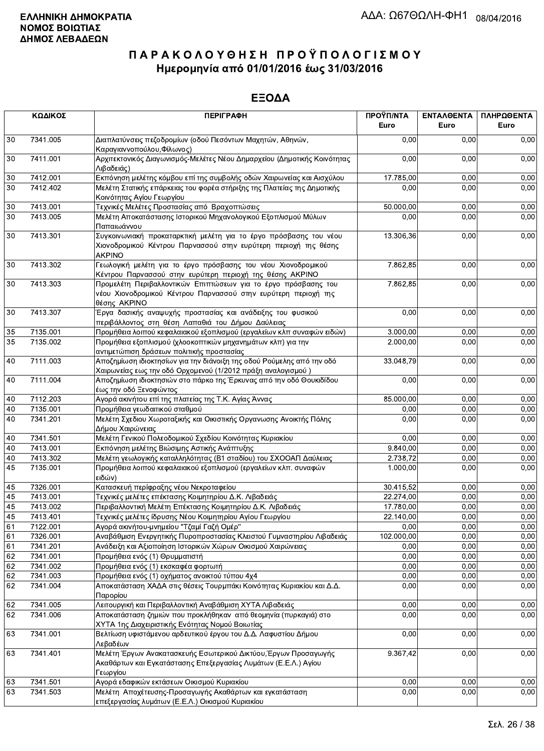|          | ΚΩΔΙΚΟΣ              | <b>ПЕРІГРАФН</b>                                                                                                                                      | ΠΡΟΫΠ/ΝΤΑ<br>Euro      | ΕΝΤΑΛΘΕΝΤΑ<br>Euro | ΠΛΗΡΩΘΕΝΤΑ<br>Euro |
|----------|----------------------|-------------------------------------------------------------------------------------------------------------------------------------------------------|------------------------|--------------------|--------------------|
| 30       | 7341.005             | Διαπλατύνσεις πεζοδρομίων (οδού Πεσόντων Μαχητών, Αθηνών,<br>Καραγιαννοπούλου, Φίλωνος)                                                               | 0.00                   | 0.00               | 0,00               |
| 30       | 7411.001             | Αρχιτεκτονικός Διαγωνισμός-Μελέτες Νέου Δημαρχείου (Δημοτικής Κοινότητας<br>Λιβαδειάς)                                                                | 0,00                   | 0,00               | 0,00               |
| 30       | 7412.001             | Εκπόνηση μελέτης κόμβου επί της συμβολής οδών Χαιρωνείας και Αισχύλου                                                                                 | 17.785,00              | 0,00               | 0,00               |
| 30       | 7412.402             | Μελέτη Στατικής επάρκειας του φορέα στήριξης της Πλατείας της Δημοτικής<br>Κοινότητας Αγίου Γεωργίου                                                  | 0,00                   | 0,00               | 0,00               |
| $30\,$   | 7413.001             | Τεχνικές Μελέτες Προστασίας από Βραχοπτώσεις                                                                                                          | 50.000,00              | 0,00               | 0,00               |
| 30       | 7413.005             | Μελέτη Αποκατάστασης Ιστορικού Μηχανολογικού Εξοπλισμού Μύλων<br>Παπαιωάννου                                                                          | 0,00                   | 0,00               | 0,00               |
| 30       | 7413.301             | Συγκοινωνιακή προκαταρκτική μελέτη για το έργο πρόσβασης του νέου<br>Χιονοδρομικού Κέντρου Παρνασσού στην ευρύτερη περιοχή της θέσης<br><b>AKPINO</b> | 13.306,36              | 0,00               | 0,00               |
| 30       | 7413.302             | Γεωλογική μελέτη για το έργο πρόσβασης του νέου Χιονοδρομικού<br>Κέντρου Παρνασσού στην ευρύτερη περιοχή της θέσης ΑΚΡΙΝΟ                             | 7.862,85               | 0,00               | 0,00               |
| 30       | 7413.303             | Προμελέτη Περιβαλλοντικών Επιπτώσεων για το έργο πρόσβασης του<br>νέου Χιονοδρομικού Κέντρου Παρνασσού στην ευρύτερη περιοχή της<br>θέσης AKPINO      | 7.862,85               | 0,00               | 0,00               |
| 30       | 7413.307             | Έργα δασικής αναψυχής προστασίας και ανάδειξης του φυσικού<br>περιβάλλοντος στη θέση Λαπαθιά του Δήμου Δαύλειας                                       | 0,00                   | 0,00               | 0,00               |
| 35       | 7135.001             | Προμήθεια λοιπού κεφαλαιακού εξοπλισμού (εργαλείων κλπ συναφών ειδών)                                                                                 | 3.000,00               | 0,00               | 0,00               |
| 35       | 7135.002             | Προμήθεια εξοπλισμού (χλοοκοπτικών μηχανημάτων κλπ) για την<br>αντιμετώπιση δράσεων πολιτικής προστασίας                                              | 2.000,00               | 0,00               | 0,00               |
| 40       | 7111.003             | Αποζημίωση ιδιοκτησίων για την διάνοιξη της οδού Ρούμελης από την οδό<br>Χαιρωνείας εως την οδό Ορχομενού (1/2012 πράξη αναλογισμού )                 | 33.048,79              | 0,00               | 0,00               |
| 40       | 7111.004             | Αποζημίωση ιδιοκτησιών στο πάρκο της Έρκυνας από την οδό Θουκιδίδου<br>έως την οδό Ξενοφώντος                                                         | 0.00                   | 0,00               | 0,00               |
| 40       | 7112.203             | Αγορά ακινήτου επί της πλατείας της Τ.Κ. Αγίας Άννας                                                                                                  | 85.000,00              | 0,00               | 0,00               |
| 40       | 7135.001             | Προμήθεια γεωδαιτικού σταθμού                                                                                                                         | 0.00                   | 0,00               | 0,00               |
| 40       | 7341.201             | Μελέτη Σχεδιου Χωροταξικής και Οικιστικής Οργανωσης Ανοικτής Πόλης<br>Δήμου Χαιρώνειας                                                                | 0,00                   | 0,00               | 0,00               |
| 40       | 7341.501             | Μελέτη Γενικού Πολεοδομικού Σχεδίου Κοινότητας Κυριακίου                                                                                              | 0,00                   | 0,00               | 0,00               |
| 40       | 7413.001             | Εκπόνηση μελέτης Βιώσιμης Αστικής Ανάπτυξης                                                                                                           | 9.840,00               | 0,00               | 0,00               |
| 40       | 7413.302             | Μελέτη γεωλογικής καταλληλότητας (Β1 σταδίου) του ΣΧΟΟΑΠ Δαύλειας                                                                                     | 2.738,72               | 0,00               | 0,00               |
| 45       | 7135.001             | Προμήθεια λοιπού κεφαλαιακού εξοπλισμού (εργαλείων κλπ. συναφών<br>ειδών)                                                                             | 1.000,00               | 0,00               | 0,00               |
| 45       | 7326.001             | Κατασκευή περίφραξης νέου Νεκροταφείου                                                                                                                | 30.415,52              | 0,00               | 0,00               |
| 45       | 7413.001             | Τεχνικές μελέτες επέκτασης Κοιμητηρίου Δ.Κ. Λιβαδειάς                                                                                                 | 22.274,00              | 0,00               | 0,00               |
| 45<br>45 | 7413.002<br>7413.401 | Περιβαλλοντική Μελέτη Επέκτασης Κοιμητηρίου Δ.Κ. Λιβαδειάς                                                                                            | 17.780,00<br>22.140.00 | 0,00               | 0,00               |
| 61       | 7122.001             | Τεχνικές μελέτες ίδρυσης Νέου Κοιμητηρίου Αγίου Γεωργίου<br>Αγορά ακινήτου-μνημείου "Τζαμί Γαζή Ομέρ"                                                 | 0,00                   | 0,00<br>0,00       | 0,00<br>0,00       |
| 61       | 7326.001             | Αναβάθμιση Ενεργητικής Πυροπροστασίας Κλειστού Γυμναστηρίου Λιβαδειάς                                                                                 | 102.000,00             | 0,00               | 0,00               |
| 61       | 7341.201             | Ανάδειξη και Αξιοποίηση Ιστορικών Χώρων Οικισμού Χαιρώνειας                                                                                           | 0,00                   | 0,00               | 0,00               |
| 62       | 7341.001             | Προμήθεια ενός (1) Θρυμματιστή                                                                                                                        | 0,00                   | 0,00               | 0,00               |
| 62       | 7341.002             | Προμήθεια ενός (1) εκσκαφέα φορτωτή                                                                                                                   | 0,00                   | 0,00               | 0,00               |
| 62       | 7341.003             | Προμήθεια ενός (1) οχήματος ανοικτού τύπου 4χ4                                                                                                        | 0,00                   | 0,00               | 0,00               |
| 62       | 7341.004             | Αποκατάσταση ΧΑΔΑ στις θέσεις Τουρμπάκι Κοινότητας Κυριακίου και Δ.Δ.<br>Παρορίου                                                                     | 0,00                   | 0,00               | 0,00               |
| 62       | 7341.005             | Λειτουργική και Περιβαλλοντική Αναβάθμιση ΧΥΤΑ Λιβαδειάς                                                                                              | 0,00                   | 0,00               | 0,00               |
| 62       | 7341.006             | Αποκατάσταση ζημιών που προκλήθηκαν από θεομηνία (πυρκαγιά) στο<br>ΧΥΤΑ 1ης Διαχειριστικής Ενότητας Νομού Βοιωτίας                                    | 0,00                   | 0,00               | 0,00               |
| 63       | 7341.001             | Βελτίωση υφιστάμενου αρδευτικού έργου του Δ.Δ. Λαφυστίου Δήμου<br>Λεβαδέων                                                                            | 0,00                   | 0,00               | 0,00               |
| 63       | 7341.401             | Μελέτη Έργων Ανακατασκευής Εσωτερικού Δικτύου, Έργων Προσαγωγής<br>Ακαθάρτων και Εγκατάστασης Επεξεργασίας Λυμάτων (Ε.Ε.Λ.) Αγίου<br>Γεωργίου         | 9.367,42               | 0,00               | 0,00               |
| 63       | 7341.501             | Αγορά εδαφικών εκτάσεων Οικισμού Κυριακίου                                                                                                            | 0,00                   | 0,00               | 0,00               |
| 63       | 7341.503             | Μελέτη Αποχέτευσης-Προσαγωγής Ακαθάρτων και εγκατάσταση<br>επεξεργασίας λυμάτων (Ε.Ε.Λ.) Οικισμού Κυριακίου                                           | 0,00                   | 0,00               | 0,00               |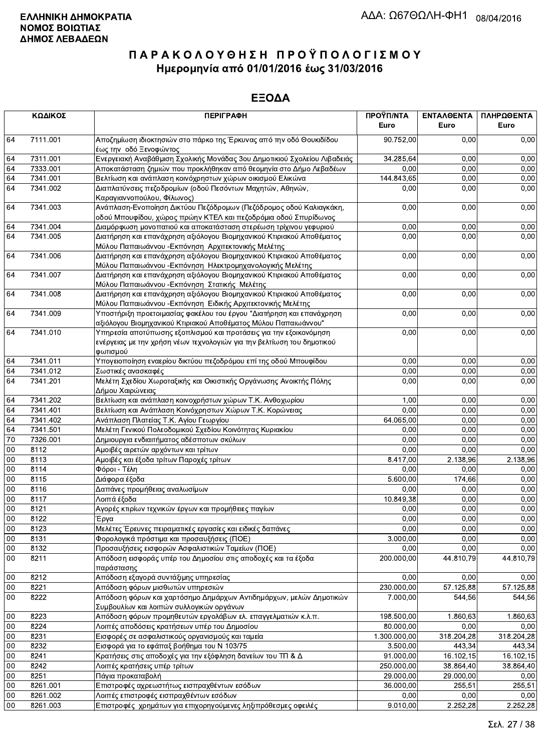|        | ΚΩΔΙΚΟΣ  | <b>ПЕРІГРАФН</b>                                                                                                                      | ΠΡΟΫΠ/ΝΤΑ<br>Euro | ΕΝΤΑΛΘΕΝΤΑ<br>Euro | ΠΛΗΡΩΘΕΝΤΑ<br>Euro |
|--------|----------|---------------------------------------------------------------------------------------------------------------------------------------|-------------------|--------------------|--------------------|
| 64     | 7111.001 | Αποζημίωση ιδιοκτησιών στο πάρκο της Έρκυνας από την οδό Θουκιδίδου<br>έως την οδό Ξενοφώντος                                         | 90.752,00         | 0.00               | 0,00               |
| 64     | 7311.001 | Ενεργειακή Αναβάθμιση Σχολικής Μονάδας 3ου Δημοτικιού Σχολείου Λιβαδειάς                                                              | 34.285,64         | 0,00               | 0,00               |
| 64     | 7333.001 | Αποκατάσταση ζημιών που προκλήθηκαν από θεομηνία στο Δήμο Λεβαδέων                                                                    | 0,00              | 0,00               | 0,00               |
| 64     | 7341.001 | Βελτίωση και ανάπλαση κοινόχρηστων χώρων οικισμού Ελικώνα                                                                             | 144.843,65        | 0,00               | 0,00               |
| 64     | 7341.002 | Διαπλατύνσεις πεζοδρομίων (οδού Πεσόντων Μαχητών, Αθηνών,<br>Καραγιαννοπούλου, Φίλωνος)                                               | 0,00              | 0,00               | 0,00               |
| 64     | 7341.003 | Ανάπλαση-Ενοποίηση Δικτύου Πεζόδρομων (Πεζόδρομος οδού Καλιαγκάκη,<br>οδού Μπουφίδου, χώρος πρώην ΚΤΕΛ και πεζοδρόμια οδού Σπυρίδωνος | 0,00              | 0,00               | 0,00               |
| 64     | 7341.004 | Διαμόρφωση μονοπατιού και αποκατάσταση στερέωση τρίχινου γεφυριού                                                                     | 0,00              | 0,00               | 0,00               |
| 64     | 7341.005 | Διατήρηση και επανάχρηση αξιόλογου Βιομηχανικού Κτιριακού Αποθέματος<br>Μύλου Παπαιωάννου - Εκπόνηση Αρχιτεκτονικής Μελέτης           | 0,00              | 0,00               | 0,00               |
| 64     | 7341.006 | Διατήρηση και επανάχρηση αξιόλογου Βιομηχανικού Κτιριακού Αποθέματος                                                                  | 0,00              | 0,00               | 0,00               |
| 64     | 7341.007 | Μύλου Παπαιωάννου - Εκπόνηση Ηλεκτρομηχανολογικής Μελέτης<br>Διατήρηση και επανάχρηση αξιόλογου Βιομηχανικού Κτιριακού Αποθέματος     | 0,00              | 0,00               | 0,00               |
| 64     | 7341.008 | Μύλου Παπαιωάννου - Εκπόνηση Στατικής Μελέτης<br>Διατήρηση και επανάχρηση αξιόλογου Βιομηχανικού Κτιριακού Αποθέματος                 | 0,00              | 0,00               | 0,00               |
| 64     | 7341.009 | Μύλου Παπαιωάννου - Εκπόνηση Ειδικής Αρχιτεκτονικής Μελέτης<br>Υποστήριξη προετοιμασίας φακέλου του έργου "Διατήρηση και επανάχρηση   | 0,00              | 0,00               | 0,00               |
| 64     | 7341.010 | αξιόλογου Βιομηχανικού Κτιριακού Αποθέματος Μύλου Παπαιωάννου"<br>Υπηρεσία αποτύπωσης εξοπλισμού και προτάσεις για την εξοικονόμηση   | 0,00              | 0,00               | 0,00               |
|        |          | ενέργειας με την χρήση νέων τεχνολογιών για την βελτίωση του δημοτικού<br>φωτισμού                                                    |                   |                    |                    |
| 64     | 7341.011 | Υπογειοποίηση εναερίου δικτύου πεζοδρόμου επί της οδού Μπουφίδου                                                                      | 0,00              | 0,00               | 0,00               |
| 64     | 7341.012 | Σωστικές ανασκαφές                                                                                                                    | 0,00              | 0,00               | 0,00               |
| 64     | 7341.201 | Μελέτη Σχεδίου Χωροταξικής και Οικιστικής Οργάνωσης Ανοικτής Πόλης<br>Δήμου Χαιρώνειας                                                | 0,00              | 0,00               | 0,00               |
| 64     | 7341.202 | Βελτίωση και ανάπλαση κοινοχρήστων χώρων Τ.Κ. Ανθοχωρίου                                                                              | 1,00              | 0,00               | 0,00               |
| 64     | 7341.401 | Βελτίωση και Ανάπλαση Κοινόχρηστων Χώρων Τ.Κ. Κορώνειας                                                                               | 0,00              | 0,00               | 0,00               |
| 64     | 7341.402 | Ανάπλαση Πλατείας Τ.Κ. Αγίου Γεωργίου                                                                                                 | 64.065,00         | 0,00               | 0,00               |
| 64     | 7341.501 | Μελέτη Γενικού Πολεοδομικού Σχεδίου Κοινότητας Κυριακίου                                                                              | 0,00              | 0,00               | 0,00               |
| 70     | 7326.001 | Δημιουργια ενδιαιτήματος αδέσποτων σκύλων                                                                                             | 0,00              | 0,00               | 0,00               |
| $00\,$ | 8112     | Αμοιβές αιρετών αρχόντων και τρίτων                                                                                                   | 0,00              | 0.00               | 0,00               |
| 00     | 8113     | Αμοιβές και έξοδα τρίτων Παροχές τρίτων                                                                                               | 8.417,00          | 2.138,96           | 2.138,96           |
| 00     | 8114     | Φόροι - Τέλη                                                                                                                          | 0,00              | 0,00               | 0,00               |
| 00     | 8115     | Διάφορα έξοδα                                                                                                                         | 5.600,00          | 174,66             | 0,00               |
| 00     | 8116     | Δαπάνες προμήθειας αναλωσίμων                                                                                                         | 0,00              | 0,00               | 0,00               |
| $00\,$ | 8117     | Λοιπά έξοδα                                                                                                                           | 10.849,38         | 0,00               | 0,00               |
| 00     | 8121     | Αγορές κτιρίων τεχνικών έργων και προμήθειες παγίων                                                                                   | 0,00              | 0,00               | 0,00               |
| 00     | 8122     | Έργα                                                                                                                                  | 0,00              | 0,00               | 0,00               |
| 00     | 8123     | Μελέτες Έρευνες πειραματικές εργασίες και ειδικές δαπάνες                                                                             | 0,00              | 0,00               | 0,00               |
| 00     | 8131     | Φορολογικά πρόστιμα και προσαυξήσεις (ΠΟΕ)                                                                                            | 3.000,00          | 0,00               | 0,00               |
| $00\,$ | 8132     | Προσαυξήσεις εισφορών Ασφαλιστικών Ταμείων (ΠΟΕ)                                                                                      | 0,00              | 0,00               | 0,00               |
| $00\,$ | 8211     | Απόδοση εισφοράς υπέρ του Δημοσίου στις αποδοχές και τα έξοδα<br>παράστασης                                                           | 200.000,00        | 44.810,79          | 44.810,79          |
| 00     | 8212     | Απόδοση εξαγορά συντάξιμης υπηρεσίας                                                                                                  | 0,00              | 0,00               | 0,00               |
| 00     | 8221     | Απόδοση φόρων μισθωτών υπηρεσιών                                                                                                      | 230.000,00        | 57.125,88          | 57.125,88          |
| $00\,$ | 8222     | Απόδοση φόρων και χαρτόσημο Δημάρχων Αντιδημάρχων, μελών Δημοτικών<br>Συμβουλίων και λοιπών συλλογικών οργάνων                        | 7.000,00          | 544,56             | 544,56             |
| $00\,$ | 8223     | Απόδοση φόρων προμηθευτών εργολάβων ελ. επαγγελματιών κ.λ.π.                                                                          | 198.500,00        | 1.860,63           | 1.860,63           |
| 00     | 8224     | Λοιπές αποδόσεις κρατήσεων υπέρ του Δημοσίου                                                                                          | 80.000,00         | 0,00               | 0,00               |
| 00     | 8231     | Εισφορές σε ασφαλιστικούς οργανισμούς και ταμεία                                                                                      | 1.300.000,00      | 318.204,28         | 318.204,28         |
| 00     | 8232     | Εισφορά για το εφάπαξ βοήθημα του Ν 103/75                                                                                            | 3.500,00          | 443,34             | 443,34             |
| 00     | 8241     | Κρατήσεις στις αποδοχές για την εξόφληση δανείων του ΤΠ & Δ                                                                           | 91.000,00         | 16.102,15          | 16.102,15          |
| 00     | 8242     | Λοιπές κρατήσεις υπέρ τρίτων                                                                                                          | 250.000,00        | 38.864,40          | 38.864,40          |
| $00\,$ | 8251     | Πάγια προκαταβολή                                                                                                                     | 29.000,00         | 29.000,00          | 0,00               |
| 00     | 8261.001 | Επιστροφές αχρεωστήτως εισπραχθέντων εσόδων                                                                                           | 36.000,00         | 255,51             | 255,51             |
| 00     | 8261.002 | Λοιπές επιστροφές εισπραχθέντων εσόδων                                                                                                | 0,00              | 0,00               | 0,00               |
| 00     | 8261.003 | Επιστροφές χρημάτων για επιχορηγούμενες ληξιπρόθεσμες οφειλές                                                                         | 9.010,00          | 2.252,28           | 2.252,28           |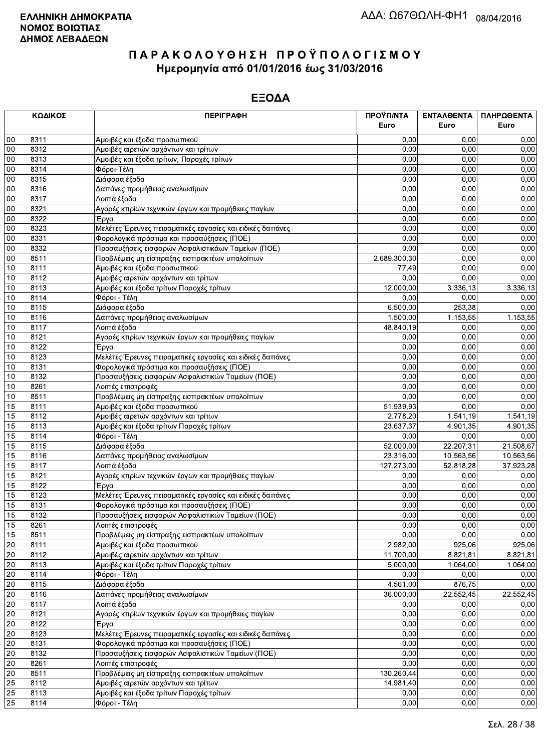|    | ΚΩΔΙΚΟΣ | <b>ПЕРІГРАФН</b>                                          | ΠΡΟΫΠ/ΝΤΑ<br>Euro | ΕΝΤΑΛΘΕΝΤΑ<br>Euro | ΠΛΗΡΩΘΕΝΤΑ<br>Euro |
|----|---------|-----------------------------------------------------------|-------------------|--------------------|--------------------|
|    |         |                                                           |                   |                    |                    |
| 00 | 8311    | Αμοιβές και έξοδα προσωπικού                              | 0.00              | 0.00               | 0,00               |
| 00 | 8312    | Αμοιβές αιρετών αρχόντων και τρίτων                       | 0,00              | 0,00               | 0,00               |
| 00 | 8313    | Αμοιβές και έξοδα τρίτων, Παροχές τρίτων                  | 0,00              | 0,00               | 0,00               |
| 00 | 8314    | Φόροι-Τέλη                                                | 0,00              | 0,00               | 0,00               |
| 00 | 8315    | Διάφορα έξοδα                                             | 0,00              | 0,00               | 0,00               |
| 00 | 8316    | Δαπάνες προμήθειας αναλωσίμων                             | 0,00              | 0,00               | 0,00               |
| 00 | 8317    | Λοιπά έξοδα                                               | 0,00              | 0,00               | 0,00               |
| 00 | 8321    | Αγορές κτιρίων τεχνικών έργων και προμήθειες παγίων       | 0,00              | 0,00               | 0,00               |
| 00 | 8322    | Έργα                                                      | 0,00              | 0,00               | 0,00               |
| 00 | 8323    | Μελέτες Έρευνες πειραματικές εργασίες και ειδικές δαπάνες | 0,00              | 0,00               | 0,00               |
| 00 | 8331    | Φορολογικά πρόστιμα και προσαύξησεις (ΠΟΕ)                | 0,00              | 0,00               | 0,00               |
| 00 | 8332    | Προσαυξήσεις εισφορών Ασφαλιστικάων Ταμείων (ΠΟΕ)         | 0,00              | 0,00               | 0,00               |
| 00 | 8511    | Προβλέψεις μη είσπραξης εισπρακτέων υπολοίπων             | 2.689.300,30      | 0,00               | 0,00               |
| 10 | 8111    | Αμοιβές και έξοδα προσωπικού                              | 77,49             | 0,00               | 0,00               |
| 10 | 8112    | Αμοιβές αιρετών αρχόντων και τρίτων                       | 0,00              | 0.00               | 0,00               |
| 10 | 8113    | Αμοιβές και έξοδα τρίτων Παροχές τρίτων                   | 12.000,00         | 3.336,13           | 3.336,13           |
| 10 | 8114    | Φόροι - Τέλη                                              | 0,00              | 0,00               | 0,00               |
| 10 | 8115    | Διάφορα έξοδα                                             | 6.500,00          | 253,38             | 0,00               |
| 10 | 8116    | Δαπάνες προμήθειας αναλωσίμων                             | 1.500,00          | 1.153,55           | 1.153,55           |
| 10 | 8117    | Λοιπά έξοδα                                               | 48.840,19         | 0,00               | 0,00               |
| 10 | 8121    | Αγορές κτιρίων τεχνικών έργων και προμήθειες παγίων       | 0,00              | 0,00               | 0,00               |
| 10 | 8122    | Έργα                                                      | 0,00              | 0,00               | 0,00               |
| 10 | 8123    | Μελέτες Έρευνες πειραματικές εργασίες και ειδικές δαπάνες | 0,00              | 0,00               | 0,00               |
| 10 | 8131    | Φορολογικά πρόστιμα και προσαυξήσεις (ΠΟΕ)                | 0,00              | 0,00               | 0,00               |
| 10 | 8132    | Προσαυξήσεις εισφορών Ασφαλιστικών Ταμείων (ΠΟΕ)          | 0,00              | 0,00               | 0,00               |
| 10 | 8261    | Λοιπές επιστροφές                                         | 0,00              | 0,00               | 0,00               |
| 10 | 8511    | Προβλέψεις μη είσπραξης εισπρακτέων υπολοίπων             | 0,00              | 0,00               | 0,00               |
| 15 | 8111    | Αμοιβές και έξοδα προσωπικού                              | 51.939,93         | 0.00               | 0,00               |
| 15 | 8112    | Αμοιβές αιρετών αρχόντων και τρίτων                       | 2.778,20          | 1.541,19           | 1.541,19           |
| 15 | 8113    | Αμοιβές και έξοδα τρίτων Παροχές τρίτων                   | 23.637,37         | 4.901,35           | 4.901,35           |
| 15 | 8114    | Φόροι - Τέλη                                              | 0,00              | 0,00               | 0,00               |
| 15 | 8115    | Διάφορα έξοδα                                             | 52.000,00         | 22.207,31          | 21.508,67          |
| 15 | 8116    | Δαπάνες προμήθειας αναλωσίμων                             | 23.316,00         | 10.563,56          | 10.563,56          |
| 15 | 8117    | Λοιπά έξοδα                                               | 127.273,00        | 52.818,28          | 37.923,28          |
| 15 | 8121    | Αγορές κτιρίων τεχνικών έργων και προμήθειες παγίων       | 0,00              | 0,00               | 0,00               |
| 15 | 8122    | Έργα                                                      | 0,00              | 0,00               | 0,00               |
| 15 | 8123    | Μελέτες Έρευνες πειραματικές εργασίες και ειδικές δαπάνες | 0,00              | 0,00               | 0,00               |
| 15 | 8131    | Φορολογικά πρόστιμα και προσαυξήσεις (ΠΟΕ)                | 0,00              | 0,00               | 0,00               |
| 15 | 8132    | Προσαυξήσεις εισφορών Ασφαλιστικών Ταμείων (ΠΟΕ)          | 0,00              | 0.00               | 0,00               |
| 15 | 8261    | Λοιπές επιστροφές                                         | 0,00              | 0,00               | 0,00               |
| 15 | 8511    |                                                           | 0,00              | 0,00               | 0,00               |
| 20 | 8111    | Αμοιβές και έξοδα προσωπικού                              | 2.982,00          | 925,06             | 925,06             |
| 20 | 8112    | Αμοιβές αιρετών αρχόντων και τρίτων                       | 11.700,00         | 8.821,81           | 8.821,81           |
| 20 | 8113    | Αμοιβές και έξοδα τρίτων Παροχές τρίτων                   | 5.000,00          | 1.064,00           | 1.064,00           |
| 20 | 8114    | Φόροι - Τέλη                                              | 0,00              | 0,00               | 0,00               |
| 20 | 8115    | Διάφορα έξοδα                                             | 4.561,00          | 876,75             | 0,00               |
| 20 | 8116    | Δαπάνες προμήθειας αναλωσίμων                             | 36.000,00         | 22.552,45          | 22.552,45          |
| 20 | 8117    | Λοιπά έξοδα                                               | 0,00              | 0,00               | 0,00               |
| 20 | 8121    | Αγορές κτιρίων τεχνικών έργων και προμήθειες παγίων       | 0,00              | 0,00               | 0,00               |
| 20 | 8122    | Έργα                                                      | 0,00              | 0,00               | 0,00               |
| 20 | 8123    | Μελέτες Έρευνες πειραματικές εργασίες και ειδικές δαπάνες | 0,00              | 0,00               | 0,00               |
| 20 | 8131    | Φορολογικά πρόστιμα και προσαυξήσεις (ΠΟΕ)                | 0,00              | 0,00               | 0,00               |
| 20 | 8132    | Προσαυξήσεις εισφορών Ασφαλιστικών Ταμείων (ΠΟΕ)          | 0,00              | 0,00               | 0,00               |
| 20 | 8261    | Λοιπές επιστροφές                                         | 0,00              | 0,00               | 0,00               |
| 20 | 8511    | Προβλέψεις μη είσπραξης εισπρακτέων υπολοίπων             | 130.260,44        | 0,00               | 0,00               |
| 25 | 8112    | Αμοιβές αιρετών αρχόντων και τρίτων                       | 14.981,40         | 0,00               | 0,00               |
| 25 | 8113    | Αμοιβές και έξοδα τρίτων Παροχές τρίτων                   | 0,00              | 0,00               | 0,00               |
| 25 | 8114    | Φόροι - Τέλη                                              | 0,00              | 0,00               | 0,00               |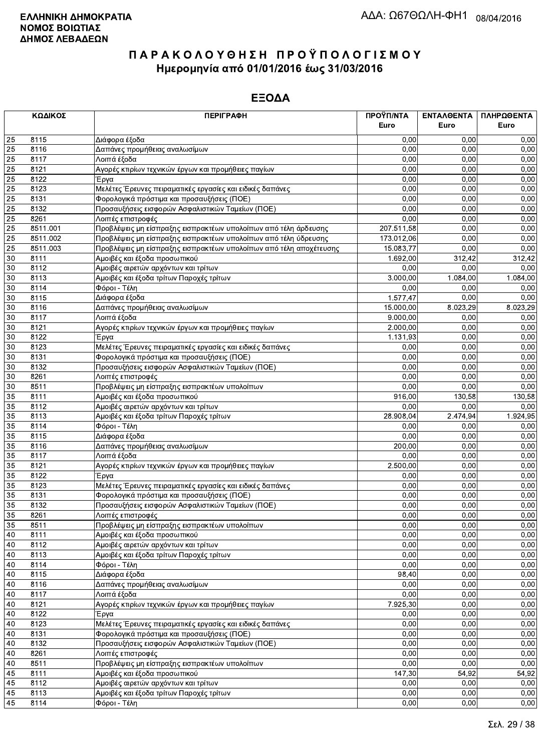|    | ΚΩΔΙΚΟΣ  | <b>ПЕРІГРАФН</b>                                                   | ΠΡΟΫΠ/ΝΤΑ  | ΕΝΤΑΛΘΕΝΤΑ | ΠΛΗΡΩΘΕΝΤΑ |
|----|----------|--------------------------------------------------------------------|------------|------------|------------|
|    |          |                                                                    | Euro       | Euro       | Euro       |
| 25 | 8115     | Διάφορα έξοδα                                                      | 0.00       | 0,00       | 0,00       |
| 25 | 8116     | Δαπάνες προμήθειας αναλωσίμων                                      | 0,00       | 0.00       | 0,00       |
| 25 | 8117     | Λοιπά έξοδα                                                        | 0.00       | 0,00       | 0,00       |
| 25 | 8121     | Αγορές κτιρίων τεχνικών έργων και προμήθειες παγίων                | 0,00       | 0,00       | 0,00       |
| 25 | 8122     | Έργα                                                               | 0,00       | 0,00       | 0,00       |
| 25 | 8123     | Μελέτες Έρευνες πειραματικές εργασίες και ειδικές δαπάνες          | 0,00       | 0,00       | 0,00       |
| 25 | 8131     | Φορολογικά πρόστιμα και προσαυξήσεις (ΠΟΕ)                         | 0,00       | 0,00       | 0,00       |
| 25 | 8132     | Προσαυξήσεις εισφορών Ασφαλιστικών Ταμείων (ΠΟΕ)                   | 0,00       | 0,00       | 0,00       |
| 25 | 8261     | Λοιπές επιστροφές                                                  | 0,00       | 0,00       | 0,00       |
| 25 | 8511.001 | Προβλέψεις μη είσπραξης εισπρακτέων υπολοίπων από τέλη άρδευσης    | 207.511,58 | 0,00       | 0,00       |
| 25 | 8511.002 | Προβλέψεις μη είσπραξης εισπρακτέων υπολοίπων από τέλη ύδρευσης    | 173.012,06 | 0,00       | 0,00       |
| 25 | 8511.003 | Προβλέψεις μη είσπραξης εισπρακτέων υπολοίπων από τέλη αποχέτευσης | 15.083,77  | 0,00       | 0,00       |
| 30 | 8111     | Αμοιβές και έξοδα προσωπικού                                       | 1.692,00   | 312,42     | 312,42     |
| 30 | 8112     | Αμοιβές αιρετών αρχόντων και τρίτων                                | 0,00       | 0,00       | 0,00       |
| 30 | 8113     | Αμοιβές και έξοδα τρίτων Παροχές τρίτων                            | 3.000,00   | 1.084,00   | 1.084,00   |
| 30 | 8114     | Φόροι - Τέλη                                                       | 0,00       | 0,00       | 0,00       |
| 30 | 8115     | Διάφορα έξοδα                                                      | 1.577,47   | 0,00       | 0,00       |
| 30 | 8116     | Δαπάνες προμήθειας αναλωσίμων                                      | 15.000,00  | 8.023,29   | 8.023,29   |
| 30 | 8117     | Λοιπά έξοδα                                                        | 9.000,00   | 0,00       | 0,00       |
| 30 | 8121     | Αγορές κτιρίων τεχνικών έργων και προμήθειες παγίων                | 2.000,00   | 0,00       | 0,00       |
| 30 | 8122     | Έργα                                                               | 1.131,93   | 0,00       | 0,00       |
| 30 | 8123     | Μελέτες Έρευνες πειραματικές εργασίες και ειδικές δαπάνες          | 0,00       | 0.00       | 0,00       |
| 30 | 8131     | Φορολογικά πρόστιμα και προσαυξήσεις (ΠΟΕ)                         | 0,00       | 0,00       | 0,00       |
| 30 | 8132     | Προσαυξήσεις εισφορών Ασφαλιστικών Ταμείων (ΠΟΕ)                   | 0,00       | 0,00       | 0,00       |
| 30 | 8261     | Λοιπές επιστροφές                                                  | 0,00       | 0,00       | 0,00       |
| 30 | 8511     | Προβλέψεις μη είσπραξης εισπρακτέων υπολοίπων                      | 0,00       | 0,00       | 0,00       |
| 35 | 8111     | Αμοιβές και έξοδα προσωπικού                                       | 916,00     | 130,58     | 130,58     |
| 35 | 8112     | Αμοιβές αιρετών αρχόντων και τρίτων                                | 0,00       | 0.00       | 0,00       |
| 35 | 8113     | Αμοιβές και έξοδα τρίτων Παροχές τρίτων                            | 28.908,04  | 2.474,94   | 1.924,95   |
| 35 | 8114     | Φόροι - Τέλη                                                       | 0,00       | 0,00       | 0,00       |
| 35 | 8115     | Διάφορα έξοδα                                                      | 0,00       | 0,00       | 0,00       |
| 35 | 8116     | Δαπάνες προμήθειας αναλωσίμων                                      | 200,00     | 0,00       | 0,00       |
| 35 | 8117     | Λοιπά έξοδα                                                        | 0,00       | 0,00       | 0,00       |
| 35 | 8121     | Αγορές κτιρίων τεχνικών έργων και προμήθειες παγίων                | 2.500,00   | 0,00       | 0,00       |
| 35 | 8122     | Έργα                                                               | 0,00       | 0,00       | 0,00       |
| 35 | 8123     | Μελέτες Έρευνες πειραματικές εργασίες και ειδικές δαπάνες          | 0,00       | 0.00       | 0,00       |
| 35 | 8131     | Φορολογικά πρόστιμα και προσαυξήσεις (ΠΟΕ)                         | 0,00       | 0,00       | 0,00       |
| 35 | 8132     | Προσαυξήσεις εισφορών Ασφαλιστικών Ταμείων (ΠΟΕ)                   | 0,00       | 0,00       | 0,00       |
| 35 | 8261     | Λοιπές επιστροφές                                                  | 0,00       | 0,00       | 0,00       |
| 35 | 8511     | Προβλέψεις μη είσπραξης εισπρακτέων υπολοίπων                      | 0,00       | 0,00       | 0,00       |
| 40 | 8111     | Αμοιβές και έξοδα προσωπικού                                       | 0,00       | 0.00       | 0,00       |
| 40 | 8112     | Αμοιβές αιρετών αρχόντων και τρίτων                                | 0,00       | 0,00       | 0,00       |
| 40 | 8113     | Αμοιβές και έξοδα τρίτων Παροχές τρίτων                            | 0,00       | 0,00       | 0,00       |
| 40 | 8114     | Φόροι - Τέλη                                                       | 0,00       | 0,00       | 0,00       |
| 40 | 8115     | Διάφορα έξοδα                                                      | 98,40      | 0,00       | 0,00       |
| 40 | 8116     | Δαπάνες προμήθειας αναλωσίμων                                      | 0,00       | 0,00       | 0,00       |
| 40 | 8117     | Λοιπά έξοδα                                                        | 0,00       | 0,00       | 0,00       |
| 40 | 8121     | Αγορές κτιρίων τεχνικών έργων και προμήθειες παγίων                | 7.925,30   | 0,00       | 0,00       |
| 40 | 8122     | Έργα                                                               | 0,00       | 0,00       | 0,00       |
| 40 | 8123     | Μελέτες Έρευνες πειραματικές εργασίες και ειδικές δαπάνες          | 0,00       | 0,00       | 0,00       |
| 40 | 8131     | Φορολογικά πρόστιμα και προσαυξήσεις (ΠΟΕ)                         | 0,00       | 0,00       | 0,00       |
| 40 | 8132     | Προσαυξήσεις εισφορών Ασφαλιστικών Ταμείων (ΠΟΕ)                   | 0,00       | 0,00       | 0,00       |
| 40 | 8261     | Λοιπές επιστροφές                                                  | 0,00       | 0,00       | 0,00       |
| 40 | 8511     | Προβλέψεις μη είσπραξης εισπρακτέων υπολοίπων                      | 0,00       | 0,00       | 0,00       |
| 45 | 8111     | Αμοιβές και έξοδα προσωπικού                                       | 147,30     | 54,92      | 54,92      |
| 45 | 8112     | Αμοιβές αιρετών αρχόντων και τρίτων                                | 0,00       | 0,00       | 0,00       |
| 45 | 8113     | Αμοιβές και έξοδα τρίτων Παροχές τρίτων                            | 0,00       | 0,00       | 0,00       |
| 45 | 8114     | Φόροι - Τέλη                                                       | 0,00       | 0,00       | 0,00       |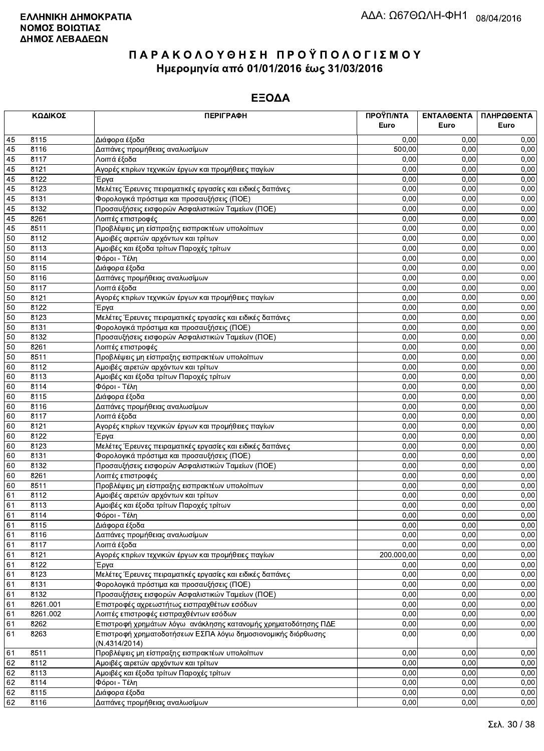|    | ΚΩΔΙΚΟΣ  | <b>ПЕРІГРАФН</b>                                                              | ΠΡΟΫΠ/ΝΤΑ  | ΕΝΤΑΛΘΕΝΤΑ | ΠΛΗΡΩΘΕΝΤΑ |
|----|----------|-------------------------------------------------------------------------------|------------|------------|------------|
|    |          |                                                                               | Euro       | Euro       | Euro       |
| 45 | 8115     | Διάφορα έξοδα                                                                 | 0,00       | 0,00       | 0,00       |
| 45 | 8116     | Δαπάνες προμήθειας αναλωσίμων                                                 | 500,00     | 0.00       | 0,00       |
| 45 | 8117     | Λοιπά έξοδα                                                                   | 0.00       | 0,00       | 0,00       |
| 45 | 8121     | Αγορές κτιρίων τεχνικών έργων και προμήθειες παγίων                           | 0,00       | 0,00       | 0,00       |
| 45 | 8122     | Έργα                                                                          | 0,00       | 0,00       | 0,00       |
| 45 | 8123     | Μελέτες Έρευνες πειραματικές εργασίες και ειδικές δαπάνες                     | 0,00       | 0,00       | 0,00       |
| 45 | 8131     | Φορολογικά πρόστιμα και προσαυξήσεις (ΠΟΕ)                                    | 0,00       | 0,00       | 0,00       |
| 45 | 8132     | Προσαυξήσεις εισφορών Ασφαλιστικών Ταμείων (ΠΟΕ)                              | 0,00       | 0,00       | 0,00       |
| 45 | 8261     | Λοιπές επιστροφές                                                             | 0,00       | 0,00       | 0,00       |
| 45 | 8511     | Προβλέψεις μη είσπραξης εισπρακτέων υπολοίπων                                 | 0,00       | 0,00       | 0,00       |
| 50 | 8112     | Αμοιβές αιρετών αρχόντων και τρίτων                                           | 0,00       | 0,00       | 0,00       |
| 50 | 8113     | Αμοιβές και έξοδα τρίτων Παροχές τρίτων                                       | 0,00       | 0,00       | 0,00       |
| 50 | 8114     | Φόροι - Τέλη                                                                  | 0,00       | 0,00       | 0,00       |
| 50 | 8115     | Διάφορα έξοδα                                                                 | 0,00       | 0,00       | 0,00       |
| 50 | 8116     | Δαπάνες προμήθειας αναλωσίμων                                                 | 0,00       | 0,00       | 0,00       |
| 50 | 8117     | Λοιπά έξοδα                                                                   | 0,00       | 0,00       | 0,00       |
| 50 | 8121     | Αγορές κτιρίων τεχνικών έργων και προμήθειες παγίων                           | 0,00       | 0,00       | 0,00       |
| 50 | 8122     | Έργα                                                                          | 0,00       | 0,00       | 0,00       |
| 50 | 8123     | Μελέτες Έρευνες πειραματικές εργασίες και ειδικές δαπάνες                     | 0,00       | 0,00       | 0,00       |
| 50 | 8131     | Φορολογικά πρόστιμα και προσαυξήσεις (ΠΟΕ)                                    | 0,00       | 0,00       | 0,00       |
| 50 | 8132     | Προσαυξήσεις εισφορών Ασφαλιστικών Ταμείων (ΠΟΕ)                              | 0,00       | 0,00       | 0,00       |
| 50 | 8261     | Λοιπές επιστροφές                                                             | 0,00       | 0.00       | 0,00       |
| 50 | 8511     | Προβλέψεις μη είσπραξης εισπρακτέων υπολοίπων                                 | 0,00       | 0,00       | 0,00       |
| 60 | 8112     | Αμοιβές αιρετών αρχόντων και τρίτων                                           | 0,00       | 0,00       | 0,00       |
| 60 | 8113     | Αμοιβές και έξοδα τρίτων Παροχές τρίτων                                       | 0,00       | 0,00       | 0,00       |
| 60 | 8114     | Φόροι - Τέλη                                                                  | 0,00       | 0,00       | 0,00       |
| 60 | 8115     | Διάφορα έξοδα                                                                 | 0,00       | 0.00       | 0,00       |
| 60 | 8116     | Δαπάνες προμήθειας αναλωσίμων                                                 | 0,00       | 0.00       | 0,00       |
| 60 | 8117     | Λοιπά έξοδα                                                                   | 0,00       | 0,00       | 0,00       |
| 60 | 8121     | Αγορές κτιρίων τεχνικών έργων και προμήθειες παγίων                           | 0,00       | 0,00       | 0,00       |
| 60 | 8122     | Έργα                                                                          | 0,00       | 0,00       | 0,00       |
| 60 | 8123     | Μελέτες Έρευνες πειραματικές εργασίες και ειδικές δαπάνες                     | 0,00       | 0,00       | 0,00       |
| 60 | 8131     | Φορολογικά πρόστιμα και προσαυξήσεις (ΠΟΕ)                                    | 0,00       | 0,00       | 0,00       |
| 60 | 8132     | Προσαυξήσεις εισφορών Ασφαλιστικών Ταμείων (ΠΟΕ)                              | 0,00       | 0,00       | 0,00       |
| 60 | 8261     | Λοιπές επιστροφές                                                             | 0,00       | 0,00       | 0,00       |
| 60 | 8511     | Προβλέψεις μη είσπραξης εισπρακτέων υπολοίπων                                 | 0,00       | 0.00       | 0,00       |
| 61 | 8112     | Αμοιβές αιρετών αρχόντων και τρίτων                                           | 0,00       | 0,00       | 0,00       |
| 61 | 8113     | Αμοιβές και έξοδα τρίτων Παροχές τρίτων                                       | 0,00       | 0,00       | 0,00       |
| 61 | 8114     | Φόροι - Τέλη                                                                  | 0,00       | 0,00       | 0,00       |
| 61 | 8115     | Διάφορα έξοδα                                                                 | 0,00       | 0,00       | 0,00       |
| 61 | 8116     | Δαπάνες προμήθειας αναλωσίμων                                                 | 0,00       | 0.00       | 0,00       |
| 61 | 8117     | Λοιπά έξοδα                                                                   | 0,00       | 0,00       | 0,00       |
| 61 | 8121     | Αγορές κτιρίων τεχνικών έργων και προμήθειες παγίων                           | 200.000,00 | 0,00       | 0,00       |
| 61 | 8122     | Έργα                                                                          | 0,00       | 0,00       | 0,00       |
| 61 | 8123     | Μελέτες Έρευνες πειραματικές εργασίες και ειδικές δαπάνες                     | 0,00       | 0,00       | 0,00       |
| 61 | 8131     | Φορολογικά πρόστιμα και προσαυξήσεις (ΠΟΕ)                                    | 0,00       | 0,00       | 0,00       |
| 61 | 8132     | Προσαυξήσεις εισφορών Ασφαλιστικών Ταμείων (ΠΟΕ)                              | 0,00       | 0,00       | 0,00       |
| 61 | 8261.001 | Επιστροφές αχρεωστήτως εισπραχθέτων εσόδων                                    | 0,00       | 0,00       | 0,00       |
| 61 | 8261.002 | Λοιπές επιστροφές εισπραχθέντων εσόδων                                        | 0,00       | 0,00       | 0,00       |
| 61 | 8262     | Επιστροφή χρημάτων λόγω ανάκλησης κατανομής χρηματοδότησης ΠΔΕ                | 0,00       | 0,00       | 0,00       |
| 61 | 8263     | Επιστροφή χρηματοδοτήσεων ΕΣΠΑ λόγω δημοσιονομικής διόρθωσης<br>(N.4314/2014) | 0,00       | 0,00       | 0,00       |
| 61 | 8511     | Προβλέψεις μη είσπραξης εισπρακτέων υπολοίπων                                 | 0,00       | 0,00       | 0,00       |
| 62 | 8112     | Αμοιβές αιρετών αρχόντων και τρίτων                                           | 0,00       | 0,00       | 0,00       |
| 62 | 8113     | Αμοιβές και έξοδα τρίτων Παροχές τρίτων                                       | 0,00       | 0,00       | 0,00       |
| 62 | 8114     | Φόροι - Τέλη                                                                  | 0,00       | 0,00       | 0,00       |
| 62 | 8115     | Διάφορα έξοδα                                                                 | 0,00       | 0,00       | 0,00       |
| 62 | 8116     | Δαπάνες προμήθειας αναλωσίμων                                                 | 0,00       | 0,00       | 0,00       |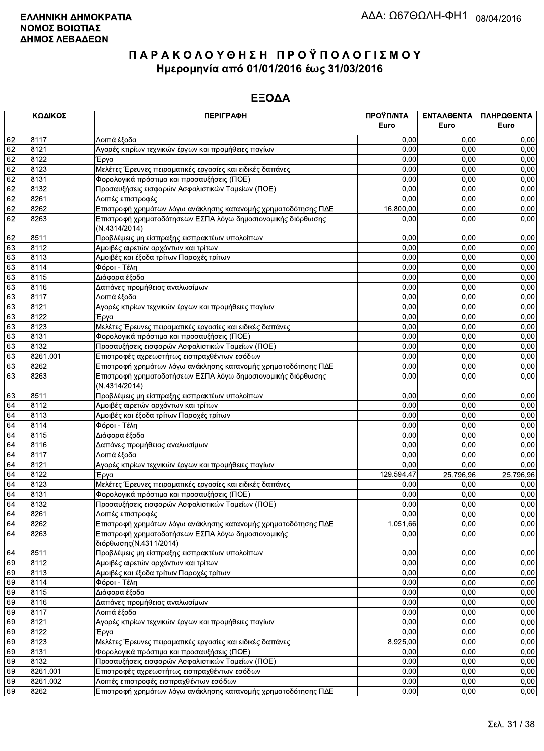|    | ΚΩΔΙΚΟΣ  | <b>ПЕРІГРАФН</b>                                                              | ΠΡΟΫΠ/ΝΤΑ  | <b>ENTAA@ENTA</b> | ΠΛΗΡΩΘΕΝΤΑ |
|----|----------|-------------------------------------------------------------------------------|------------|-------------------|------------|
|    |          |                                                                               | Euro       | Euro              | Euro       |
| 62 | 8117     | Λοιπά έξοδα                                                                   | 0,00       | 0.00              | 0,00       |
| 62 | 8121     | Αγορές κτιρίων τεχνικών έργων και προμήθειες παγίων                           | 0,00       | 0.00              | 0,00       |
| 62 | 8122     | Έργα                                                                          | 0,00       | 0,00              | 0,00       |
| 62 | 8123     | Μελέτες Έρευνες πειραματικές εργασίες και ειδικές δαπάνες                     | 0,00       | 0,00              | 0,00       |
| 62 | 8131     | Φορολογικά πρόστιμα και προσαυξήσεις (ΠΟΕ)                                    | 0,00       | 0,00              | 0,00       |
| 62 | 8132     | Προσαυξήσεις εισφορών Ασφαλιστικών Ταμείων (ΠΟΕ)                              | 0,00       | 0,00              | 0,00       |
| 62 | 8261     | Λοιπές επιστροφές                                                             | 0,00       | 0,00              | 0,00       |
| 62 | 8262     | Επιστροφή χρημάτων λόγω ανάκλησης κατανομής χρηματοδότησης ΠΔΕ                | 16.800,00  | 0,00              | 0,00       |
| 62 | 8263     | Επιστροφή χρηματοδότησεων ΕΣΠΑ λόγω δημοσιονομικής διόρθωσης<br>(N.4314/2014) | 0,00       | 0,00              | 0,00       |
| 62 | 8511     | Προβλέψεις μη είσπραξης εισπρακτέων υπολοίπων                                 | 0,00       | 0,00              | 0,00       |
| 63 | 8112     | Αμοιβές αιρετών αρχόντων και τρίτων                                           | 0,00       | 0,00              | 0,00       |
| 63 | 8113     | Αμοιβές και έξοδα τρίτων Παροχές τρίτων                                       | 0,00       | 0,00              | 0,00       |
| 63 | 8114     | Φόροι - Τέλη                                                                  | 0,00       | 0,00              | 0,00       |
| 63 | 8115     | Διάφορα έξοδα                                                                 | 0,00       | 0,00              | 0,00       |
| 63 | 8116     | Δαπάνες προμήθειας αναλωσίμων                                                 | 0,00       | 0,00              | 0,00       |
| 63 | 8117     | Λοιπά έξοδα                                                                   | 0,00       | 0,00              | 0,00       |
| 63 | 8121     | Αγορές κτιρίων τεχνικών έργων και προμήθειες παγίων                           | 0,00       | 0,00              | 0,00       |
| 63 | 8122     | Έργα                                                                          | 0,00       | 0,00              | 0,00       |
| 63 | 8123     | Μελέτες Έρευνες πειραματικές εργασίες και ειδικές δαπάνες                     | 0,00       | 0,00              | 0,00       |
| 63 | 8131     | Φορολογικά πρόστιμα και προσαυξήσεις (ΠΟΕ)                                    | 0,00       | 0,00              | 0,00       |
| 63 | 8132     | Προσαυξήσεις εισφορών Ασφαλιστικών Ταμείων (ΠΟΕ)                              | 0,00       | 0,00              | 0,00       |
| 63 | 8261.001 | Επιστροφές αχρεωστήτως εισπραχθέντων εσόδων                                   | 0,00       | 0,00              | 0,00       |
| 63 | 8262     | Επιστροφή χρημάτων λόγω ανάκλησης κατανομής χρηματοδότησης ΠΔΕ                | 0,00       | 0,00              | 0,00       |
| 63 | 8263     | Επιστροφή χρηματοδοτήσεων ΕΣΠΑ λόγω δημοσιονομικής διόρθωσης<br>(N.4314/2014) | 0,00       | 0,00              | 0,00       |
| 63 | 8511     | Προβλέψεις μη είσπραξης εισπρακτέων υπολοίπων                                 | 0,00       | 0,00              | 0,00       |
| 64 | 8112     | Αμοιβές αιρετών αρχόντων και τρίτων                                           | 0,00       | 0,00              | 0,00       |
| 64 | 8113     | Αμοιβές και έξοδα τρίτων Παροχές τρίτων                                       | 0,00       | 0,00              | 0,00       |
| 64 | 8114     | Φόροι - Τέλη                                                                  | 0,00       | 0,00              | 0,00       |
| 64 | 8115     | Διάφορα έξοδα                                                                 | 0,00       | 0,00              | 0,00       |
| 64 | 8116     | Δαπάνες προμήθειας αναλωσίμων                                                 | 0,00       | 0,00              | 0,00       |
| 64 | 8117     | Λοιπά έξοδα                                                                   | 0,00       | 0,00              | 0,00       |
| 64 | 8121     | Αγορές κτιρίων τεχνικών έργων και προμήθειες παγίων                           | 0,00       | 0,00              | 0,00       |
| 64 | 8122     | Έργα                                                                          | 129.594,47 | 25.796,96         | 25.796,96  |
| 64 | 8123     | Μελέτες Έρευνες πειραματικές εργασίες και ειδικές δαπάνες                     | 0,00       | 0,00              | 0,00       |
| 64 | 8131     | Φορολογικά πρόστιμα και προσαυξήσεις (ΠΟΕ)                                    | 0,00       | 0,00              | 0,00       |
| 64 | 8132     | Προσαυξήσεις εισφορών Ασφαλιστικών Ταμείων (ΠΟΕ)                              | 0,00       | 0,00              | 0,00       |
| 64 | 8261     | Λοιπές επιστροφές                                                             | 0,00       | 0.00              | 0,00       |
| 64 | 8262     | Επιστροφή χρημάτων λόγω ανάκλησης κατανομής χρηματοδότησης ΠΔΕ                | 1.051,66   | 0,00              | 0,00       |
| 64 | 8263     | Επιστροφή χρηματοδοτήσεων ΕΣΠΑ λόγω δημοσιονομικής<br>διόρθωσης (Ν.4311/2014) | 0,00       | 0,00              | 0,00       |
| 64 | 8511     | Προβλέψεις μη είσπραξης εισπρακτέων υπολοίπων                                 | 0,00       | 0,00              | 0,00       |
| 69 | 8112     | Αμοιβές αιρετών αρχόντων και τρίτων                                           | 0,00       | 0,00              | 0,00       |
| 69 | 8113     | Αμοιβές και έξοδα τρίτων Παροχές τρίτων                                       | 0,00       | 0,00              | 0,00       |
| 69 | 8114     | Φόροι - Τέλη                                                                  | 0,00       | 0,00              | 0,00       |
| 69 | 8115     | Διάφορα έξοδα                                                                 | 0,00       | 0,00              | 0,00       |
| 69 | 8116     | Δαπάνες προμήθειας αναλωσίμων                                                 | 0,00       | 0,00              | 0,00       |
| 69 | 8117     | Λοιπά έξοδα                                                                   | 0,00       | 0,00              | 0,00       |
| 69 | 8121     | Αγορές κτιρίων τεχνικών έργων και προμήθειες παγίων                           | 0,00       | 0,00              | 0,00       |
| 69 | 8122     | Έργα                                                                          | 0,00       | 0,00              | 0,00       |
| 69 | 8123     | Μελέτες Έρευνες πειραματικές εργασίες και ειδικές δαπάνες                     | 8.925,00   | 0,00              | 0,00       |
| 69 | 8131     | Φορολογικά πρόστιμα και προσαυξήσεις (ΠΟΕ)                                    | 0,00       | 0,00              | 0,00       |
| 69 | 8132     | Προσαυξήσεις εισφορών Ασφαλιστικών Ταμείων (ΠΟΕ)                              | 0,00       | 0,00              | 0,00       |
| 69 | 8261.001 | Επιστροφές αχρεωστήτως εισπραχθέντων εσόδων                                   | 0,00       | 0,00              | 0,00       |
| 69 | 8261.002 | Λοιπές επιστροφές εισπραχθέντων εσόδων                                        | 0,00       | 0,00              | 0,00       |
| 69 | 8262     | Επιστροφή χρημάτων λόγω ανάκλησης κατανομής χρηματοδότησης ΠΔΕ                | 0,00       | 0,00              | 0,00       |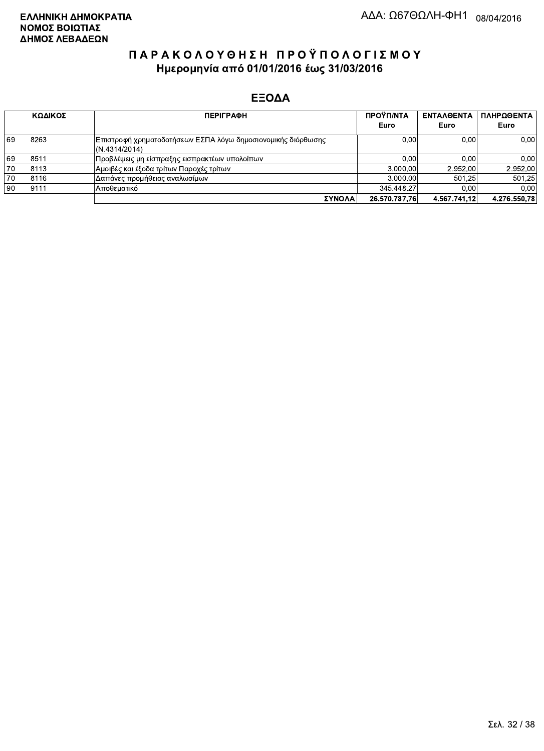|    | ΚΩΔΙΚΟΣ | <b>ПЕРІГРАФН</b>                                                              | ΠΡΟΫΠ/ΝΤΑ<br>Euro | <b>ENTAA@ENTA</b><br>Euro | ΠΛΗΡΩΘΕΝΤΑ<br>Euro |
|----|---------|-------------------------------------------------------------------------------|-------------------|---------------------------|--------------------|
| 69 | 8263    | Επιστροφή χρηματοδοτήσεων ΕΣΠΑ λόγω δημοσιονομικής διόρθωσης<br>(N.4314/2014) | 0,00              | 0.00                      | 0,00               |
| 69 | 8511    | Προβλέψεις μη είσπραξης εισπρακτέων υπολοίπων                                 | 0.00              | 0.00                      | 0,00               |
| 70 | 8113    | Αμοιβές και έξοδα τρίτων Παροχές τρίτων                                       | 3.000.00          | 2.952.00                  | 2.952,00           |
| 70 | 8116    | Δαπάνες προμήθειας αναλωσίμων                                                 | 3.000.00          | 501.25                    | 501.25             |
| 90 | 9111    | ΙΑποθεματικό                                                                  | 345.448.27        | 0.00                      | 0.00               |
|    |         | ΣΥΝΟΛΑ                                                                        | 26.570.787.76     | 4.567.741.12              | 4.276.550.78       |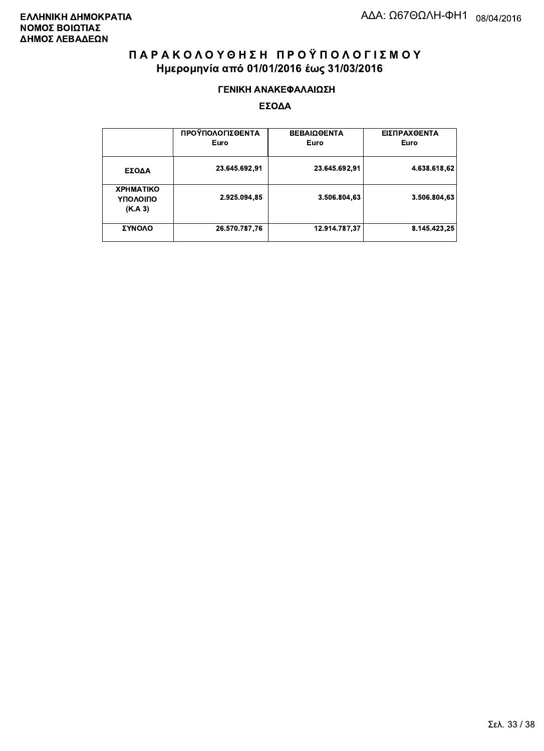#### ΓΕΝΙΚΗ ΑΝΑΚΕΦΑΛΑΙΩΣΗ

|                                         | ΠΡΟΫΠΟΛΟΓΙΣΘΕΝΤΑ<br>Euro | <b>ΒΕΒΑΙΩΘΕΝΤΑ</b><br>Euro | ΕΙΣΠΡΑΧΘΕΝΤΑ<br>Euro |
|-----------------------------------------|--------------------------|----------------------------|----------------------|
| ΕΣΟΔΑ                                   | 23.645.692,91            | 23.645.692,91              | 4.638.618,62         |
| <b>XPHMATIKO</b><br>ΥΠΟΛΟΙΠΟ<br>(K.A.3) | 2.925.094,85             | 3.506.804.63               | 3.506.804,63         |
| ΣΥΝΟΛΟ                                  | 26.570.787.76            | 12.914.787,37              | 8.145.423.25         |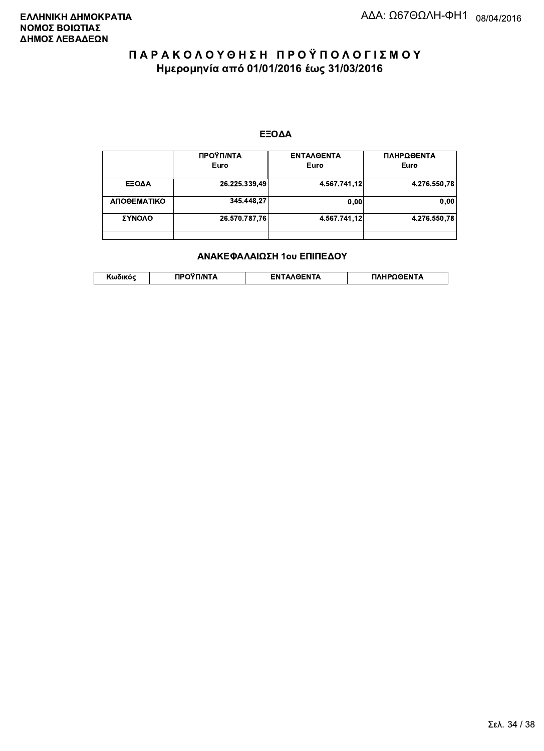#### ΕΞΟΔΑ

|             | ΠΡΟΫΠ/ΝΤΑ<br>Euro | <b>ENTAAGENTA</b><br>Euro | ΠΛΗΡΩΘΕΝΤΑ<br>Euro |
|-------------|-------------------|---------------------------|--------------------|
| ΕΞΟΔΑ       | 26.225.339,49     | 4.567.741,12              | 4.276.550.78       |
| ΑΠΟΘΕΜΑΤΙΚΟ | 345.448.27        | 0.00                      | 0.00               |
| ΣΥΝΟΛΟ      | 26.570.787,76     | 4.567.741,12              | 4.276.550.78       |
|             |                   |                           |                    |

#### ΑΝΑΚΕΦΑΛΑΙΩΣΗ 1ου ΕΠΙΠΕΔΟΥ

| האוההו | 1/NT/ | <b>OENTA</b> | HPOOFNTA |
|--------|-------|--------------|----------|
| .      |       | FΝ           |          |
|        |       |              |          |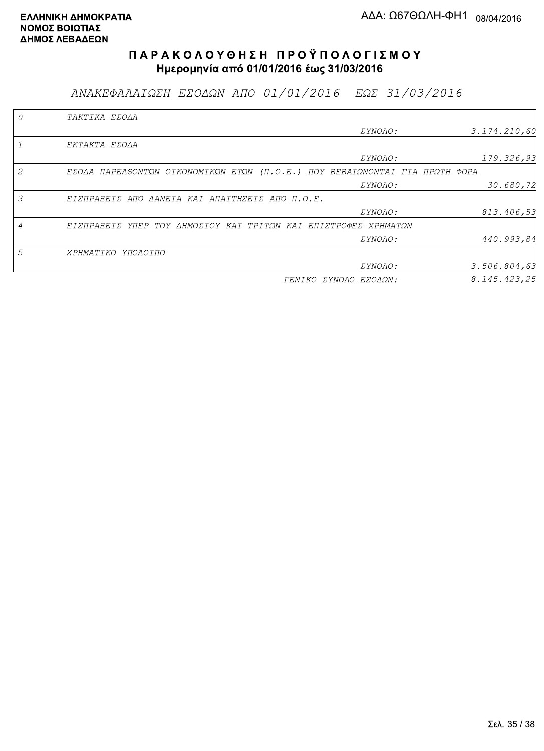ΑΝΑΚΕΦΑΛΑΙΩΣΗ ΕΣΟΔΩΝ ΑΠΟ 01/01/2016 ΕΩΣ 31/03/2016

|                | TAKTIKA EZOAA                                                               |                       |               |
|----------------|-----------------------------------------------------------------------------|-----------------------|---------------|
|                |                                                                             | <i>EYNOAO:</i>        | 3.174.210,60  |
|                | EKTAKTA EZOAA                                                               |                       |               |
|                |                                                                             | <i>EYNOAO:</i>        | 179.326,93    |
| 2              | EΣΟΔΑ ΠΑΡΕΛΘΟΝΤΩΝ ΟΙΚΟΝΟΜΙΚΩΝ ΕΤΩΝ (Π.Ο.Ε.) ΠΟΥ ΒΕΒΑΙΩΝΟΝΤΑΙ ΓΙΑ ΠΡΩΤΗ ΦΟΡΑ |                       |               |
|                |                                                                             | ΣΥΝΟΛΟ:               | 30.680,72     |
| 3              | ΕΙΣΠΡΑΞΕΙΣ ΑΠΌ ΔΑΝΕΙΑ ΚΑΙ ΑΠΑΙΤΗΣΕΙΣ ΑΠΌ Π.Ο.Ε.                             |                       |               |
|                |                                                                             | ΣΥΝΟΛΟ:               | 813.406,53    |
| $\overline{A}$ | ΕΙΣΠΡΑΞΕΙΣ ΥΠΕΡ ΤΟΥ ΔΗΜΟΣΙΟΥ ΚΑΙ ΤΡΙΤΩΝ ΚΑΙ ΕΠΙΣΤΡΟΦΕΣ ΧΡΗΜΑΤΩΝ             |                       |               |
|                |                                                                             | <i>EYNOAO:</i>        | 440.993,84    |
| 5              | ΧΡΗΜΑΤΙΚΟ ΥΠΟΛΟΙΠΟ                                                          |                       |               |
|                |                                                                             | <i>EYNOAO:</i>        | 3.506.804, 63 |
|                |                                                                             | ΓΕΝΙΚΟ ΣΥΝΟΛΟ ΕΣΟΔΩΝ: | 8.145.423.25  |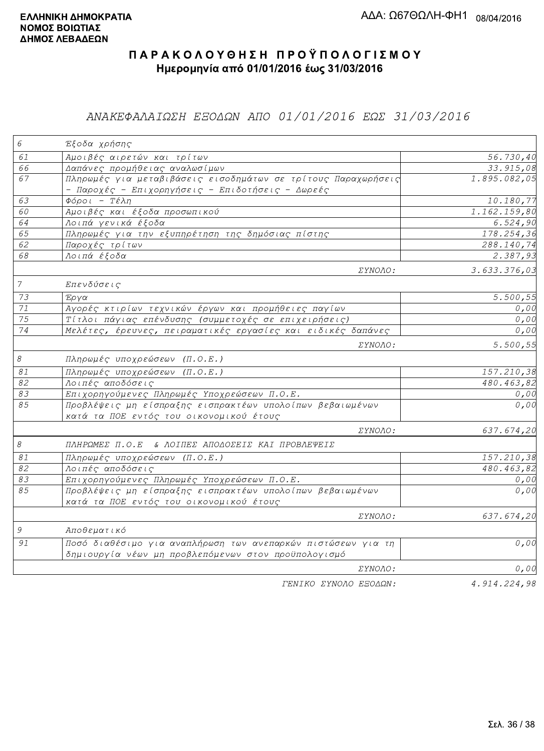### ΑΝΑΚΕΦΑΛΑΙΩΣΗ ΕΞΟΔΩΝ ΑΠΟ 01/01/2016 ΕΩΣ 31/03/2016

| 6                          | Έξοδα χρήσης                                                                                                        |                           |
|----------------------------|---------------------------------------------------------------------------------------------------------------------|---------------------------|
| 61                         | Αμοιβές αιρετών και τρίτων                                                                                          | 56.730,40                 |
| 66                         | Δαπάνες προμήθειας αναλωσίμων                                                                                       | 33.915, 08                |
| 67                         | Πληρωμές για μεταβιβάσεις εισοδημάτων σε τρίτους Παραχωρήσεις<br>- Παροχές - Επιχορηγήσεις - Επιδοτήσεις - Δωρεές   | 1.895.082,05              |
| 63                         | $\Phi$ όροι - Τέλη                                                                                                  | 10.180,77                 |
| 60                         | Αμοιβές και έξοδα προσωπικού                                                                                        | 1.162.159,80              |
| 64                         | Λοιπά γενικά έξοδα                                                                                                  | 6.524,90                  |
| 65                         | Πληρωμές για την εξυπηρέτηση της δημόσιας πίστης                                                                    | 178.254,36                |
| 62                         | Παροχές τρίτων                                                                                                      | 288.140,74                |
| 68                         | Λοιπά έξοδα                                                                                                         | 2.387,93                  |
|                            | ΣΥΝΟΛΟ:                                                                                                             | 3.633.376,03              |
| $\overline{7}$             | Επενδύσεις                                                                                                          |                           |
| 73                         | Έργα                                                                                                                | 5.500,55                  |
| $71\,$                     | Αγορές κτιρίων τεχνικών έργων και προμήθειες παγίων                                                                 | 0,00                      |
| 75                         | Τίτλοι πάγιας επένδυσης (συμμετοχές σε επιχειρήσεις)                                                                | 0,00                      |
| 74                         | Μελέτες, έρευνες, πειραματικές εργασίες και ειδικές δαπάνες                                                         | 0,00                      |
|                            | ΣΥΝΟΛΟ:                                                                                                             | 5.500,55                  |
| $\boldsymbol{\mathcal{S}}$ | Πληρωμές υποχρεώσεων (Π.Ο.Ε.)                                                                                       |                           |
| $\mathcal{S}1$             | Πληρωμές υποχρεώσεων (Π.Ο.Ε.)                                                                                       | 157.210,38                |
| 82                         | Λοιπές αποδόσεις                                                                                                    | $\overline{480.463}$ , 82 |
| 83                         | Επιχορηγούμενες Πληρωμές Υποχρεώσεων Π.Ο.Ε.                                                                         | 0,00                      |
| 85                         | Προβλέψεις μη είσπραξης εισπρακτέων υπολοίπων βεβαιωμένων<br>κατά τα ΠΟΕ εντός του οικονομικού έτους                | 0,00                      |
|                            | ΣΥΝΟΛΟ:                                                                                                             | 637.674,20                |
| $\mathcal S$               | ΠΛΗΡΩΜΕΣ Π.Ο.Ε & ΛΟΙΠΕΣ ΑΠΟΔΟΣΕΙΣ ΚΑΙ ΠΡΟΒΛΕΨΕΙΣ                                                                    |                           |
| 81                         | Πληρωμές υποχρεώσεων (Π.Ο.Ε.)                                                                                       | 157.210,38                |
| 82                         | Λοιπές αποδόσεις                                                                                                    | 480.463,82                |
| 83                         | Επιχορηγούμενες Πληρωμές Υποχρεώσεων Π.Ο.Ε.                                                                         | 0,00                      |
| 85                         | Προβλέψεις μη είσπραξης εισπρακτέων υπολοίπων βεβαιωμένων<br>κατά τα ΠΟΕ εντός του οικονομικού έτους                | 0,00                      |
|                            | ΣΥΝΟΛΟ:                                                                                                             | 637.674,20                |
| 9                          | Αποθεματικό                                                                                                         |                           |
| 91                         | Ποσό διαθέσιμο για αναπλήρωση των ανεπαρκών πιστώσεων για τη<br>δημιουργία νέων μη προβλεπόμενων στον προϋπολογισμό | 0,00                      |
|                            | ΣΥΝΟΛΟ:                                                                                                             | 0,00                      |
|                            | ΓΕΝΙΚΟ ΣΥΝΟΛΟ ΕΞΟΔΩΝ:                                                                                               | 4.914.224,98              |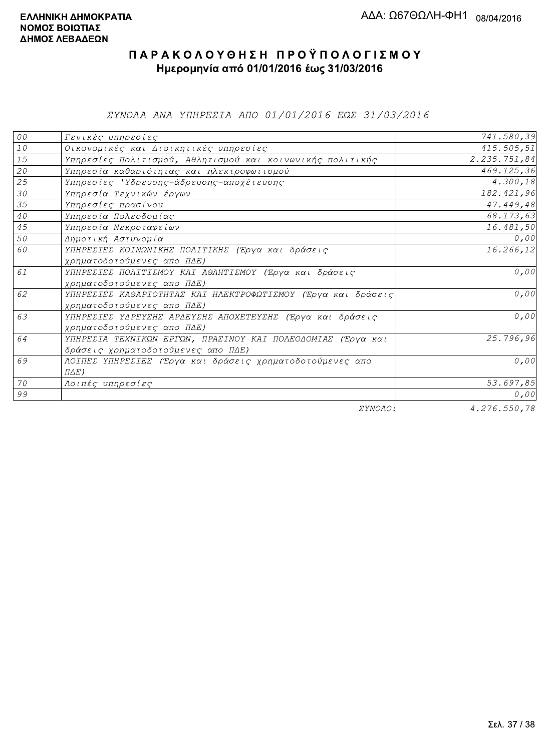*EYNOAA ANA YHHPEZIA AHO 01/01/2016 EQE 31/03/2016* 

| 00     | Γενικές υπηρεσίες                                             | 741.580,39   |
|--------|---------------------------------------------------------------|--------------|
| $1\,0$ | Οικονομικές και Διοικητικές υπηρεσίες                         | 415.505,51   |
| 15     | Υπηρεσίες Πολιτισμού, Αθλητισμού και κοινωνικής πολιτικής     | 2.235.751,84 |
| 20     | Υπηρεσία καθαριότητας και ηλεκτροφωτισμού                     | 469.125,36   |
| 25     | Υπηρεσίες 'Υδρευσης-άδρευσης-αποχέτευσης                      | 4.300,18     |
| 30     | Υπηρεσία Τεχνικών έργων                                       | 182.421,96   |
| 35     | Υπηρεσίες πρασίνου                                            | 47.449,48    |
| $4\,0$ | Υπηρεσία Πολεοδομίας                                          | 68.173,63    |
| 45     | Υπηρεσία Νεκροταφείων                                         | 16.481,50    |
| 50     | Δημοτική Αστυνομία                                            | 0,00         |
| 60     | ΥΠΗΡΕΣΙΕΣ ΚΟΙΝΩΝΙΚΗΣ ΠΟΛΙΤΙΚΗΣ (Έργα και δράσεις              | 16.266,12    |
|        | χρηματοδοτούμενες απο ΠΔΕ)                                    |              |
| 61     | ΥΠΗΡΕΣΙΕΣ ΠΟΛΙΤΙΣΜΟΥ ΚΑΙ ΑΘΛΗΤΙΣΜΟΥ (Έργα και δράσεις         | 0,00         |
|        | χρηματοδοτούμενες απο ΠΔΕ)                                    |              |
| 62     | ΥΠΗΡΕΣΙΕΣ ΚΑΘΑΡΙΟΤΗΤΑΣ ΚΑΙ ΗΛΕΚΤΡΟΦΩΤΙΣΜΟΥ (Έργα και δράσεις) | 0,00         |
|        | χρηματοδοτούμενες απο ΠΔΕ)                                    |              |
| 63     | ΥΠΗΡΕΣΙΕΣ ΥΔΡΕΥΣΗΣ ΑΡΔΕΥΣΗΣ ΑΠΟΧΕΤΕΥΣΗΣ (Έργα και δράσεις     | 0,00         |
|        | χρηματοδοτούμενες απο ΠΔΕ)                                    |              |
| 64     | ΥΠΗΡΕΣΙΑ ΤΕΧΝΙΚΩΝ ΕΡΓΩΝ, ΠΡΑΣΙΝΟΥ ΚΑΙ ΠΟΛΕΟΔΟΜΙΑΣ (Έργα και   | 25.796,96    |
|        | δράσεις χρηματοδοτούμενες απο ΠΔΕ)                            |              |
| 69     | ΛΟΙΠΕΣ ΥΠΗΡΕΣΙΕΣ (Έργα και δράσεις χρηματοδοτούμενες απο      | 0,00         |
|        | $\Pi \Delta E$ )                                              |              |
| 70     | Λοιπές υπηρεσίες                                              | 53.697,85    |
| 99     |                                                               | 0,00         |
|        | $\Box$                                                        | 1.277 F0.70  |

ΣΥΝΟΛΟ:

 $4.276.550,78$